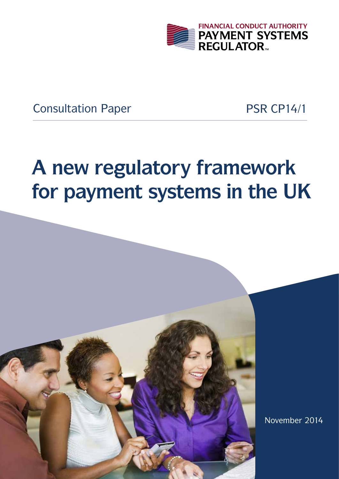

Consultation Paper PSR CP14/1

# **A new regulatory framework for payment systems in the UK**

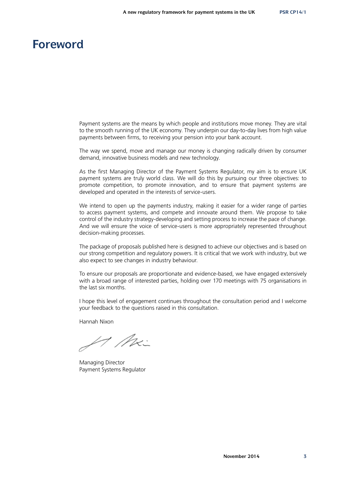### **Foreword**

Payment systems are the means by which people and institutions move money. They are vital to the smooth running of the UK economy. They underpin our day-to-day lives from high value payments between firms, to receiving your pension into your bank account.

The way we spend, move and manage our money is changing radically driven by consumer demand, innovative business models and new technology.

As the first Managing Director of the Payment Systems Regulator, my aim is to ensure UK payment systems are truly world class. We will do this by pursuing our three objectives: to promote competition, to promote innovation, and to ensure that payment systems are developed and operated in the interests of service-users.

We intend to open up the payments industry, making it easier for a wider range of parties to access payment systems, and compete and innovate around them. We propose to take control of the industry strategy-developing and setting process to increase the pace of change. And we will ensure the voice of service-users is more appropriately represented throughout decision-making processes.

The package of proposals published here is designed to achieve our objectives and is based on our strong competition and regulatory powers. It is critical that we work with industry, but we also expect to see changes in industry behaviour.

To ensure our proposals are proportionate and evidence-based, we have engaged extensively with a broad range of interested parties, holding over 170 meetings with 75 organisations in the last six months.

I hope this level of engagement continues throughout the consultation period and I welcome your feedback to the questions raised in this consultation.

Hannah Nixon

 $4$  Mx

Managing Director Payment Systems Regulator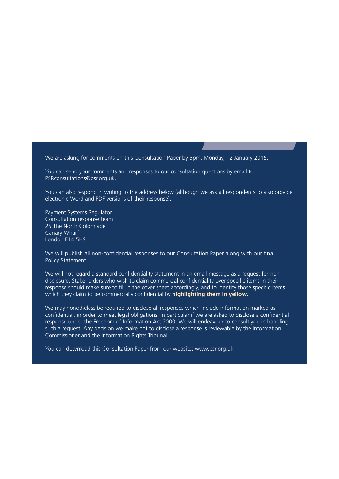We are asking for comments on this Consultation Paper by 5pm, Monday, 12 January 2015.

You can send your comments and responses to our consultation questions by email to [PSRconsultations@psr.org.uk](mailto:?subject=).

You can also respond in writing to the address below (although we ask all respondents to also provide electronic Word and PDF versions of their response).

Payment Systems Regulator Consultation response team 25 The North Colonnade Canary Wharf London E14 5HS

We will publish all non-confidential responses to our Consultation Paper along with our final Policy Statement.

We will not regard a standard confidentiality statement in an email message as a request for nondisclosure. Stakeholders who wish to claim commercial confidentiality over specific items in their response should make sure to fill in the cover sheet accordingly, and to identify those specific items which they claim to be commercially confidential by **highlighting them in yellow.**

We may nonetheless be required to disclose all responses which include information marked as confidential, in order to meet legal obligations, in particular if we are asked to disclose a confidential response under the Freedom of Information Act 2000. We will endeavour to consult you in handling such a request. Any decision we make not to disclose a response is reviewable by the Information Commissioner and the Information Rights Tribunal.

You can download this Consultation Paper from our website:<www.psr.org.uk>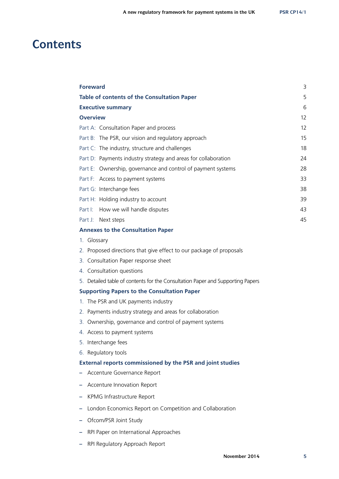### **Contents**

| <b>Foreward</b>                                                                | 3  |
|--------------------------------------------------------------------------------|----|
| <b>Table of contents of the Consultation Paper</b>                             | 5  |
| <b>Executive summary</b>                                                       | 6  |
| <b>Overview</b>                                                                | 12 |
| Part A: Consultation Paper and process                                         | 12 |
| Part B: The PSR, our vision and regulatory approach                            | 15 |
| Part C: The industry, structure and challenges                                 | 18 |
| Part D: Payments industry strategy and areas for collaboration                 | 24 |
| Part E: Ownership, governance and control of payment systems                   | 28 |
| Part F: Access to payment systems                                              | 33 |
| Part G: Interchange fees                                                       | 38 |
| Part H: Holding industry to account                                            | 39 |
| Part I:<br>How we will handle disputes                                         | 43 |
| Part J: Next steps                                                             | 45 |
| <b>Annexes to the Consultation Paper</b>                                       |    |
| 1. Glossary                                                                    |    |
| 2. Proposed directions that give effect to our package of proposals            |    |
| 3. Consultation Paper response sheet                                           |    |
| 4. Consultation questions                                                      |    |
| 5. Detailed table of contents for the Consultation Paper and Supporting Papers |    |
| <b>Supporting Papers to the Consultation Paper</b>                             |    |
| 1. The PSR and UK payments industry                                            |    |
| 2. Payments industry strategy and areas for collaboration                      |    |
| 3. Ownership, governance and control of payment systems                        |    |

- 4. Access to payment systems
- 5. Interchange fees
- 6. Regulatory tools

#### **External reports commissioned by the PSR and joint studies**

- **–** Accenture Governance Report
- **–** Accenture Innovation Report
- **–** KPMG Infrastructure Report
- **–** London Economics Report on Competition and Collaboration
- **–** Ofcom/PSR Joint Study
- **–** RPI Paper on International Approaches
- **–** RPI Regulatory Approach Report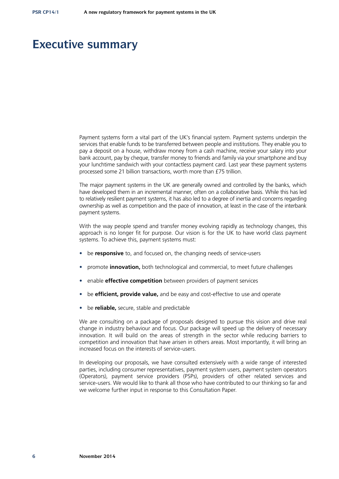### **Executive summary**

Payment systems form a vital part of the UK's financial system. Payment systems underpin the services that enable funds to be transferred between people and institutions. They enable you to pay a deposit on a house, withdraw money from a cash machine, receive your salary into your bank account, pay by cheque, transfer money to friends and family via your smartphone and buy your lunchtime sandwich with your contactless payment card. Last year these payment systems processed some 21 billion transactions, worth more than £75 trillion.

The major payment systems in the UK are generally owned and controlled by the banks, which have developed them in an incremental manner, often on a collaborative basis. While this has led to relatively resilient payment systems, it has also led to a degree of inertia and concerns regarding ownership as well as competition and the pace of innovation, at least in the case of the interbank payment systems.

With the way people spend and transfer money evolving rapidly as technology changes, this approach is no longer fit for purpose. Our vision is for the UK to have world class payment systems. To achieve this, payment systems must:

- be **responsive** to, and focused on, the changing needs of service-users
- promote **innovation,** both technological and commercial, to meet future challenges
- enable **effective competition** between providers of payment services
- be **efficient, provide value,** and be easy and cost-effective to use and operate
- be **reliable,** secure, stable and predictable

We are consulting on a package of proposals designed to pursue this vision and drive real change in industry behaviour and focus. Our package will speed up the delivery of necessary innovation. It will build on the areas of strength in the sector while reducing barriers to competition and innovation that have arisen in others areas. Most importantly, it will bring an increased focus on the interests of service-users.

In developing our proposals, we have consulted extensively with a wide range of interested parties, including consumer representatives, payment system users, payment system operators (Operators), payment service providers (PSPs), providers of other related services and service-users. We would like to thank all those who have contributed to our thinking so far and we welcome further input in response to this Consultation Paper.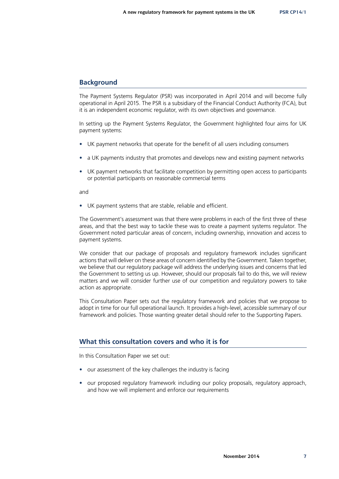#### **Background**

The Payment Systems Regulator (PSR) was incorporated in April 2014 and will become fully operational in April 2015. The PSR is a subsidiary of the Financial Conduct Authority (FCA), but it is an independent economic regulator, with its own objectives and governance.

In setting up the Payment Systems Regulator, the Government highlighted four aims for UK payment systems:

- UK payment networks that operate for the benefit of all users including consumers
- a UK payments industry that promotes and develops new and existing payment networks
- UK payment networks that facilitate competition by permitting open access to participants or potential participants on reasonable commercial terms

and

• UK payment systems that are stable, reliable and efficient.

The Government's assessment was that there were problems in each of the first three of these areas, and that the best way to tackle these was to create a payment systems regulator. The Government noted particular areas of concern, including ownership, innovation and access to payment systems.

We consider that our package of proposals and regulatory framework includes significant actions that will deliver on these areas of concern identified by the Government. Taken together, we believe that our regulatory package will address the underlying issues and concerns that led the Government to setting us up. However, should our proposals fail to do this, we will review matters and we will consider further use of our competition and regulatory powers to take action as appropriate.

This Consultation Paper sets out the regulatory framework and policies that we propose to adopt in time for our full operational launch. It provides a high-level, accessible summary of our framework and policies. Those wanting greater detail should refer to the Supporting Papers.

#### **What this consultation covers and who it is for**

In this Consultation Paper we set out:

- our assessment of the key challenges the industry is facing
- our proposed regulatory framework including our policy proposals, regulatory approach, and how we will implement and enforce our requirements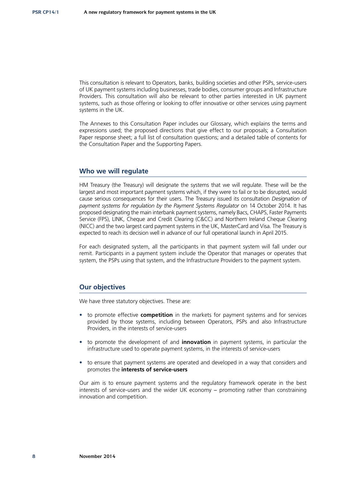This consultation is relevant to Operators, banks, building societies and other PSPs, service-users of UK payment systems including businesses, trade bodies, consumer groups and Infrastructure Providers. This consultation will also be relevant to other parties interested in UK payment systems, such as those offering or looking to offer innovative or other services using payment systems in the UK.

The Annexes to this Consultation Paper includes our Glossary, which explains the terms and expressions used; the proposed directions that give effect to our proposals; a Consultation Paper response sheet; a full list of consultation questions; and a detailed table of contents for the Consultation Paper and the Supporting Papers.

#### **Who we will regulate**

HM Treasury (the Treasury) will designate the systems that we will regulate. These will be the largest and most important payment systems which, if they were to fail or to be disrupted, would cause serious consequences for their users. The Treasury issued its consultation *Designation of payment systems for regulation by the Payment Systems Regulator* on 14 October 2014. It has proposed designating the main interbank payment systems, namely Bacs, CHAPS, Faster Payments Service (FPS), LINK, Cheque and Credit Clearing (C&CC) and Northern Ireland Cheque Clearing (NICC) and the two largest card payment systems in the UK, MasterCard and Visa. The Treasury is expected to reach its decision well in advance of our full operational launch in April 2015.

For each designated system, all the participants in that payment system will fall under our remit. Participants in a payment system include the Operator that manages or operates that system, the PSPs using that system, and the Infrastructure Providers to the payment system.

#### **Our objectives**

We have three statutory objectives. These are:

- to promote effective **competition** in the markets for payment systems and for services provided by those systems, including between Operators, PSPs and also Infrastructure Providers, in the interests of service-users
- to promote the development of and **innovation** in payment systems, in particular the infrastructure used to operate payment systems, in the interests of service-users
- to ensure that payment systems are operated and developed in a way that considers and promotes the **interests of service‑users**

Our aim is to ensure payment systems and the regulatory framework operate in the best interests of service-users and the wider UK economy − promoting rather than constraining innovation and competition.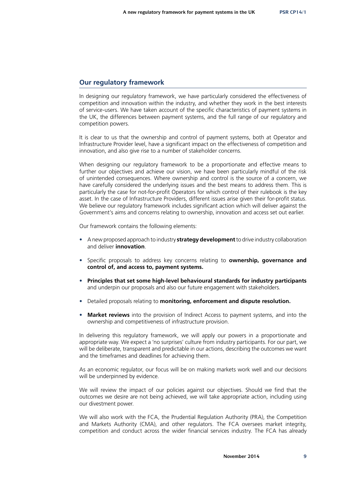#### **Our regulatory framework**

In designing our regulatory framework, we have particularly considered the effectiveness of competition and innovation within the industry, and whether they work in the best interests of service-users. We have taken account of the specific characteristics of payment systems in the UK, the differences between payment systems, and the full range of our regulatory and competition powers.

It is clear to us that the ownership and control of payment systems, both at Operator and Infrastructure Provider level, have a significant impact on the effectiveness of competition and innovation, and also give rise to a number of stakeholder concerns.

When designing our regulatory framework to be a proportionate and effective means to further our objectives and achieve our vision, we have been particularly mindful of the risk of unintended consequences. Where ownership and control is the source of a concern, we have carefully considered the underlying issues and the best means to address them. This is particularly the case for not-for-profit Operators for which control of their rulebook is the key asset. In the case of Infrastructure Providers, different issues arise given their for-profit status. We believe our regulatory framework includes significant action which will deliver against the Government's aims and concerns relating to ownership, innovation and access set out earlier.

Our framework contains the following elements:

- A new proposed approach to industry **strategy development** to drive industry collaboration and deliver **innovation**.
- Specific proposals to address key concerns relating to **ownership, governance and control of, and access to, payment systems.**
- **Principles that set some high-level behavioural standards for industry participants** and underpin our proposals and also our future engagement with stakeholders.
- Detailed proposals relating to **monitoring, enforcement and dispute resolution.**
- **Market reviews** into the provision of Indirect Access to payment systems, and into the ownership and competitiveness of infrastructure provision.

In delivering this regulatory framework, we will apply our powers in a proportionate and appropriate way. We expect a 'no surprises' culture from industry participants. For our part, we will be deliberate, transparent and predictable in our actions, describing the outcomes we want and the timeframes and deadlines for achieving them.

As an economic regulator, our focus will be on making markets work well and our decisions will be underpinned by evidence.

We will review the impact of our policies against our objectives. Should we find that the outcomes we desire are not being achieved, we will take appropriate action, including using our divestment power.

We will also work with the FCA, the Prudential Regulation Authority (PRA), the Competition and Markets Authority (CMA), and other regulators. The FCA oversees market integrity, competition and conduct across the wider financial services industry. The FCA has already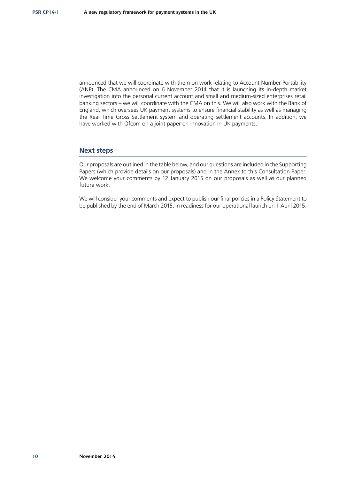announced that we will coordinate with them on work relating to Account Number Portability (ANP). The CMA announced on 6 November 2014 that it is launching its in-depth market investigation into the personal current account and small and medium-sized enterprises retail banking sectors – we will coordinate with the CMA on this. We will also work with the Bank of England, which oversees UK payment systems to ensure financial stability as well as managing the Real Time Gross Settlement system and operating settlement accounts. In addition, we have worked with Ofcom on a joint paper on innovation in UK payments.

#### **Next steps**

Our proposals are outlined in the table below, and our questions are included in the Supporting Papers (which provide details on our proposals) and in the Annex to this Consultation Paper. We welcome your comments by 12 January 2015 on our proposals as well as our planned future work.

We will consider your comments and expect to publish our final policies in a Policy Statement to be published by the end of March 2015, in readiness for our operational launch on 1 April 2015.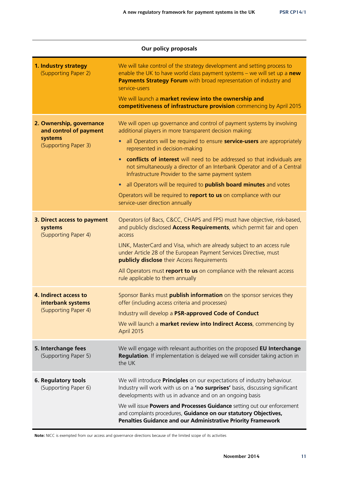| <b>Our policy proposals</b>                                                           |                                                                                                                                                                                                                                             |  |
|---------------------------------------------------------------------------------------|---------------------------------------------------------------------------------------------------------------------------------------------------------------------------------------------------------------------------------------------|--|
| 1. Industry strategy<br>(Supporting Paper 2)                                          | We will take control of the strategy development and setting process to<br>enable the UK to have world class payment systems $-$ we will set up a new<br>Payments Strategy Forum with broad representation of industry and<br>service-users |  |
|                                                                                       | We will launch a market review into the ownership and<br>competitiveness of infrastructure provision commencing by April 2015                                                                                                               |  |
| 2. Ownership, governance<br>and control of payment<br>systems<br>(Supporting Paper 3) | We will open up governance and control of payment systems by involving<br>additional players in more transparent decision making:                                                                                                           |  |
|                                                                                       | all Operators will be required to ensure <b>service-users</b> are appropriately<br>$\bullet$<br>represented in decision-making                                                                                                              |  |
|                                                                                       | conflicts of interest will need to be addressed so that individuals are<br>$\bullet$<br>not simultaneously a director of an Interbank Operator and of a Central<br>Infrastructure Provider to the same payment system                       |  |
|                                                                                       | all Operators will be required to <b>publish board minutes</b> and votes<br>$\bullet$                                                                                                                                                       |  |
|                                                                                       | Operators will be required to report to us on compliance with our<br>service-user direction annually                                                                                                                                        |  |
| 3. Direct access to payment<br>systems<br>(Supporting Paper 4)                        | Operators (of Bacs, C&CC, CHAPS and FPS) must have objective, risk-based,<br>and publicly disclosed Access Requirements, which permit fair and open<br>access                                                                               |  |
|                                                                                       | LINK, MasterCard and Visa, which are already subject to an access rule<br>under Article 28 of the European Payment Services Directive, must<br><b>publicly disclose</b> their Access Requirements                                           |  |
|                                                                                       | All Operators must report to us on compliance with the relevant access<br>rule applicable to them annually                                                                                                                                  |  |
| 4. Indirect access to<br>interbank systems<br>(Supporting Paper 4)                    | Sponsor Banks must <b>publish information</b> on the sponsor services they<br>offer (including access criteria and processes)                                                                                                               |  |
|                                                                                       | Industry will develop a PSR-approved Code of Conduct                                                                                                                                                                                        |  |
|                                                                                       | We will launch a market review into Indirect Access, commencing by<br>April 2015                                                                                                                                                            |  |
| 5. Interchange fees<br>(Supporting Paper 5)                                           | We will engage with relevant authorities on the proposed EU Interchange<br>Regulation. If implementation is delayed we will consider taking action in<br>the UK                                                                             |  |
| 6. Regulatory tools<br>(Supporting Paper 6)                                           | We will introduce <b>Principles</b> on our expectations of industry behaviour.<br>Industry will work with us on a 'no surprises' basis, discussing significant<br>developments with us in advance and on an ongoing basis                   |  |
|                                                                                       | We will issue Powers and Processes Guidance setting out our enforcement<br>and complaints procedures, Guidance on our statutory Objectives,<br>Penalties Guidance and our Administrative Priority Framework                                 |  |

**Note:** NICC is exempted from our access and governance directions because of the limited scope of its activities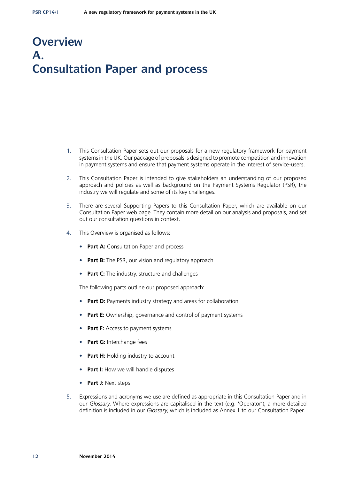# **Overview A. Consultation Paper and process**

- 1. This Consultation Paper sets out our proposals for a new regulatory framework for payment systems in the UK. Our package of proposals is designed to promote competition and innovation in payment systems and ensure that payment systems operate in the interest of service-users.
- 2. This Consultation Paper is intended to give stakeholders an understanding of our proposed approach and policies as well as background on the Payment Systems Regulator (PSR), the industry we will regulate and some of its key challenges.
- 3. There are several Supporting Papers to this Consultation Paper, which are available on our Consultation Paper web page. They contain more detail on our analysis and proposals, and set out our consultation questions in context.
- 4. This Overview is organised as follows:
	- **Part A:** Consultation Paper and process
	- **Part B:** The PSR, our vision and regulatory approach
	- **Part C:** The industry, structure and challenges

The following parts outline our proposed approach:

- **Part D:** Payments industry strategy and areas for collaboration
- **Part E:** Ownership, governance and control of payment systems
- **Part F:** Access to payment systems
- **Part G:** Interchange fees
- **Part H:** Holding industry to account
- **Part I:** How we will handle disputes
- **Part J:** Next steps
- 5. Expressions and acronyms we use are defined as appropriate in this Consultation Paper and in our *Glossary*. Where expressions are capitalised in the text (e.g. 'Operator'), a more detailed definition is included in our *Glossary*, which is included as Annex 1 to our Consultation Paper.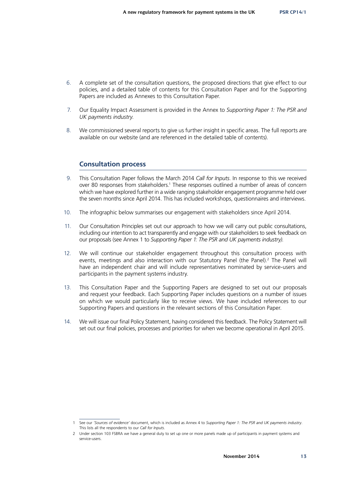- 6. A complete set of the consultation questions, the proposed directions that give effect to our policies, and a detailed table of contents for this Consultation Paper and for the Supporting Papers are included as Annexes to this Consultation Paper.
- 7. Our Equality Impact Assessment is provided in the Annex to *Supporting Paper 1: The PSR and UK payments industry*.
- 8. We commissioned several reports to give us further insight in specific areas. The full reports are available on our website (and are referenced in the detailed table of contents).

#### **Consultation process**

- 9. This Consultation Paper follows the March 2014 *Call for Inputs*. In response to this we received over 80 responses from stakeholders.<sup>1</sup> These responses outlined a number of areas of concern which we have explored further in a wide ranging stakeholder engagement programme held over the seven months since April 2014. This has included workshops, questionnaires and interviews.
- 10. The infographic below summarises our engagement with stakeholders since April 2014.
- 11. Our Consultation Principles set out our approach to how we will carry out public consultations, including our intention to act transparently and engage with our stakeholders to seek feedback on our proposals (see Annex 1 to *Supporting Paper 1: The PSR and UK payments industry)*.
- 12. We will continue our stakeholder engagement throughout this consultation process with events, meetings and also interaction with our Statutory Panel (the Panel).<sup>2</sup> The Panel will have an independent chair and will include representatives nominated by service-users and participants in the payment systems industry.
- 13. This Consultation Paper and the Supporting Papers are designed to set out our proposals and request your feedback. Each Supporting Paper includes questions on a number of issues on which we would particularly like to receive views. We have included references to our Supporting Papers and questions in the relevant sections of this Consultation Paper.
- 14. We will issue our final Policy Statement, having considered this feedback. The Policy Statement will set out our final policies, processes and priorities for when we become operational in April 2015.

<sup>1</sup> See our *'Sources of evidence'* document, which is included as Annex 4 to *Supporting Paper 1: The PSR and UK payments industry*. This lists all the respondents to our *Call for Inputs*.

<sup>2</sup> Under section 103 FSBRA we have a general duty to set up one or more panels made up of participants in payment systems and service-users.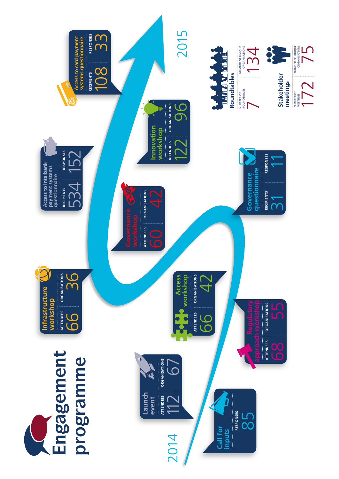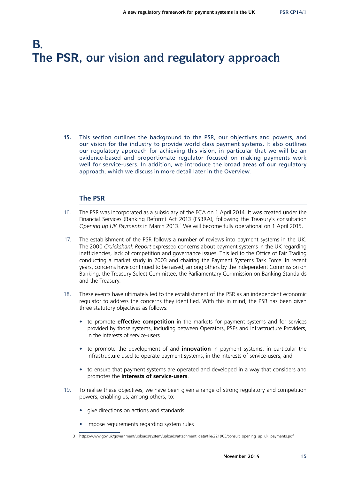# **B. The PSR, our vision and regulatory approach**

**15.** This section outlines the background to the PSR, our objectives and powers, and our vision for the industry to provide world class payment systems. It also outlines our regulatory approach for achieving this vision, in particular that we will be an evidence-based and proportionate regulator focused on making payments work well for service-users. In addition, we introduce the broad areas of our regulatory approach, which we discuss in more detail later in the Overview.

#### **The PSR**

- 16. The PSR was incorporated as a subsidiary of the FCA on 1 April 2014. It was created under the Financial Services (Banking Reform) Act 2013 (FSBRA), following the Treasury's consultation Opening up UK Payments in March 2013.<sup>3</sup> We will become fully operational on 1 April 2015.
- 17. The establishment of the PSR follows a number of reviews into payment systems in the UK. The 2000 *Cruickshank Report* expressed concerns about payment systems in the UK regarding inefficiencies, lack of competition and governance issues. This led to the Office of Fair Trading conducting a market study in 2003 and chairing the Payment Systems Task Force. In recent years, concerns have continued to be raised, among others by the Independent Commission on Banking, the Treasury Select Committee, the Parliamentary Commission on Banking Standards and the Treasury.
- 18. These events have ultimately led to the establishment of the PSR as an independent economic regulator to address the concerns they identified. With this in mind, the PSR has been given three statutory objectives as follows:
	- to promote **effective competition** in the markets for payment systems and for services provided by those systems, including between Operators, PSPs and Infrastructure Providers, in the interests of service-users
	- to promote the development of and **innovation** in payment systems, in particular the infrastructure used to operate payment systems, in the interests of service-users, and
	- to ensure that payment systems are operated and developed in a way that considers and promotes the **interests of service‑users**.
- 19. To realise these objectives, we have been given a range of strong regulatory and competition powers, enabling us, among others, to:
	- give directions on actions and standards
	- impose requirements regarding system rules

<sup>3</sup> [https://www.gov.uk/government/uploads/system/uploads/attachment\\_data/file/221903/consult\\_opening\\_up\\_uk\\_payments.pdf](https://www.gov.uk/government/uploads/system/uploads/attachment_data/file/221903/consult_opening_up_uk_payments.pdf)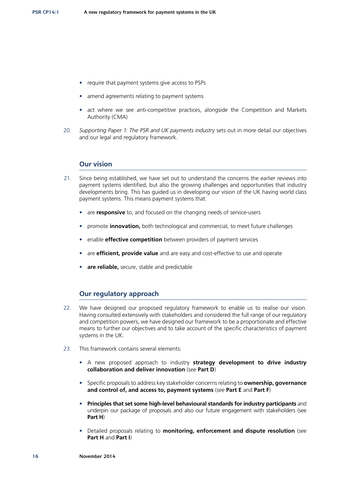- require that payment systems give access to PSPs
- amend agreements relating to payment systems
- act where we see anti-competitive practices, alongside the Competition and Markets Authority (CMA)
- 20. *Supporting Paper 1: The PSR and UK payments industry* sets out in more detail our objectives and our legal and regulatory framework.

#### **Our vision**

- 21. Since being established, we have set out to understand the concerns the earlier reviews into payment systems identified, but also the growing challenges and opportunities that industry developments bring. This has guided us in developing our vision of the UK having world class payment systems. This means payment systems that:
	- are **responsive** to, and focused on the changing needs of service-users
	- promote **innovation,** both technological and commercial, to meet future challenges
	- enable **effective competition** between providers of payment services
	- are **efficient, provide value** and are easy and cost-effective to use and operate
	- **are reliable,** secure, stable and predictable

#### **Our regulatory approach**

- 22. We have designed our proposed regulatory framework to enable us to realise our vision. Having consulted extensively with stakeholders and considered the full range of our regulatory and competition powers, we have designed our framework to be a proportionate and effective means to further our objectives and to take account of the specific characteristics of payment systems in the UK.
- 23. This framework contains several elements:
	- A new proposed approach to industry **strategy development to drive industry collaboration and deliver innovation** (see **Part D**)
	- Specific proposals to address key stakeholder concerns relating to **ownership, governance and control of, and access to, payment systems** (see **Part E** and **Part F**)
	- **Principles that set some high-level behavioural standards for industry participants** and underpin our package of proposals and also our future engagement with stakeholders (see **Part H**)
	- Detailed proposals relating to **monitoring, enforcement and dispute resolution** (see **Part H** and **Part I**)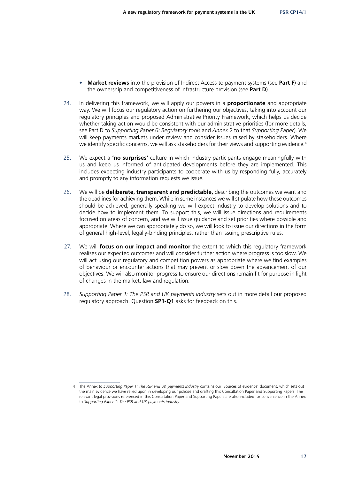- **Market reviews** into the provision of Indirect Access to payment systems (see **Part F**) and the ownership and competitiveness of infrastructure provision (see **Part D**).
- 24. In delivering this framework, we will apply our powers in a **proportionate** and appropriate way. We will focus our regulatory action on furthering our objectives, taking into account our regulatory principles and proposed Administrative Priority Framework, which helps us decide whether taking action would be consistent with our administrative priorities (for more details, see Part D to *Supporting Paper 6: Regulatory tools* and *Annex 2* to that *Supporting Paper*). We will keep payments markets under review and consider issues raised by stakeholders. Where we identify specific concerns, we will ask stakeholders for their views and supporting evidence.<sup>4</sup>
- 25. We expect a **'no surprises'** culture in which industry participants engage meaningfully with us and keep us informed of anticipated developments before they are implemented. This includes expecting industry participants to cooperate with us by responding fully, accurately and promptly to any information requests we issue.
- 26. We will be **deliberate, transparent and predictable,** describing the outcomes we want and the deadlines for achieving them. While in some instances we will stipulate how these outcomes should be achieved, generally speaking we will expect industry to develop solutions and to decide how to implement them. To support this, we will issue directions and requirements focused on areas of concern, and we will issue guidance and set priorities where possible and appropriate. Where we can appropriately do so, we will look to issue our directions in the form of general high-level, legally-binding principles, rather than issuing prescriptive rules.
- 27. We will **focus on our impact and monitor** the extent to which this regulatory framework realises our expected outcomes and will consider further action where progress is too slow. We will act using our regulatory and competition powers as appropriate where we find examples of behaviour or encounter actions that may prevent or slow down the advancement of our objectives. We will also monitor progress to ensure our directions remain fit for purpose in light of changes in the market, law and regulation.
- 28. *Supporting Paper 1: The PSR and UK payments industry* sets out in more detail our proposed regulatory approach. Question **SP1-Q1** asks for feedback on this.

<sup>4</sup> The Annex to *Supporting Paper 1: The PSR and UK payments industry* contains our 'Sources of evidence' document, which sets out the main evidence we have relied upon in developing our policies and drafting this Consultation Paper and Supporting Papers. The relevant legal provisions referenced in this Consultation Paper and Supporting Papers are also included for convenience in the Annex to *Supporting Paper 1: The PSR and UK payments industry*.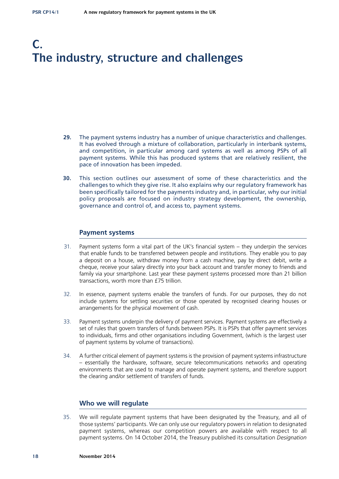# **C. The industry, structure and challenges**

- **29.** The payment systems industry has a number of unique characteristics and challenges. It has evolved through a mixture of collaboration, particularly in interbank systems, and competition, in particular among card systems as well as among PSPs of all payment systems. While this has produced systems that are relatively resilient, the pace of innovation has been impeded.
- **30.** This section outlines our assessment of some of these characteristics and the challenges to which they give rise. It also explains why our regulatory framework has been specifically tailored for the payments industry and, in particular, why our initial policy proposals are focused on industry strategy development, the ownership, governance and control of, and access to, payment systems.

#### **Payment systems**

- 31. Payment systems form a vital part of the UK's financial system they underpin the services that enable funds to be transferred between people and institutions. They enable you to pay a deposit on a house, withdraw money from a cash machine, pay by direct debit, write a cheque, receive your salary directly into your back account and transfer money to friends and family via your smartphone. Last year these payment systems processed more than 21 billion transactions, worth more than £75 trillion.
- 32. In essence, payment systems enable the transfers of funds. For our purposes, they do not include systems for settling securities or those operated by recognised clearing houses or arrangements for the physical movement of cash.
- 33. Payment systems underpin the delivery of payment services. Payment systems are effectively a set of rules that govern transfers of funds between PSPs. It is PSPs that offer payment services to individuals, firms and other organisations including Government, (which is the largest user of payment systems by volume of transactions).
- 34. A further critical element of payment systems is the provision of payment systems infrastructure – essentially the hardware, software, secure telecommunications networks and operating environments that are used to manage and operate payment systems, and therefore support the clearing and/or settlement of transfers of funds.

#### **Who we will regulate**

35. We will regulate payment systems that have been designated by the Treasury, and all of those systems' participants. We can only use our regulatory powers in relation to designated payment systems, whereas our competition powers are available with respect to all payment systems. On 14 October 2014, the Treasury published its consultation *Designation*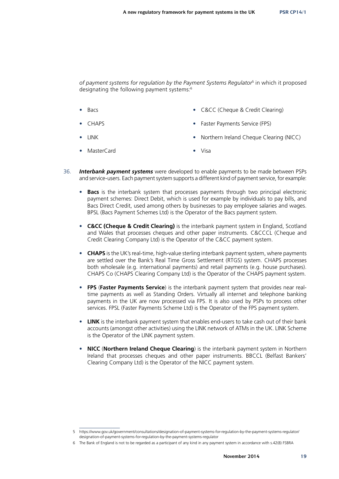*of payment systems for regulation by the Payment Systems Regulator*5 in which it proposed designating the following payment systems:6

- Bacs C&CC (Cheque & Credit Clearing)
	- CHAPS Faster Payments Service (FPS)
- LINK Northern Ireland Cheque Clearing (NICC)
- MasterCard Visa
- 36. *Interbank payment systems* were developed to enable payments to be made between PSPs and service-users. Each payment system supports a different kind of payment service, for example:
	- **Bacs** is the interbank system that processes payments through two principal electronic payment schemes: Direct Debit, which is used for example by individuals to pay bills, and Bacs Direct Credit, used among others by businesses to pay employee salaries and wages. BPSL (Bacs Payment Schemes Ltd) is the Operator of the Bacs payment system.
	- **C&CC (Cheque & Credit Clearing)** is the interbank payment system in England, Scotland and Wales that processes cheques and other paper instruments. C&CCCL (Cheque and Credit Clearing Company Ltd) is the Operator of the C&CC payment system.
	- **CHAPS** is the UK's real-time, high-value sterling interbank payment system, where payments are settled over the Bank's Real Time Gross Settlement (RTGS) system. CHAPS processes both wholesale (e.g. international payments) and retail payments (e.g. house purchases). CHAPS Co (CHAPS Clearing Company Ltd) is the Operator of the CHAPS payment system.
	- **FPS** (**Faster Payments Service**) is the interbank payment system that provides near realtime payments as well as Standing Orders. Virtually all internet and telephone banking payments in the UK are now processed via FPS. It is also used by PSPs to process other services. FPSL (Faster Payments Scheme Ltd) is the Operator of the FPS payment system.
	- **LINK** is the interbank payment system that enables end-users to take cash out of their bank accounts (amongst other activities) using the LINK network of ATMs in the UK. LINK Scheme is the Operator of the LINK payment system.
	- **NICC** (**Northern Ireland Cheque Clearing**) is the interbank payment system in Northern Ireland that processes cheques and other paper instruments. BBCCL (Belfast Bankers' Clearing Company Ltd) is the Operator of the NICC payment system.

<sup>5</sup> [https://www.gov.uk/government/consultations/designation-of-payment-systems-for-regulation-by-the-payment-systems-regulator/](https://www.gov.uk/government/consultations/designation-of-payment-systems-for-regulation-by-the-payment-systems-regulator/designation-of-payment-systems-for-regulation-by-the-payment-systems-regulator) [designation-of-payment-systems-for-regulation-by-the-payment-systems-regulator](https://www.gov.uk/government/consultations/designation-of-payment-systems-for-regulation-by-the-payment-systems-regulator/designation-of-payment-systems-for-regulation-by-the-payment-systems-regulator)

<sup>6</sup> The Bank of England is not to be regarded as a participant of any kind in any payment system in accordance with s.42(8) FSBRA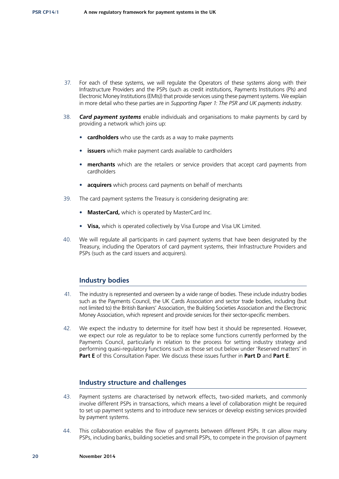- 37. For each of these systems, we will regulate the Operators of these systems along with their Infrastructure Providers and the PSPs (such as credit institutions, Payments Institutions (PIs) and Electronic Money Institutions (EMIs)) that provide services using these payment systems. We explain in more detail who these parties are in *Supporting Paper 1: The PSR and UK payments industry*.
- 38. *Card payment systems* enable individuals and organisations to make payments by card by providing a network which joins up:
	- **cardholders** who use the cards as a way to make payments
	- **issuers** which make payment cards available to cardholders
	- **merchants** which are the retailers or service providers that accept card payments from cardholders
	- **acquirers** which process card payments on behalf of merchants
- 39. The card payment systems the Treasury is considering designating are:
	- **MasterCard,** which is operated by MasterCard Inc.
	- **Visa,** which is operated collectively by Visa Europe and Visa UK Limited.
- 40. We will regulate all participants in card payment systems that have been designated by the Treasury, including the Operators of card payment systems, their Infrastructure Providers and PSPs (such as the card issuers and acquirers).

#### **Industry bodies**

- 41. The industry is represented and overseen by a wide range of bodies. These include industry bodies such as the Payments Council, the UK Cards Association and sector trade bodies, including (but not limited to) the British Bankers' Association, the Building Societies Association and the Electronic Money Association, which represent and provide services for their sector-specific members.
- 42. We expect the industry to determine for itself how best it should be represented. However, we expect our role as regulator to be to replace some functions currently performed by the Payments Council, particularly in relation to the process for setting industry strategy and performing quasi-regulatory functions such as those set out below under 'Reserved matters' in **Part E** of this Consultation Paper. We discuss these issues further in **Part D** and **Part E**.

#### **Industry structure and challenges**

- 43. Payment systems are characterised by network effects, two-sided markets, and commonly involve different PSPs in transactions, which means a level of collaboration might be required to set up payment systems and to introduce new services or develop existing services provided by payment systems.
- 44. This collaboration enables the flow of payments between different PSPs. It can allow many PSPs, including banks, building societies and small PSPs, to compete in the provision of payment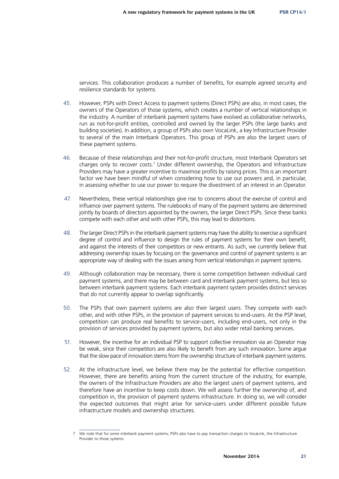services. This collaboration produces a number of benefits, for example agreed security and resilience standards for systems.

- 45. However, PSPs with Direct Access to payment systems (Direct PSPs) are also, in most cases, the owners of the Operators of those systems, which creates a number of vertical relationships in the industry. A number of interbank payment systems have evolved as collaborative networks, run as not-for-profit entities, controlled and owned by the larger PSPs (the large banks and building societies). In addition, a group of PSPs also own VocaLink, a key Infrastructure Provider to several of the main Interbank Operators. This group of PSPs are also the largest users of these payment systems.
- 46. Because of these relationships and their not-for-profit structure, most Interbank Operators set charges only to recover costs.<sup>7</sup> Under different ownership, the Operators and Infrastructure Providers may have a greater incentive to maximise profits by raising prices. This is an important factor we have been mindful of when considering how to use our powers and, in particular, in assessing whether to use our power to require the divestment of an interest in an Operator.
- 47. Nevertheless, these vertical relationships give rise to concerns about the exercise of control and influence over payment systems. The rulebooks of many of the payment systems are determined jointly by boards of directors appointed by the owners, the larger Direct PSPs. Since these banks compete with each other and with other PSPs, this may lead to distortions.
- 48. The larger Direct PSPs in the interbank payment systems may have the ability to exercise a significant degree of control and influence to design the rules of payment systems for their own benefit, and against the interests of their competitors or new entrants. As such, we currently believe that addressing ownership issues by focusing on the governance and control of payment systems is an appropriate way of dealing with the issues arising from vertical relationships in payment systems.
- 49. Although collaboration may be necessary, there is some competition between individual card payment systems, and there may be between card and interbank payment systems, but less so between interbank payment systems. Each interbank payment system provides distinct services that do not currently appear to overlap significantly.
- 50. The PSPs that own payment systems are also their largest users. They compete with each other, and with other PSPs, in the provision of payment services to end-users. At the PSP level, competition can produce real benefits to service-users, including end-users, not only in the provision of services provided by payment systems, but also wider retail banking services.
- 51. However, the incentive for an individual PSP to support collective innovation via an Operator may be weak, since their competitors are also likely to benefit from any such innovation. Some argue that the slow pace of innovation stems from the ownership structure of interbank payment systems.
- 52. At the infrastructure level, we believe there may be the potential for effective competition. However, there are benefits arising from the current structure of the industry, for example, the owners of the Infrastructure Providers are also the largest users of payment systems, and therefore have an incentive to keep costs down. We will assess further the ownership of, and competition in, the provision of payment systems infrastructure. In doing so, we will consider the expected outcomes that might arise for service-users under different possible future infrastructure models and ownership structures.

We note that for some interbank payment systems, PSPs also have to pay transaction charges to VocaLink, the Infrastructure Provider to those systems.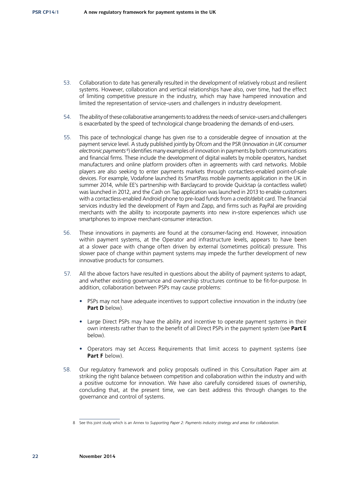- 53. Collaboration to date has generally resulted in the development of relatively robust and resilient systems. However, collaboration and vertical relationships have also, over time, had the effect of limiting competitive pressure in the industry, which may have hampered innovation and limited the representation of service-users and challengers in industry development.
- 54. The ability of these collaborative arrangements to address the needs of service-users and challengers is exacerbated by the speed of technological change broadening the demands of end-users.
- 55. This pace of technological change has given rise to a considerable degree of innovation at the payment service level. A study published jointly by Ofcom and the PSR (*Innovation in UK consumer*  electronic payments<sup>8</sup>) identifies many examples of innovation in payments by both communications and financial firms. These include the development of digital wallets by mobile operators, handset manufacturers and online platform providers often in agreements with card networks. Mobile players are also seeking to enter payments markets through contactless-enabled point-of-sale devices. For example, Vodafone launched its SmartPass mobile payments application in the UK in summer 2014, while EE's partnership with Barclaycard to provide Quicktap (a contactless wallet) was launched in 2012, and the Cash on Tap application was launched in 2013 to enable customers with a contactless-enabled Android phone to pre-load funds from a credit/debit card. The financial services industry led the development of Paym and Zapp, and firms such as PayPal are providing merchants with the ability to incorporate payments into new in-store experiences which use smartphones to improve merchant-consumer interaction.
- 56. These innovations in payments are found at the consumer-facing end. However, innovation within payment systems, at the Operator and infrastructure levels, appears to have been at a slower pace with change often driven by external (sometimes political) pressure. This slower pace of change within payment systems may impede the further development of new innovative products for consumers.
- 57. All the above factors have resulted in questions about the ability of payment systems to adapt, and whether existing governance and ownership structures continue to be fit-for-purpose. In addition, collaboration between PSPs may cause problems:
	- PSPs may not have adequate incentives to support collective innovation in the industry (see **Part D** below).
	- Large Direct PSPs may have the ability and incentive to operate payment systems in their own interests rather than to the benefit of all Direct PSPs in the payment system (see **Part E**  below).
	- Operators may set Access Requirements that limit access to payment systems (see Part F below).
- 58. Our regulatory framework and policy proposals outlined in this Consultation Paper aim at striking the right balance between competition and collaboration within the industry and with a positive outcome for innovation. We have also carefully considered issues of ownership, concluding that, at the present time, we can best address this through changes to the governance and control of systems.

<sup>8</sup> See this joint study which is an Annex to *Supporting Paper 2: Payments industry strategy and areas for collaboration*.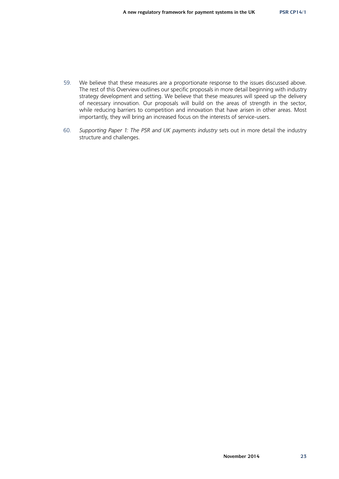- 59. We believe that these measures are a proportionate response to the issues discussed above. The rest of this Overview outlines our specific proposals in more detail beginning with industry strategy development and setting. We believe that these measures will speed up the delivery of necessary innovation. Our proposals will build on the areas of strength in the sector, while reducing barriers to competition and innovation that have arisen in other areas. Most importantly, they will bring an increased focus on the interests of service-users.
- 60. *Supporting Paper 1: The PSR and UK payments industry* sets out in more detail the industry structure and challenges.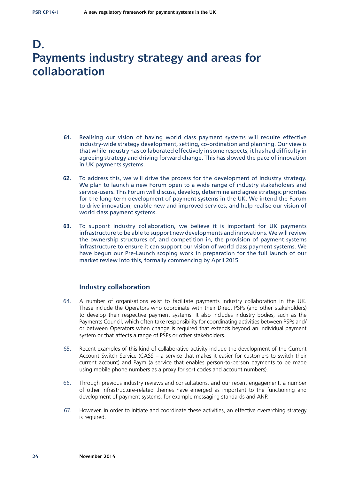### **D. Payments industry strategy and areas for collaboration**

- **61.** Realising our vision of having world class payment systems will require effective industry-wide strategy development, setting, co-ordination and planning. Our view is that while industry has collaborated effectively in some respects, it has had difficulty in agreeing strategy and driving forward change. This has slowed the pace of innovation in UK payments systems.
- **62.** To address this, we will drive the process for the development of industry strategy. We plan to launch a new Forum open to a wide range of industry stakeholders and service-users. This Forum will discuss, develop, determine and agree strategic priorities for the long-term development of payment systems in the UK. We intend the Forum to drive innovation, enable new and improved services, and help realise our vision of world class payment systems.
- **63.** To support industry collaboration, we believe it is important for UK payments infrastructure to be able to support new developments and innovations. We will review the ownership structures of, and competition in, the provision of payment systems infrastructure to ensure it can support our vision of world class payment systems. We have begun our Pre-Launch scoping work in preparation for the full launch of our market review into this, formally commencing by April 2015.

#### **Industry collaboration**

- 64. A number of organisations exist to facilitate payments industry collaboration in the UK. These include the Operators who coordinate with their Direct PSPs (and other stakeholders) to develop their respective payment systems. It also includes industry bodies, such as the Payments Council, which often take responsibility for coordinating activities between PSPs and/ or between Operators when change is required that extends beyond an individual payment system or that affects a range of PSPs or other stakeholders.
- 65. Recent examples of this kind of collaborative activity include the development of the Current Account Switch Service (CASS – a service that makes it easier for customers to switch their current account) and Paym (a service that enables person-to-person payments to be made using mobile phone numbers as a proxy for sort codes and account numbers).
- 66. Through previous industry reviews and consultations, and our recent engagement, a number of other infrastructure-related themes have emerged as important to the functioning and development of payment systems, for example messaging standards and ANP.
- 67. However, in order to initiate and coordinate these activities, an effective overarching strategy is required.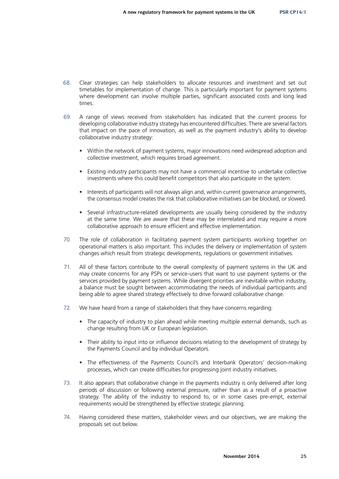- 68. Clear strategies can help stakeholders to allocate resources and investment and set out timetables for implementation of change. This is particularly important for payment systems where development can involve multiple parties, significant associated costs and long lead times.
- 69. A range of views received from stakeholders has indicated that the current process for developing collaborative industry strategy has encountered difficulties. There are several factors that impact on the pace of innovation, as well as the payment industry's ability to develop collaborative industry strategy:
	- Within the network of payment systems, major innovations need widespread adoption and collective investment, which requires broad agreement.
	- Existing industry participants may not have a commercial incentive to undertake collective investments where this could benefit competitors that also participate in the system.
	- Interests of participants will not always align and, within current governance arrangements, the consensus model creates the risk that collaborative initiatives can be blocked, or slowed.
	- Several infrastructure-related developments are usually being considered by the industry at the same time. We are aware that these may be interrelated and may require a more collaborative approach to ensure efficient and effective implementation.
- 70. The role of collaboration in facilitating payment system participants working together on operational matters is also important. This includes the delivery or implementation of system changes which result from strategic developments, regulations or government initiatives.
- 71. All of these factors contribute to the overall complexity of payment systems in the UK and may create concerns for any PSPs or service-users that want to use payment systems or the services provided by payment systems. While divergent priorities are inevitable within industry, a balance must be sought between accommodating the needs of individual participants and being able to agree shared strategy effectively to drive forward collaborative change.
- 72. We have heard from a range of stakeholders that they have concerns regarding:
	- The capacity of industry to plan ahead while meeting multiple external demands, such as change resulting from UK or European legislation.
	- Their ability to input into or influence decisions relating to the development of strategy by the Payments Council and by individual Operators.
	- The effectiveness of the Payments Council's and Interbank Operators' decision-making processes, which can create difficulties for progressing joint industry initiatives.
- 73. It also appears that collaborative change in the payments industry is only delivered after long periods of discussion or following external pressure, rather than as a result of a proactive strategy. The ability of the industry to respond to, or in some cases pre-empt, external requirements would be strengthened by effective strategic planning.
- 74. Having considered these matters, stakeholder views and our objectives, we are making the proposals set out below.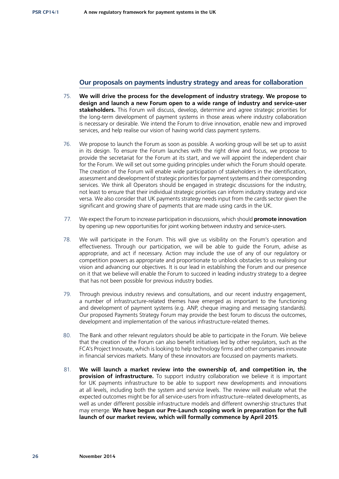#### **Our proposals on payments industry strategy and areas for collaboration**

- 75. **We will drive the process for the development of industry strategy. We propose to design and launch a new Forum open to a wide range of industry and service-user stakeholders.** This Forum will discuss, develop, determine and agree strategic priorities for the long-term development of payment systems in those areas where industry collaboration is necessary or desirable. We intend the Forum to drive innovation, enable new and improved services, and help realise our vision of having world class payment systems.
- 76. We propose to launch the Forum as soon as possible. A working group will be set up to assist in its design. To ensure the Forum launches with the right drive and focus, we propose to provide the secretariat for the Forum at its start, and we will appoint the independent chair for the Forum. We will set out some guiding principles under which the Forum should operate. The creation of the Forum will enable wide participation of stakeholders in the identification, assessment and development of strategic priorities for payment systems and their corresponding services. We think all Operators should be engaged in strategic discussions for the industry, not least to ensure that their individual strategic priorities can inform industry strategy and vice versa. We also consider that UK payments strategy needs input from the cards sector given the significant and growing share of payments that are made using cards in the UK.
- 77. We expect the Forum to increase participation in discussions, which should **promote innovation**  by opening up new opportunities for joint working between industry and service-users.
- 78. We will participate in the Forum. This will give us visibility on the Forum's operation and effectiveness. Through our participation, we will be able to guide the Forum, advise as appropriate, and act if necessary. Action may include the use of any of our regulatory or competition powers as appropriate and proportionate to unblock obstacles to us realising our vision and advancing our objectives. It is our lead in establishing the Forum and our presence on it that we believe will enable the Forum to succeed in leading industry strategy to a degree that has not been possible for previous industry bodies.
- 79. Through previous industry reviews and consultations, and our recent industry engagement, a number of infrastructure-related themes have emerged as important to the functioning and development of payment systems (e.g. ANP, cheque imaging and messaging standards). Our proposed Payments Strategy Forum may provide the best forum to discuss the outcomes, development and implementation of the various infrastructure-related themes.
- 80. The Bank and other relevant regulators should be able to participate in the Forum. We believe that the creation of the Forum can also benefit initiatives led by other regulators, such as the FCA's Project Innovate, which is looking to help technology firms and other companies innovate in financial services markets. Many of these innovators are focussed on payments markets.
- 81. **We will launch a market review into the ownership of, and competition in, the provision of infrastructure.** To support industry collaboration we believe it is important for UK payments infrastructure to be able to support new developments and innovations at all levels, including both the system and service levels. The review will evaluate what the expected outcomes might be for all service-users from infrastructure–related developments, as well as under different possible infrastructure models and different ownership structures that may emerge. **We have begun our Pre-Launch scoping work in preparation for the full launch of our market review, which will formally commence by April 2015**.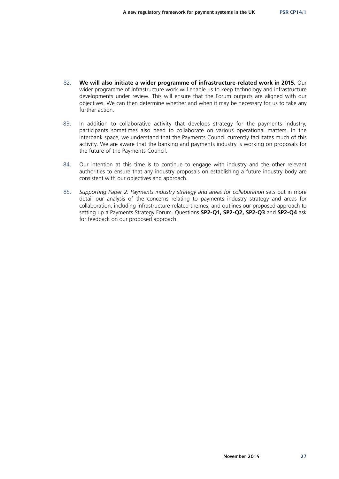- 82. **We will also initiate a wider programme of infrastructure-related work in 2015.** Our wider programme of infrastructure work will enable us to keep technology and infrastructure developments under review. This will ensure that the Forum outputs are aligned with our objectives. We can then determine whether and when it may be necessary for us to take any further action.
- 83. In addition to collaborative activity that develops strategy for the payments industry, participants sometimes also need to collaborate on various operational matters. In the interbank space, we understand that the Payments Council currently facilitates much of this activity. We are aware that the banking and payments industry is working on proposals for the future of the Payments Council.
- 84. Our intention at this time is to continue to engage with industry and the other relevant authorities to ensure that any industry proposals on establishing a future industry body are consistent with our objectives and approach.
- 85. *Supporting Paper 2: Payments industry strategy and areas for collaboration* sets out in more detail our analysis of the concerns relating to payments industry strategy and areas for collaboration, including infrastructure-related themes, and outlines our proposed approach to setting up a Payments Strategy Forum. Questions **SP2-Q1, SP2-Q2, SP2-Q3** and **SP2-Q4** ask for feedback on our proposed approach.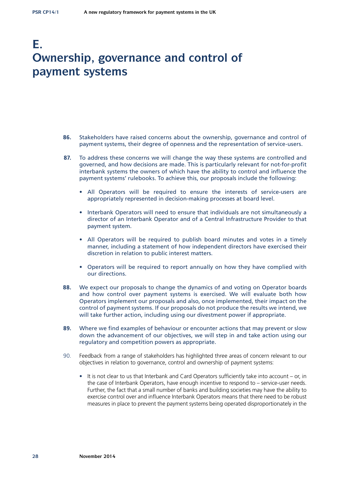### **E. Ownership, governance and control of payment systems**

- **86.** Stakeholders have raised concerns about the ownership, governance and control of payment systems, their degree of openness and the representation of service-users.
- **87.** To address these concerns we will change the way these systems are controlled and governed, and how decisions are made. This is particularly relevant for not-for-profit interbank systems the owners of which have the ability to control and influence the payment systems' rulebooks. To achieve this, our proposals include the following:
	- All Operators will be required to ensure the interests of service-users are appropriately represented in decision-making processes at board level.
	- Interbank Operators will need to ensure that individuals are not simultaneously a director of an Interbank Operator and of a Central Infrastructure Provider to that payment system.
	- All Operators will be required to publish board minutes and votes in a timely manner, including a statement of how independent directors have exercised their discretion in relation to public interest matters.
	- Operators will be required to report annually on how they have complied with our directions.
- **88.** We expect our proposals to change the dynamics of and voting on Operator boards and how control over payment systems is exercised. We will evaluate both how Operators implement our proposals and also, once implemented, their impact on the control of payment systems. If our proposals do not produce the results we intend, we will take further action, including using our divestment power if appropriate.
- **89.** Where we find examples of behaviour or encounter actions that may prevent or slow down the advancement of our objectives, we will step in and take action using our regulatory and competition powers as appropriate.
- 90. Feedback from a range of stakeholders has highlighted three areas of concern relevant to our objectives in relation to governance, control and ownership of payment systems:
	- It is not clear to us that Interbank and Card Operators sufficiently take into account or, in the case of Interbank Operators, have enough incentive to respond to – service-user needs. Further, the fact that a small number of banks and building societies may have the ability to exercise control over and influence Interbank Operators means that there need to be robust measures in place to prevent the payment systems being operated disproportionately in the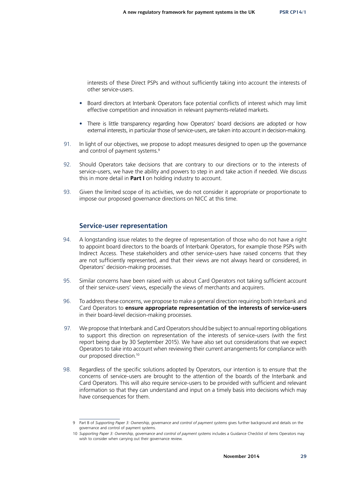interests of these Direct PSPs and without sufficiently taking into account the interests of other service-users.

- Board directors at Interbank Operators face potential conflicts of interest which may limit effective competition and innovation in relevant payments-related markets.
- There is little transparency regarding how Operators' board decisions are adopted or how external interests, in particular those of service-users, are taken into account in decision-making.
- 91. In light of our objectives, we propose to adopt measures designed to open up the governance and control of payment systems.<sup>9</sup>
- 92. Should Operators take decisions that are contrary to our directions or to the interests of service-users, we have the ability and powers to step in and take action if needed. We discuss this in more detail in **Part I** on holding industry to account.
- 93. Given the limited scope of its activities, we do not consider it appropriate or proportionate to impose our proposed governance directions on NICC at this time.

#### **Service-user representation**

- 94. A longstanding issue relates to the degree of representation of those who do not have a right to appoint board directors to the boards of Interbank Operators, for example those PSPs with Indirect Access. These stakeholders and other service-users have raised concerns that they are not sufficiently represented, and that their views are not always heard or considered, in Operators' decision-making processes.
- 95. Similar concerns have been raised with us about Card Operators not taking sufficient account of their service-users' views, especially the views of merchants and acquirers.
- 96. To address these concerns, we propose to make a general direction requiring both Interbank and Card Operators to **ensure appropriate representation of the interests of service‑users** in their board-level decision-making processes.
- 97. We propose that Interbank and Card Operators should be subject to annual reporting obligations to support this direction on representation of the interests of service-users (with the first report being due by 30 September 2015). We have also set out considerations that we expect Operators to take into account when reviewing their current arrangements for compliance with our proposed direction.10
- 98. Regardless of the specific solutions adopted by Operators, our intention is to ensure that the concerns of service-users are brought to the attention of the boards of the Interbank and Card Operators. This will also require service-users to be provided with sufficient and relevant information so that they can understand and input on a timely basis into decisions which may have consequences for them.

<sup>9</sup> Part B of *Supporting Paper 3: Ownership, governance and control of payment systems* gives further background and details on the governance and control of payment systems.

<sup>10</sup> *Supporting Paper 3: Ownership, governance and control of payment systems* includes a Guidance Checklist of items Operators may wish to consider when carrying out their governance review.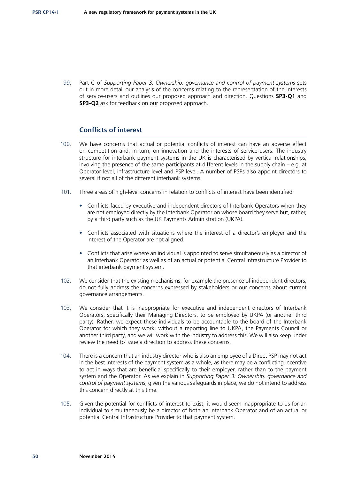99. Part C of *Supporting Paper 3: Ownership, governance and control of payment systems sets* out in more detail our analysis of the concerns relating to the representation of the interests of service-users and outlines our proposed approach and direction. Questions **SP3-Q1** and **SP3-Q2** ask for feedback on our proposed approach.

#### **Conflicts of interest**

- 100. We have concerns that actual or potential conflicts of interest can have an adverse effect on competition and, in turn, on innovation and the interests of service-users. The industry structure for interbank payment systems in the UK is characterised by vertical relationships, involving the presence of the same participants at different levels in the supply chain – e.g. at Operator level, infrastructure level and PSP level. A number of PSPs also appoint directors to several if not all of the different interbank systems.
- 101. Three areas of high-level concerns in relation to conflicts of interest have been identified:
	- Conflicts faced by executive and independent directors of Interbank Operators when they are not employed directly by the Interbank Operator on whose board they serve but, rather, by a third party such as the UK Payments Administration (UKPA).
	- Conflicts associated with situations where the interest of a director's employer and the interest of the Operator are not aligned.
	- Conflicts that arise where an individual is appointed to serve simultaneously as a director of an Interbank Operator as well as of an actual or potential Central Infrastructure Provider to that interbank payment system.
- 102. We consider that the existing mechanisms, for example the presence of independent directors, do not fully address the concerns expressed by stakeholders or our concerns about current governance arrangements.
- 103. We consider that it is inappropriate for executive and independent directors of Interbank Operators, specifically their Managing Directors, to be employed by UKPA (or another third party). Rather, we expect these individuals to be accountable to the board of the Interbank Operator for which they work, without a reporting line to UKPA, the Payments Council or another third party, and we will work with the industry to address this. We will also keep under review the need to issue a direction to address these concerns.
- 104. There is a concern that an industry director who is also an employee of a Direct PSP may not act in the best interests of the payment system as a whole, as there may be a conflicting incentive to act in ways that are beneficial specifically to their employer, rather than to the payment system and the Operator. As we explain in *Supporting Paper 3: Ownership, governance and control of payment systems*, given the various safeguards in place, we do not intend to address this concern directly at this time.
- 105. Given the potential for conflicts of interest to exist, it would seem inappropriate to us for an individual to simultaneously be a director of both an Interbank Operator and of an actual or potential Central Infrastructure Provider to that payment system.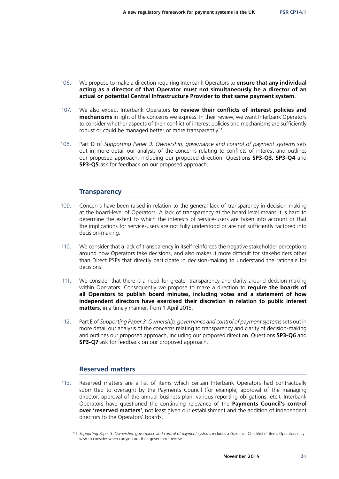- 106. We propose to make a direction requiring Interbank Operators to **ensure that any individual acting as a director of that Operator must not simultaneously be a director of an actual or potential Central Infrastructure Provider to that same payment system.**
- 107. We also expect Interbank Operators **to review their conflicts of interest policies and mechanisms** in light of the concerns we express. In their review, we want Interbank Operators to consider whether aspects of their conflict of interest policies and mechanisms are sufficiently robust or could be managed better or more transparently.11
- 108. Part D of *Supporting Paper 3: Ownership, governance and control of payment systems* sets out in more detail our analysis of the concerns relating to conflicts of interest and outlines our proposed approach, including our proposed direction. Questions **SP3-Q3, SP3-Q4** and **SP3-Q5** ask for feedback on our proposed approach.

#### **Transparency**

- 109. Concerns have been raised in relation to the general lack of transparency in decision-making at the board-level of Operators. A lack of transparency at the board level means it is hard to determine the extent to which the interests of service-users are taken into account or that the implications for service-users are not fully understood or are not sufficiently factored into decision-making.
- 110. We consider that a lack of transparency in itself reinforces the negative stakeholder perceptions around how Operators take decisions, and also makes it more difficult for stakeholders other than Direct PSPs that directly participate in decision-making to understand the rationale for decisions.
- 111. We consider that there is a need for greater transparency and clarity around decision-making within Operators. Consequently we propose to make a direction to **require the boards of all Operators to publish board minutes, including votes and a statement of how independent directors have exercised their discretion in relation to public interest matters,** in a timely manner, from 1 April 2015.
- 112. Part E of *Supporting Paper 3: Ownership, governance and control of payment system*s sets out in more detail our analysis of the concerns relating to transparency and clarity of decision-making and outlines our proposed approach, including our proposed direction. Questions **SP3-Q6** and **SP3-Q7** ask for feedback on our proposed approach.

#### **Reserved matters**

113. Reserved matters are a list of items which certain Interbank Operators had contractually submitted to oversight by the Payments Council (for example, approval of the managing director, approval of the annual business plan, various reporting obligations, etc.). Interbank Operators have questioned the continuing relevance of the **Payments Council's control over 'reserved matters'**, not least given our establishment and the addition of independent directors to the Operators' boards.

<sup>11</sup> *Supporting Paper 3: Ownership, governance and control of payment systems* includes a Guidance Checklist of items Operators may wish to consider when carrying out their governance review.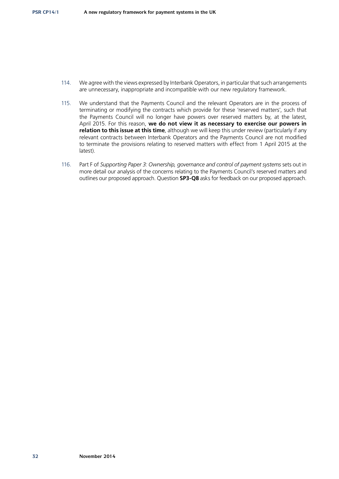- 114. We agree with the views expressed by Interbank Operators, in particular that such arrangements are unnecessary, inappropriate and incompatible with our new regulatory framework.
- 115. We understand that the Payments Council and the relevant Operators are in the process of terminating or modifying the contracts which provide for these 'reserved matters', such that the Payments Council will no longer have powers over reserved matters by, at the latest, April 2015. For this reason, **we do not view it as necessary to exercise our powers in relation to this issue at this time**, although we will keep this under review (particularly if any relevant contracts between Interbank Operators and the Payments Council are not modified to terminate the provisions relating to reserved matters with effect from 1 April 2015 at the latest).
- 116. Part F of *Supporting Paper 3: Ownership, governance and control of payment systems* sets out in more detail our analysis of the concerns relating to the Payments Council's reserved matters and outlines our proposed approach. Question **SP3-Q8** asks for feedback on our proposed approach.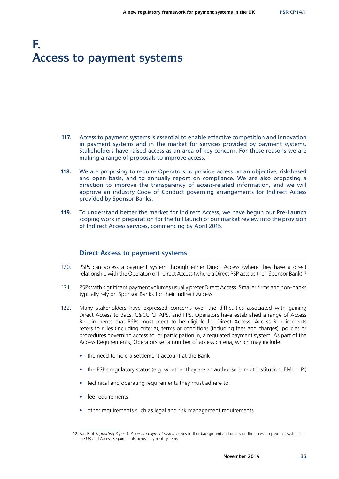# **F. Access to payment systems**

- **117.** Access to payment systems is essential to enable effective competition and innovation in payment systems and in the market for services provided by payment systems. Stakeholders have raised access as an area of key concern. For these reasons we are making a range of proposals to improve access.
- **118.** We are proposing to require Operators to provide access on an objective, risk-based and open basis, and to annually report on compliance. We are also proposing a direction to improve the transparency of access-related information, and we will approve an industry Code of Conduct governing arrangements for Indirect Access provided by Sponsor Banks.
- **119.** To understand better the market for Indirect Access, we have begun our Pre-Launch scoping work in preparation for the full launch of our market review into the provision of Indirect Access services, commencing by April 2015.

#### **Direct Access to payment systems**

- 120. PSPs can access a payment system through either Direct Access (where they have a direct relationship with the Operator) or Indirect Access (where a Direct PSP acts as their Sponsor Bank).12
- 121. PSPs with significant payment volumes usually prefer Direct Access. Smaller firms and non-banks typically rely on Sponsor Banks for their Indirect Access.
- 122. Many stakeholders have expressed concerns over the difficulties associated with gaining Direct Access to Bacs, C&CC CHAPS, and FPS. Operators have established a range of Access Requirements that PSPs must meet to be eligible for Direct Access. Access Requirements refers to rules (including criteria), terms or conditions (including fees and charges), policies or procedures governing access to, or participation in, a regulated payment system. As part of the Access Requirements, Operators set a number of access criteria, which may include:
	- the need to hold a settlement account at the Bank
	- the PSP's regulatory status (e.g. whether they are an authorised credit institution, EMI or PI)
	- technical and operating requirements they must adhere to
	- fee requirements
	- other requirements such as legal and risk management requirements

<sup>12</sup> Part B of *Supporting Paper 4: Access to payment systems* gives further background and details on the access to payment systems in the UK and Access Requirements across payment systems.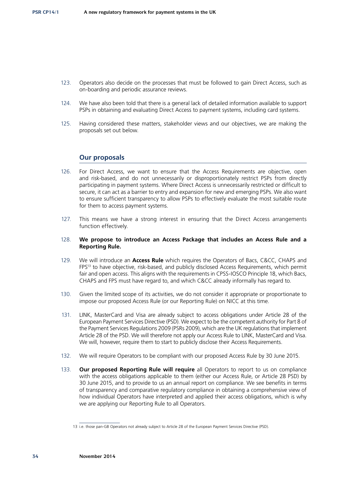- 123. Operators also decide on the processes that must be followed to gain Direct Access, such as on-boarding and periodic assurance reviews.
- 124. We have also been told that there is a general lack of detailed information available to support PSPs in obtaining and evaluating Direct Access to payment systems, including card systems.
- 125. Having considered these matters, stakeholder views and our objectives, we are making the proposals set out below.

#### **Our proposals**

- 126. For Direct Access, we want to ensure that the Access Requirements are objective, open and risk-based, and do not unnecessarily or disproportionately restrict PSPs from directly participating in payment systems. Where Direct Access is unnecessarily restricted or difficult to secure, it can act as a barrier to entry and expansion for new and emerging PSPs. We also want to ensure sufficient transparency to allow PSPs to effectively evaluate the most suitable route for them to access payment systems.
- 127. This means we have a strong interest in ensuring that the Direct Access arrangements function effectively.

#### 128. **We propose to introduce an Access Package that includes an Access Rule and a Reporting Rule.**

- 129. We will introduce an **Access Rule** which requires the Operators of Bacs, C&CC, CHAPS and FPS<sup>13</sup> to have objective, risk-based, and publicly disclosed Access Requirements, which permit fair and open access. This aligns with the requirements in CPSS-IOSCO Principle 18, which Bacs, CHAPS and FPS must have regard to, and which C&CC already informally has regard to.
- 130. Given the limited scope of its activities, we do not consider it appropriate or proportionate to impose our proposed Access Rule (or our Reporting Rule) on NICC at this time.
- 131. LINK, MasterCard and Visa are already subject to access obligations under Article 28 of the European Payment Services Directive (PSD). We expect to be the competent authority for Part 8 of the Payment Services Regulations 2009 (PSRs 2009), which are the UK regulations that implement Article 28 of the PSD. We will therefore not apply our Access Rule to LINK, MasterCard and Visa. We will, however, require them to start to publicly disclose their Access Requirements.
- 132. We will require Operators to be compliant with our proposed Access Rule by 30 June 2015.
- 133. **Our proposed Reporting Rule will require** all Operators to report to us on compliance with the access obligations applicable to them (either our Access Rule, or Article 28 PSD) by 30 June 2015, and to provide to us an annual report on compliance. We see benefits in terms of transparency and comparative regulatory compliance in obtaining a comprehensive view of how individual Operators have interpreted and applied their access obligations, which is why we are applying our Reporting Rule to all Operators.

<sup>13</sup> i.e. those pan-GB Operators not already subject to Article 28 of the European Payment Services Directive (PSD).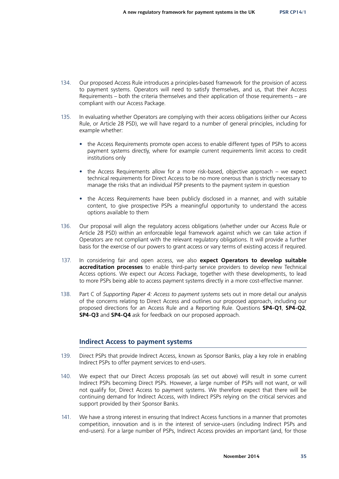- 134. Our proposed Access Rule introduces a principles-based framework for the provision of access to payment systems. Operators will need to satisfy themselves, and us, that their Access Requirements – both the criteria themselves and their application of those requirements – are compliant with our Access Package.
- 135. In evaluating whether Operators are complying with their access obligations (either our Access Rule, or Article 28 PSD), we will have regard to a number of general principles, including for example whether:
	- the Access Requirements promote open access to enable different types of PSPs to access payment systems directly, where for example current requirements limit access to credit institutions only
	- the Access Requirements allow for a more risk-based, objective approach we expect technical requirements for Direct Access to be no more onerous than is strictly necessary to manage the risks that an individual PSP presents to the payment system in question
	- the Access Requirements have been publicly disclosed in a manner, and with suitable content, to give prospective PSPs a meaningful opportunity to understand the access options available to them
- 136. Our proposal will align the regulatory access obligations (whether under our Access Rule or Article 28 PSD) within an enforceable legal framework against which we can take action if Operators are not compliant with the relevant regulatory obligations. It will provide a further basis for the exercise of our powers to grant access or vary terms of existing access if required.
- 137. In considering fair and open access, we also **expect Operators to develop suitable accreditation processes** to enable third-party service providers to develop new Technical Access options. We expect our Access Package, together with these developments, to lead to more PSPs being able to access payment systems directly in a more cost-effective manner.
- 138. Part C of *Supporting Paper 4: Access to payment systems* sets out in more detail our analysis of the concerns relating to Direct Access and outlines our proposed approach, including our proposed directions for an Access Rule and a Reporting Rule. Questions **SP4-Q1**, **SP4-Q2**, **SP4-Q3** and **SP4-Q4** ask for feedback on our proposed approach.

#### **Indirect Access to payment systems**

- 139. Direct PSPs that provide Indirect Access, known as Sponsor Banks, play a key role in enabling Indirect PSPs to offer payment services to end-users.
- 140. We expect that our Direct Access proposals (as set out above) will result in some current Indirect PSPs becoming Direct PSPs. However, a large number of PSPs will not want, or will not qualify for, Direct Access to payment systems. We therefore expect that there will be continuing demand for Indirect Access, with Indirect PSPs relying on the critical services and support provided by their Sponsor Banks.
- 141. We have a strong interest in ensuring that Indirect Access functions in a manner that promotes competition, innovation and is in the interest of service-users (including Indirect PSPs and end-users). For a large number of PSPs, Indirect Access provides an important (and, for those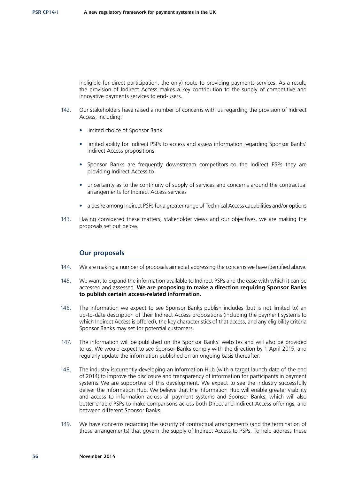ineligible for direct participation, the only) route to providing payments services. As a result, the provision of Indirect Access makes a key contribution to the supply of competitive and innovative payments services to end-users.

- 142. Our stakeholders have raised a number of concerns with us regarding the provision of Indirect Access, including:
	- limited choice of Sponsor Bank
	- limited ability for Indirect PSPs to access and assess information regarding Sponsor Banks' Indirect Access propositions
	- Sponsor Banks are frequently downstream competitors to the Indirect PSPs they are providing Indirect Access to
	- uncertainty as to the continuity of supply of services and concerns around the contractual arrangements for Indirect Access services
	- a desire among Indirect PSPs for a greater range of Technical Access capabilities and/or options
- 143. Having considered these matters, stakeholder views and our objectives, we are making the proposals set out below.

#### **Our proposals**

- 144. We are making a number of proposals aimed at addressing the concerns we have identified above.
- 145. We want to expand the information available to Indirect PSPs and the ease with which it can be accessed and assessed. **We are proposing to make a direction requiring Sponsor Banks to publish certain access-related information.**
- 146. The information we expect to see Sponsor Banks publish includes (but is not limited to) an up-to-date description of their Indirect Access propositions (including the payment systems to which Indirect Access is offered), the key characteristics of that access, and any eligibility criteria Sponsor Banks may set for potential customers.
- 147. The information will be published on the Sponsor Banks' websites and will also be provided to us. We would expect to see Sponsor Banks comply with the direction by 1 April 2015, and regularly update the information published on an ongoing basis thereafter.
- 148. The industry is currently developing an Information Hub (with a target launch date of the end of 2014) to improve the disclosure and transparency of information for participants in payment systems. We are supportive of this development. We expect to see the industry successfully deliver the Information Hub. We believe that the Information Hub will enable greater visibility and access to information across all payment systems and Sponsor Banks, which will also better enable PSPs to make comparisons across both Direct and Indirect Access offerings, and between different Sponsor Banks.
- 149. We have concerns regarding the security of contractual arrangements (and the termination of those arrangements) that govern the supply of Indirect Access to PSPs. To help address these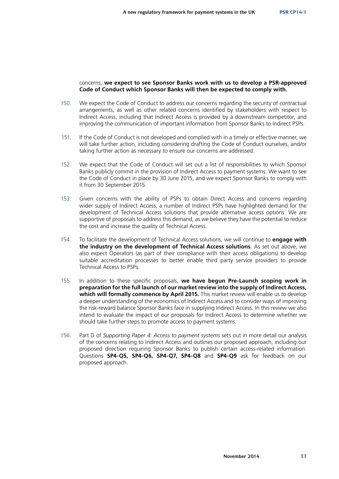#### concerns, **we expect to see Sponsor Banks work with us to develop a PSR-approved Code of Conduct which Sponsor Banks will then be expected to comply with.**

- 150. We expect the Code of Conduct to address our concerns regarding the security of contractual arrangements, as well as other related concerns identified by stakeholders with respect to Indirect Access, including that Indirect Access is provided by a downstream competitor, and improving the communication of important information from Sponsor Banks to Indirect PSPs.
- 151. If the Code of Conduct is not developed and complied with in a timely or effective manner, we will take further action, including considering drafting the Code of Conduct ourselves, and/or taking further action as necessary to ensure our concerns are addressed.
- 152. We expect that the Code of Conduct will set out a list of responsibilities to which Sponsor Banks publicly commit in the provision of Indirect Access to payment systems. We want to see the Code of Conduct in place by 30 June 2015, and we expect Sponsor Banks to comply with it from 30 September 2015.
- 153. Given concerns with the ability of PSPs to obtain Direct Access and concerns regarding wider supply of Indirect Access, a number of Indirect PSPs have highlighted demand for the development of Technical Access solutions that provide alternative access options. We are supportive of proposals to address this demand, as we believe they have the potential to reduce the cost and increase the quality of Technical Access.
- 154. To facilitate the development of Technical Access solutions, we will continue to **engage with the industry on the development of Technical Access solutions**. As set out above, we also expect Operators (as part of their compliance with their access obligations) to develop suitable accreditation processes to better enable third party service providers to provide Technical Access to PSPs.
- 155. In addition to these specific proposals, **we have begun Pre-Launch scoping work in preparation for the full launch of our market review into the supply of Indirect Access,**  which will formally commence by April 2015. This market review will enable us to develop a deeper understanding of the economics of Indirect Access and to consider ways of improving the risk-reward balance Sponsor Banks face in supplying Indirect Access. In this review we also intend to evaluate the impact of our proposals for Indirect Access to determine whether we should take further steps to promote access to payment systems.
- 156. Part D of *Supporting Paper 4: Access to payment systems* sets out in more detail our analysis of the concerns relating to Indirect Access and outlines our proposed approach, including our proposed direction requiring Sponsor Banks to publish certain access-related information. Questions **SP4-Q5, SP4-Q6, SP4-Q7, SP4-Q8** and **SP4-Q9** ask for feedback on our proposed approach.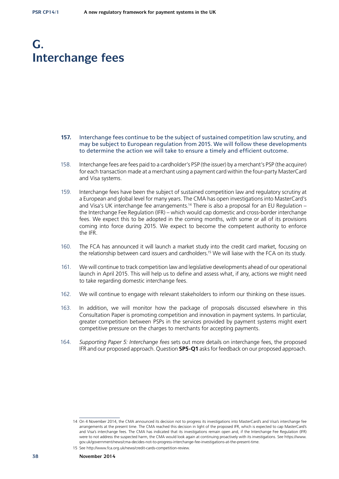## **G. Interchange fees**

- **157.** Interchange fees continue to be the subject of sustained competition law scrutiny, and may be subject to European regulation from 2015. We will follow these developments to determine the action we will take to ensure a timely and efficient outcome.
- 158. Interchange fees are fees paid to a cardholder's PSP (the issuer) by a merchant's PSP (the acquirer) for each transaction made at a merchant using a payment card within the four-party MasterCard and Visa systems.
- 159. Interchange fees have been the subject of sustained competition law and regulatory scrutiny at a European and global level for many years. The CMA has open investigations into MasterCard's and Visa's UK interchange fee arrangements.<sup>14</sup> There is also a proposal for an EU Regulation – the Interchange Fee Regulation (IFR) – which would cap domestic and cross-border interchange fees. We expect this to be adopted in the coming months, with some or all of its provisions coming into force during 2015. We expect to become the competent authority to enforce the IFR.
- 160. The FCA has announced it will launch a market study into the credit card market, focusing on the relationship between card issuers and cardholders.15 We will liaise with the FCA on its study.
- 161. We will continue to track competition law and legislative developments ahead of our operational launch in April 2015. This will help us to define and assess what, if any, actions we might need to take regarding domestic interchange fees.
- 162. We will continue to engage with relevant stakeholders to inform our thinking on these issues.
- 163. In addition, we will monitor how the package of proposals discussed elsewhere in this Consultation Paper is promoting competition and innovation in payment systems. In particular, greater competition between PSPs in the services provided by payment systems might exert competitive pressure on the charges to merchants for accepting payments.
- 164. *Supporting Paper 5: Interchange fees* sets out more details on interchange fees, the proposed IFR and our proposed approach. Question **SP5-Q1** asks for feedback on our proposed approach.

<sup>14</sup> On 4 November 2014, the CMA announced its decision not to progress its investigations into MasterCard's and Visa's interchange fee arrangements at the present time. The CMA reached this decision in light of the proposed IFR, which is expected to cap MasterCard's and Visa's interchange fees. The CMA has indicated that its investigations remain open and, if the Interchange Fee Regulation (IFR) were to not address the suspected harm, the CMA would look again at continuing proactively with its investigations. See [https://www.](https://www.gov.uk/government/news/cma-decides-not-to-progress-interchange-fee-investigations-at-the-present-time) [gov.uk/government/news/cma-decides-not-to-progress-interchange-fee-investigations-at-the-present-time](https://www.gov.uk/government/news/cma-decides-not-to-progress-interchange-fee-investigations-at-the-present-time).

<sup>15</sup> See [http://www.fca.org.uk/news/credit-cards-competition-review.](http://www.fca.org.uk/news/credit-cards-competition-review)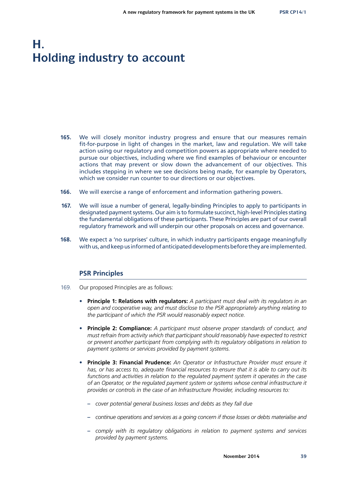# **H. Holding industry to account**

- **165.** We will closely monitor industry progress and ensure that our measures remain fit-for-purpose in light of changes in the market, law and regulation. We will take action using our regulatory and competition powers as appropriate where needed to pursue our objectives, including where we find examples of behaviour or encounter actions that may prevent or slow down the advancement of our objectives. This includes stepping in where we see decisions being made, for example by Operators, which we consider run counter to our directions or our objectives.
- **166.** We will exercise a range of enforcement and information gathering powers.
- **167.** We will issue a number of general, legally-binding Principles to apply to participants in designated payment systems. Our aim is to formulate succinct, high-level Principles stating the fundamental obligations of these participants. These Principles are part of our overall regulatory framework and will underpin our other proposals on access and governance.
- **168.** We expect a 'no surprises' culture, in which industry participants engage meaningfully with us, and keep us informed of anticipated developments before they are implemented.

### **PSR Principles**

- 169. Our proposed Principles are as follows:
	- **Principle 1: Relations with regulators:** *A participant must deal with its regulators in an open and cooperative way, and must disclose to the PSR appropriately anything relating to the participant of which the PSR would reasonably expect notice.*
	- **Principle 2: Compliance:** *A participant must observe proper standards of conduct, and must refrain from activity which that participant should reasonably have expected to restrict or prevent another participant from complying with its regulatory obligations in relation to payment systems or services provided by payment systems.*
	- **Principle 3: Financial Prudence:** *An Operator or Infrastructure Provider must ensure it has, or has access to, adequate financial resources to ensure that it is able to carry out its functions and activities in relation to the regulated payment system it operates in the case of an Operator, or the regulated payment system or systems whose central infrastructure it provides or controls in the case of an Infrastructure Provider, including resources to:*
		- **–** *cover potential general business losses and debts as they fall due*
		- **–** *continue operations and services as a going concern if those losses or debts materialise and*
		- **–** *comply with its regulatory obligations in relation to payment systems and services provided by payment systems.*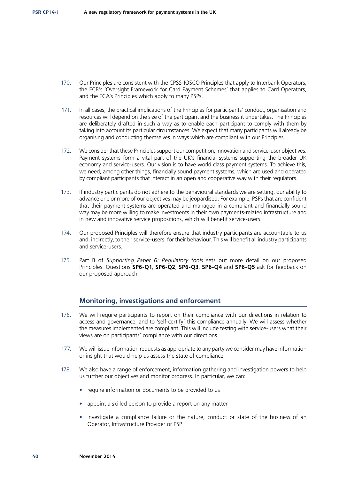- 170. Our Principles are consistent with the CPSS-IOSCO Principles that apply to Interbank Operators, the ECB's 'Oversight Framework for Card Payment Schemes' that applies to Card Operators, and the FCA's Principles which apply to many PSPs.
- 171. In all cases, the practical implications of the Principles for participants' conduct, organisation and resources will depend on the size of the participant and the business it undertakes. The Principles are deliberately drafted in such a way as to enable each participant to comply with them by taking into account its particular circumstances. We expect that many participants will already be organising and conducting themselves in ways which are compliant with our Principles.
- 172. We consider that these Principles support our competition, innovation and service-user objectives. Payment systems form a vital part of the UK's financial systems supporting the broader UK economy and service-users. Our vision is to have world class payment systems. To achieve this, we need, among other things, financially sound payment systems, which are used and operated by compliant participants that interact in an open and cooperative way with their regulators.
- 173. If industry participants do not adhere to the behavioural standards we are setting, our ability to advance one or more of our objectives may be jeopardised. For example, PSPs that are confident that their payment systems are operated and managed in a compliant and financially sound way may be more willing to make investments in their own payments-related infrastructure and in new and innovative service propositions, which will benefit service-users.
- 174. Our proposed Principles will therefore ensure that industry participants are accountable to us and, indirectly, to their service-users, for their behaviour. This will benefit all industry participants and service-users.
- 175. Part B of *Supporting Paper 6: Regulatory tools* sets out more detail on our proposed Principles. Questions **SP6-Q1**, **SP6-Q2**, **SP6-Q3**, **SP6-Q4** and **SP6-Q5** ask for feedback on our proposed approach.

### **Monitoring, investigations and enforcement**

- 176. We will require participants to report on their compliance with our directions in relation to access and governance, and to 'self-certify' this compliance annually. We will assess whether the measures implemented are compliant. This will include testing with service-users what their views are on participants' compliance with our directions.
- 177. We will issue information requests as appropriate to any party we consider may have information or insight that would help us assess the state of compliance.
- 178. We also have a range of enforcement, information gathering and investigation powers to help us further our objectives and monitor progress. In particular, we can:
	- require information or documents to be provided to us
	- appoint a skilled person to provide a report on any matter
	- investigate a compliance failure or the nature, conduct or state of the business of an Operator, Infrastructure Provider or PSP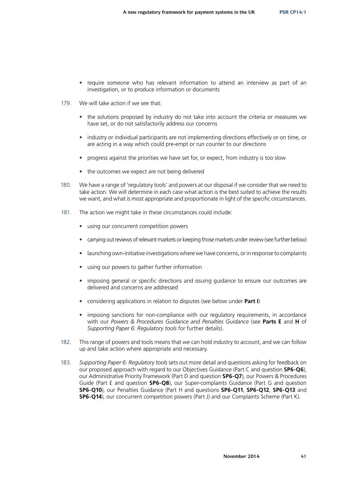- require someone who has relevant information to attend an interview as part of an investigation, or to produce information or documents
- 179. We will take action if we see that:
	- the solutions proposed by industry do not take into account the criteria or measures we have set, or do not satisfactorily address our concerns
	- industry or individual participants are not implementing directions effectively or on time, or are acting in a way which could pre-empt or run counter to our directions
	- progress against the priorities we have set for, or expect, from industry is too slow
	- the outcomes we expect are not being delivered
- 180. We have a range of 'regulatory tools' and powers at our disposal if we consider that we need to take action. We will determine in each case what action is the best suited to achieve the results we want, and what is most appropriate and proportionate in light of the specific circumstances.
- 181. The action we might take in these circumstances could include:
	- using our concurrent competition powers
	- carrying out reviews of relevant markets or keeping those markets under review (see further below)
	- launching own-initiative investigations where we have concerns, or in response to complaints
	- using our powers to gather further information
	- imposing general or specific directions and issuing guidance to ensure our outcomes are delivered and concerns are addressed
	- considering applications in relation to disputes (see below under **Part I**)
	- imposing sanctions for non-compliance with our regulatory requirements, in accordance with our *Powers & Procedures Guidance and Penalties Guidance* (see **Parts E** and **H** of *Supporting Paper 6: Regulatory tools* for further details).
- 182. This range of powers and tools means that we can hold industry to account, and we can follow up and take action where appropriate and necessary.
- 183. *Supporting Paper 6: Regulatory tools* sets out more detail and questions asking for feedback on our proposed approach with regard to our Objectives Guidance (Part C and question **SP6-Q6**), our Administrative Priority Framework (Part D and question **SP6-Q7**), our Powers & Procedures Guide (Part E and question **SP6-Q8**), our Super-complaints Guidance (Part G and question **SP6-Q10**), our Penalties Guidance (Part H and questions **SP6-Q11**, **SP6-Q12**, **SP6-Q13** and **SP6-Q14**), our concurrent competition powers (Part J) and our Complaints Scheme (Part K).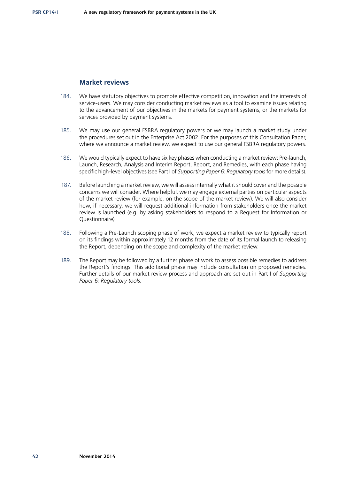### **Market reviews**

- 184. We have statutory objectives to promote effective competition, innovation and the interests of service-users. We may consider conducting market reviews as a tool to examine issues relating to the advancement of our objectives in the markets for payment systems, or the markets for services provided by payment systems.
- 185. We may use our general FSBRA regulatory powers or we may launch a market study under the procedures set out in the Enterprise Act 2002. For the purposes of this Consultation Paper, where we announce a market review, we expect to use our general FSBRA regulatory powers.
- 186. We would typically expect to have six key phases when conducting a market review: Pre-launch, Launch, Research, Analysis and Interim Report, Report, and Remedies, with each phase having specific high-level objectives (see Part I of *Supporting Paper 6: Regulatory tools* for more details).
- 187. Before launching a market review, we will assess internally what it should cover and the possible concerns we will consider. Where helpful, we may engage external parties on particular aspects of the market review (for example, on the scope of the market review). We will also consider how, if necessary, we will request additional information from stakeholders once the market review is launched (e.g. by asking stakeholders to respond to a Request for Information or Questionnaire).
- 188. Following a Pre-Launch scoping phase of work, we expect a market review to typically report on its findings within approximately 12 months from the date of its formal launch to releasing the Report, depending on the scope and complexity of the market review.
- 189. The Report may be followed by a further phase of work to assess possible remedies to address the Report's findings. This additional phase may include consultation on proposed remedies. Further details of our market review process and approach are set out in Part I of *Supporting Paper 6: Regulatory tools*.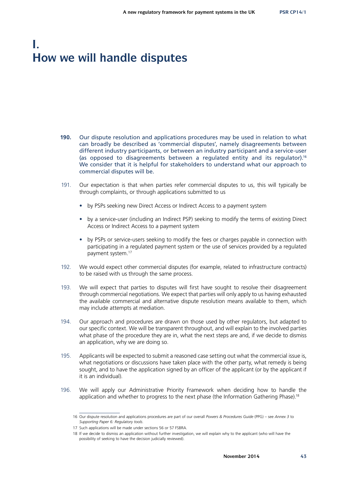# **I. How we will handle disputes**

- **190.** Our dispute resolution and applications procedures may be used in relation to what can broadly be described as 'commercial disputes', namely disagreements between different industry participants, or between an industry participant and a service-user (as opposed to disagreements between a regulated entity and its regulator).16 We consider that it is helpful for stakeholders to understand what our approach to commercial disputes will be.
- 191. Our expectation is that when parties refer commercial disputes to us, this will typically be through complaints, or through applications submitted to us
	- by PSPs seeking new Direct Access or Indirect Access to a payment system
	- by a service-user (including an Indirect PSP) seeking to modify the terms of existing Direct Access or Indirect Access to a payment system
	- by PSPs or service-users seeking to modify the fees or charges payable in connection with participating in a regulated payment system or the use of services provided by a regulated payment system.17
- 192. We would expect other commercial disputes (for example, related to infrastructure contracts) to be raised with us through the same process.
- 193. We will expect that parties to disputes will first have sought to resolve their disagreement through commercial negotiations. We expect that parties will only apply to us having exhausted the available commercial and alternative dispute resolution means available to them, which may include attempts at mediation.
- 194. Our approach and procedures are drawn on those used by other regulators, but adapted to our specific context. We will be transparent throughout, and will explain to the involved parties what phase of the procedure they are in, what the next steps are and, if we decide to dismiss an application, why we are doing so.
- 195. Applicants will be expected to submit a reasoned case setting out what the commercial issue is, what negotiations or discussions have taken place with the other party, what remedy is being sought, and to have the application signed by an officer of the applicant (or by the applicant if it is an individual).
- 196. We will apply our Administrative Priority Framework when deciding how to handle the application and whether to progress to the next phase (the Information Gathering Phase).<sup>18</sup>

<sup>16</sup> Our dispute resolution and applications procedures are part of our overall *Powers & Procedures Guide* (PPG) – see *Annex 3* to *Supporting Paper 6: Regulatory tools*.

<sup>17</sup> Such applications will be made under sections 56 or 57 FSBRA.

<sup>18</sup> If we decide to dismiss an application without further investigation, we will explain why to the applicant (who will have the possibility of seeking to have the decision judicially reviewed).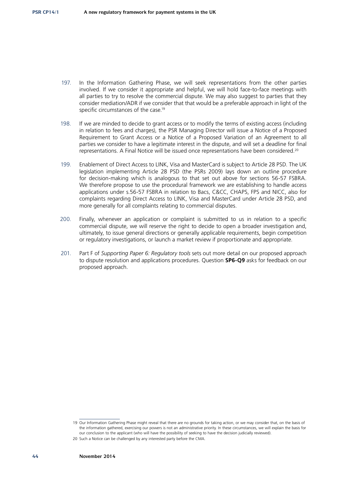- 197. In the Information Gathering Phase, we will seek representations from the other parties involved. If we consider it appropriate and helpful, we will hold face-to-face meetings with all parties to try to resolve the commercial dispute. We may also suggest to parties that they consider mediation/ADR if we consider that that would be a preferable approach in light of the specific circumstances of the case.<sup>19</sup>
- 198. If we are minded to decide to grant access or to modify the terms of existing access (including in relation to fees and charges), the PSR Managing Director will issue a Notice of a Proposed Requirement to Grant Access or a Notice of a Proposed Variation of an Agreement to all parties we consider to have a legitimate interest in the dispute, and will set a deadline for final representations. A Final Notice will be issued once representations have been considered.<sup>20</sup>
- 199. Enablement of Direct Access to LINK, Visa and MasterCard is subject to Article 28 PSD. The UK legislation implementing Article 28 PSD (the PSRs 2009) lays down an outline procedure for decision-making which is analogous to that set out above for sections 56-57 FSBRA. We therefore propose to use the procedural framework we are establishing to handle access applications under s.56-57 FSBRA in relation to Bacs, C&CC, CHAPS, FPS and NICC, also for complaints regarding Direct Access to LINK, Visa and MasterCard under Article 28 PSD, and more generally for all complaints relating to commercial disputes.
- 200. Finally, whenever an application or complaint is submitted to us in relation to a specific commercial dispute, we will reserve the right to decide to open a broader investigation and, ultimately, to issue general directions or generally applicable requirements, begin competition or regulatory investigations, or launch a market review if proportionate and appropriate.
- 201. Part F of *Supporting Paper 6: Regulatory tools* sets out more detail on our proposed approach to dispute resolution and applications procedures. Question **SP6-Q9** asks for feedback on our proposed approach.

<sup>19</sup> Our Information Gathering Phase might reveal that there are no grounds for taking action, or we may consider that, on the basis of the information gathered, exercising our powers is not an administrative priority. In these circumstances, we will explain the basis for our conclusion to the applicant (who will have the possibility of seeking to have the decision judicially reviewed).

<sup>20</sup> Such a Notice can be challenged by any interested party before the CMA.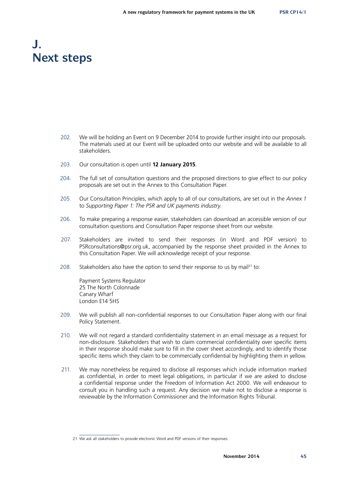# **J. Next steps**

- 202. We will be holding an Event on 9 December 2014 to provide further insight into our proposals. The materials used at our Event will be uploaded onto our website and will be available to all stakeholders.
- 203. Our consultation is open until **12 January 2015**.
- 204. The full set of consultation questions and the proposed directions to give effect to our policy proposals are set out in the Annex to this Consultation Paper.
- 205. Our Consultation Principles, which apply to all of our consultations, are set out in the *Annex 1*  to *Supporting Paper 1: The PSR and UK payments industry*.
- 206. To make preparing a response easier, stakeholders can download an accessible version of our consultation questions and Consultation Paper response sheet from our website.
- 207. Stakeholders are invited to send their responses (in Word and PDF version) to [PSRconsultations@psr.org.uk,](mailto:PSRconsultations@psr.org.uk) accompanied by the response sheet provided in the Annex to this Consultation Paper. We will acknowledge receipt of your response.
- 208. Stakeholders also have the option to send their response to us by mail<sup>21</sup> to:

Payment Systems Regulator 25 The North Colonnade Canary Wharf London E14 5HS

- 209. We will publish all non-confidential responses to our Consultation Paper along with our final Policy Statement.
- 210. We will not regard a standard confidentiality statement in an email message as a request for non-disclosure. Stakeholders that wish to claim commercial confidentiality over specific items in their response should make sure to fill in the cover sheet accordingly, and to identify those specific items which they claim to be commercially confidential by highlighting them in yellow.
- 211. We may nonetheless be required to disclose all responses which include information marked as confidential, in order to meet legal obligations, in particular if we are asked to disclose a confidential response under the Freedom of Information Act 2000. We will endeavour to consult you in handling such a request. Any decision we make not to disclose a response is reviewable by the Information Commissioner and the Information Rights Tribunal.

<sup>21</sup> We ask all stakeholders to provide electronic Word and PDF versions of their responses.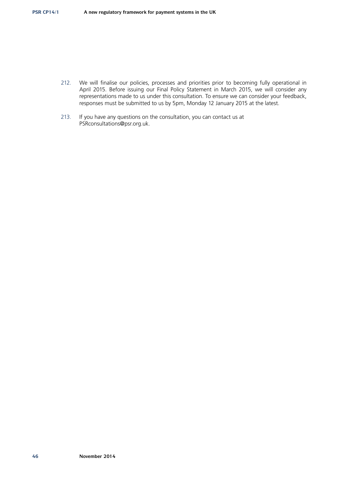- 212. We will finalise our policies, processes and priorities prior to becoming fully operational in April 2015. Before issuing our Final Policy Statement in March 2015, we will consider any representations made to us under this consultation. To ensure we can consider your feedback, responses must be submitted to us by 5pm, Monday 12 January 2015 at the latest.
- 213. If you have any questions on the consultation, you can contact us at [PSRconsultations@psr.org.uk.](mailto:PSRconsultations%40psr.org.uk?subject=)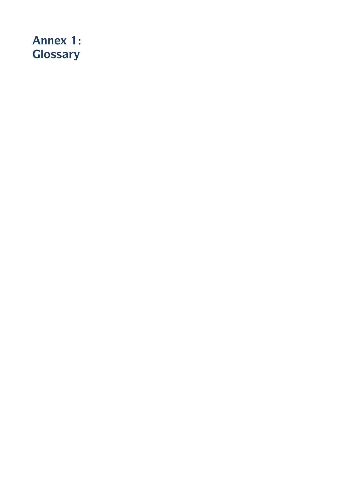# **Annex 1: Glossary**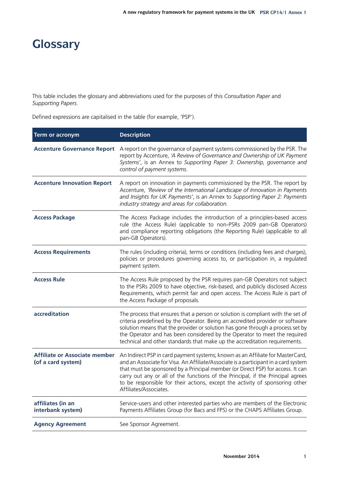# **Glossary**

This table includes the glossary and abbreviations used for the purposes of this *Consultation Paper* and *Supporting Papers*.

Defined expressions are capitalised in the table (for example, 'PSP').

| <b>Term or acronym</b>                                     | <b>Description</b>                                                                                                                                                                                                                                                                                                                                                                                                                                    |
|------------------------------------------------------------|-------------------------------------------------------------------------------------------------------------------------------------------------------------------------------------------------------------------------------------------------------------------------------------------------------------------------------------------------------------------------------------------------------------------------------------------------------|
| <b>Accenture Governance Report</b>                         | A report on the governance of payment systems commissioned by the PSR. The<br>report by Accenture, 'A Review of Governance and Ownership of UK Payment<br>Systems', is an Annex to Supporting Paper 3: Ownership, governance and<br>control of payment systems.                                                                                                                                                                                       |
| <b>Accenture Innovation Report</b>                         | A report on innovation in payments commissioned by the PSR. The report by<br>Accenture, 'Review of the International Landscape of Innovation in Payments<br>and Insights for UK Payments', is an Annex to Supporting Paper 2: Payments<br>industry strategy and areas for collaboration.                                                                                                                                                              |
| <b>Access Package</b>                                      | The Access Package includes the introduction of a principles-based access<br>rule (the Access Rule) (applicable to non-PSRs 2009 pan-GB Operators)<br>and compliance reporting obligations (the Reporting Rule) (applicable to all<br>pan-GB Operators).                                                                                                                                                                                              |
| <b>Access Requirements</b>                                 | The rules (including criteria), terms or conditions (including fees and charges),<br>policies or procedures governing access to, or participation in, a regulated<br>payment system.                                                                                                                                                                                                                                                                  |
| <b>Access Rule</b>                                         | The Access Rule proposed by the PSR requires pan-GB Operators not subject<br>to the PSRs 2009 to have objective, risk-based, and publicly disclosed Access<br>Requirements, which permit fair and open access. The Access Rule is part of<br>the Access Package of proposals.                                                                                                                                                                         |
| accreditation                                              | The process that ensures that a person or solution is compliant with the set of<br>criteria predefined by the Operator. Being an accredited provider or software<br>solution means that the provider or solution has gone through a process set by<br>the Operator and has been considered by the Operator to meet the required<br>technical and other standards that make up the accreditation requirements.                                         |
| <b>Affiliate or Associate member</b><br>(of a card system) | An Indirect PSP in card payment systems; known as an Affiliate for MasterCard,<br>and an Associate for Visa. An Affiliate/Associate is a participant in a card system<br>that must be sponsored by a Principal member (or Direct PSP) for access. It can<br>carry out any or all of the functions of the Principal, if the Principal agrees<br>to be responsible for their actions, except the activity of sponsoring other<br>Affiliates/Associates. |
| affiliates (in an<br>interbank system)                     | Service-users and other interested parties who are members of the Electronic<br>Payments Affiliates Group (for Bacs and FPS) or the CHAPS Affiliates Group.                                                                                                                                                                                                                                                                                           |
| <b>Agency Agreement</b>                                    | See Sponsor Agreement.                                                                                                                                                                                                                                                                                                                                                                                                                                |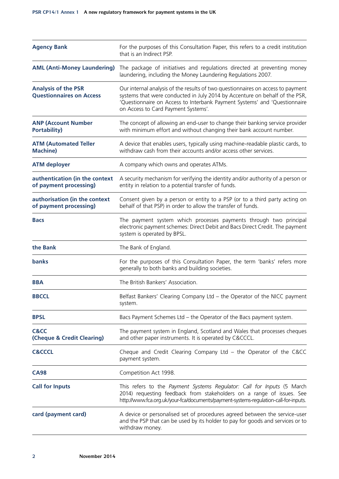| <b>Agency Bank</b>                                            | For the purposes of this Consultation Paper, this refers to a credit institution<br>that is an Indirect PSP.                                                                                                                                                                       |  |  |  |
|---------------------------------------------------------------|------------------------------------------------------------------------------------------------------------------------------------------------------------------------------------------------------------------------------------------------------------------------------------|--|--|--|
| <b>AML (Anti-Money Laundering)</b>                            | The package of initiatives and regulations directed at preventing money<br>laundering, including the Money Laundering Regulations 2007.                                                                                                                                            |  |  |  |
| <b>Analysis of the PSR</b><br><b>Questionnaires on Access</b> | Our internal analysis of the results of two questionnaires on access to payment<br>systems that were conducted in July 2014 by Accenture on behalf of the PSR,<br>'Questionnaire on Access to Interbank Payment Systems' and 'Questionnaire<br>on Access to Card Payment Systems'. |  |  |  |
| <b>ANP (Account Number</b><br><b>Portability)</b>             | The concept of allowing an end-user to change their banking service provider<br>with minimum effort and without changing their bank account number.                                                                                                                                |  |  |  |
| <b>ATM (Automated Teller</b><br><b>Machine)</b>               | A device that enables users, typically using machine-readable plastic cards, to<br>withdraw cash from their accounts and/or access other services.                                                                                                                                 |  |  |  |
| <b>ATM deployer</b>                                           | A company which owns and operates ATMs.                                                                                                                                                                                                                                            |  |  |  |
| authentication (in the context<br>of payment processing)      | A security mechanism for verifying the identity and/or authority of a person or<br>entity in relation to a potential transfer of funds.                                                                                                                                            |  |  |  |
| authorisation (in the context<br>of payment processing)       | Consent given by a person or entity to a PSP (or to a third party acting on<br>behalf of that PSP) in order to allow the transfer of funds.                                                                                                                                        |  |  |  |
| <b>Bacs</b>                                                   | The payment system which processes payments through two principal<br>electronic payment schemes: Direct Debit and Bacs Direct Credit. The payment<br>system is operated by BPSL.                                                                                                   |  |  |  |
| the Bank                                                      | The Bank of England.                                                                                                                                                                                                                                                               |  |  |  |
| banks                                                         | For the purposes of this Consultation Paper, the term 'banks' refers more<br>generally to both banks and building societies.                                                                                                                                                       |  |  |  |
| <b>BBA</b>                                                    | The British Bankers' Association.                                                                                                                                                                                                                                                  |  |  |  |
| <b>BBCCL</b>                                                  | Belfast Bankers' Clearing Company Ltd - the Operator of the NICC payment<br>system.                                                                                                                                                                                                |  |  |  |
| <b>BPSL</b>                                                   | Bacs Payment Schemes Ltd - the Operator of the Bacs payment system.                                                                                                                                                                                                                |  |  |  |
| C&CC<br>(Cheque & Credit Clearing)                            | The payment system in England, Scotland and Wales that processes cheques<br>and other paper instruments. It is operated by C&CCCL.                                                                                                                                                 |  |  |  |
| <b>C&amp;CCCL</b>                                             | Cheque and Credit Clearing Company Ltd - the Operator of the C&CC<br>payment system.                                                                                                                                                                                               |  |  |  |
| <b>CA98</b>                                                   | Competition Act 1998.                                                                                                                                                                                                                                                              |  |  |  |
| <b>Call for Inputs</b>                                        | This refers to the Payment Systems Regulator: Call for Inputs (5 March<br>2014) requesting feedback from stakeholders on a range of issues. See<br>http://www.fca.org.uk/your-fca/documents/payment-systems-regulation-call-for-inputs.                                            |  |  |  |
| card (payment card)                                           | A device or personalised set of procedures agreed between the service-user<br>and the PSP that can be used by its holder to pay for goods and services or to<br>withdraw money.                                                                                                    |  |  |  |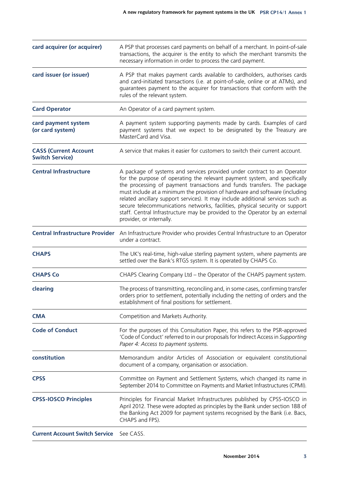| card acquirer (or acquirer)                            | A PSP that processes card payments on behalf of a merchant. In point-of-sale<br>transactions, the acquirer is the entity to which the merchant transmits the<br>necessary information in order to process the card payment.                                                                                                                                                                                                                                                                                                                                                                     |
|--------------------------------------------------------|-------------------------------------------------------------------------------------------------------------------------------------------------------------------------------------------------------------------------------------------------------------------------------------------------------------------------------------------------------------------------------------------------------------------------------------------------------------------------------------------------------------------------------------------------------------------------------------------------|
| card issuer (or issuer)                                | A PSP that makes payment cards available to cardholders, authorises cards<br>and card-initiated transactions (i.e. at point-of-sale, online or at ATMs), and<br>guarantees payment to the acquirer for transactions that conform with the<br>rules of the relevant system.                                                                                                                                                                                                                                                                                                                      |
| <b>Card Operator</b>                                   | An Operator of a card payment system.                                                                                                                                                                                                                                                                                                                                                                                                                                                                                                                                                           |
| card payment system<br>(or card system)                | A payment system supporting payments made by cards. Examples of card<br>payment systems that we expect to be designated by the Treasury are<br>MasterCard and Visa.                                                                                                                                                                                                                                                                                                                                                                                                                             |
| <b>CASS (Current Account</b><br><b>Switch Service)</b> | A service that makes it easier for customers to switch their current account.                                                                                                                                                                                                                                                                                                                                                                                                                                                                                                                   |
| <b>Central Infrastructure</b>                          | A package of systems and services provided under contract to an Operator<br>for the purpose of operating the relevant payment system, and specifically<br>the processing of payment transactions and funds transfers. The package<br>must include at a minimum the provision of hardware and software (including<br>related ancillary support services). It may include additional services such as<br>secure telecommunications networks, facilities, physical security or support<br>staff. Central Infrastructure may be provided to the Operator by an external<br>provider, or internally. |
| <b>Central Infrastructure Provider</b>                 | An Infrastructure Provider who provides Central Infrastructure to an Operator<br>under a contract.                                                                                                                                                                                                                                                                                                                                                                                                                                                                                              |
| <b>CHAPS</b>                                           | The UK's real-time, high-value sterling payment system, where payments are<br>settled over the Bank's RTGS system. It is operated by CHAPS Co.                                                                                                                                                                                                                                                                                                                                                                                                                                                  |
| <b>CHAPS Co</b>                                        | CHAPS Clearing Company Ltd - the Operator of the CHAPS payment system.                                                                                                                                                                                                                                                                                                                                                                                                                                                                                                                          |
| clearing                                               | The process of transmitting, reconciling and, in some cases, confirming transfer<br>orders prior to settlement, potentially including the netting of orders and the<br>establishment of final positions for settlement.                                                                                                                                                                                                                                                                                                                                                                         |
| <b>CMA</b>                                             | Competition and Markets Authority.                                                                                                                                                                                                                                                                                                                                                                                                                                                                                                                                                              |
| <b>Code of Conduct</b>                                 | For the purposes of this Consultation Paper, this refers to the PSR-approved<br>'Code of Conduct' referred to in our proposals for Indirect Access in Supporting<br>Paper 4: Access to payment systems.                                                                                                                                                                                                                                                                                                                                                                                         |
| constitution                                           | Memorandum and/or Articles of Association or equivalent constitutional<br>document of a company, organisation or association.                                                                                                                                                                                                                                                                                                                                                                                                                                                                   |
| <b>CPSS</b>                                            | Committee on Payment and Settlement Systems, which changed its name in<br>September 2014 to Committee on Payments and Market Infrastructures (CPMI).                                                                                                                                                                                                                                                                                                                                                                                                                                            |
| <b>CPSS-IOSCO Principles</b>                           | Principles for Financial Market Infrastructures published by CPSS-IOSCO in<br>April 2012. These were adopted as principles by the Bank under section 188 of<br>the Banking Act 2009 for payment systems recognised by the Bank (i.e. Bacs,<br>CHAPS and FPS).                                                                                                                                                                                                                                                                                                                                   |
| <b>Current Account Switch Service</b>                  | See CASS.                                                                                                                                                                                                                                                                                                                                                                                                                                                                                                                                                                                       |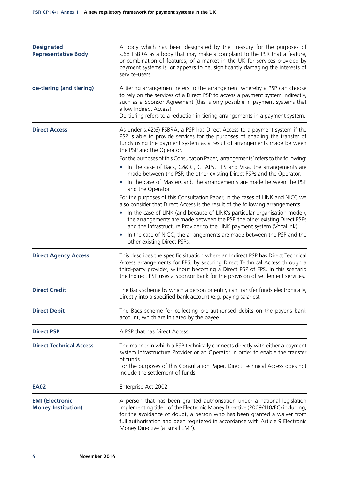| <b>Designated</b><br><b>Representative Body</b>     | A body which has been designated by the Treasury for the purposes of<br>s.68 FSBRA as a body that may make a complaint to the PSR that a feature,<br>or combination of features, of a market in the UK for services provided by<br>payment systems is, or appears to be, significantly damaging the interests of<br>service-users.                             |
|-----------------------------------------------------|----------------------------------------------------------------------------------------------------------------------------------------------------------------------------------------------------------------------------------------------------------------------------------------------------------------------------------------------------------------|
| de-tiering (and tiering)                            | A tiering arrangement refers to the arrangement whereby a PSP can choose<br>to rely on the services of a Direct PSP to access a payment system indirectly,<br>such as a Sponsor Agreement (this is only possible in payment systems that<br>allow Indirect Access).<br>De-tiering refers to a reduction in tiering arrangements in a payment system.           |
| <b>Direct Access</b>                                | As under s.42(6) FSBRA, a PSP has Direct Access to a payment system if the<br>PSP is able to provide services for the purposes of enabling the transfer of<br>funds using the payment system as a result of arrangements made between<br>the PSP and the Operator.                                                                                             |
|                                                     | For the purposes of this Consultation Paper, 'arrangements' refers to the following:<br>In the case of Bacs, C&CC, CHAPS, FPS and Visa, the arrangements are<br>made between the PSP, the other existing Direct PSPs and the Operator.                                                                                                                         |
|                                                     | In the case of MasterCard, the arrangements are made between the PSP<br>and the Operator.                                                                                                                                                                                                                                                                      |
|                                                     | For the purposes of this Consultation Paper, in the cases of LINK and NICC we<br>also consider that Direct Access is the result of the following arrangements:                                                                                                                                                                                                 |
|                                                     | In the case of LINK (and because of LINK's particular organisation model),<br>the arrangements are made between the PSP, the other existing Direct PSPs<br>and the Infrastructure Provider to the LINK payment system (VocaLink).                                                                                                                              |
|                                                     | In the case of NICC, the arrangements are made between the PSP and the<br>$\bullet$<br>other existing Direct PSPs.                                                                                                                                                                                                                                             |
| <b>Direct Agency Access</b>                         | This describes the specific situation where an Indirect PSP has Direct Technical<br>Access arrangements for FPS, by securing Direct Technical Access through a<br>third-party provider, without becoming a Direct PSP of FPS. In this scenario<br>the Indirect PSP uses a Sponsor Bank for the provision of settlement services.                               |
| <b>Direct Credit</b>                                | The Bacs scheme by which a person or entity can transfer funds electronically,<br>directly into a specified bank account (e.g. paying salaries).                                                                                                                                                                                                               |
| <b>Direct Debit</b>                                 | The Bacs scheme for collecting pre-authorised debits on the payer's bank<br>account, which are initiated by the payee.                                                                                                                                                                                                                                         |
| <b>Direct PSP</b>                                   | A PSP that has Direct Access.                                                                                                                                                                                                                                                                                                                                  |
| <b>Direct Technical Access</b>                      | The manner in which a PSP technically connects directly with either a payment<br>system Infrastructure Provider or an Operator in order to enable the transfer<br>of funds.<br>For the purposes of this Consultation Paper, Direct Technical Access does not<br>include the settlement of funds.                                                               |
| <b>EA02</b>                                         | Enterprise Act 2002.                                                                                                                                                                                                                                                                                                                                           |
| <b>EMI (Electronic</b><br><b>Money Institution)</b> | A person that has been granted authorisation under a national legislation<br>implementing title II of the Electronic Money Directive (2009/110/EC) including,<br>for the avoidance of doubt, a person who has been granted a waiver from<br>full authorisation and been registered in accordance with Article 9 Electronic<br>Money Directive (a 'small EMI'). |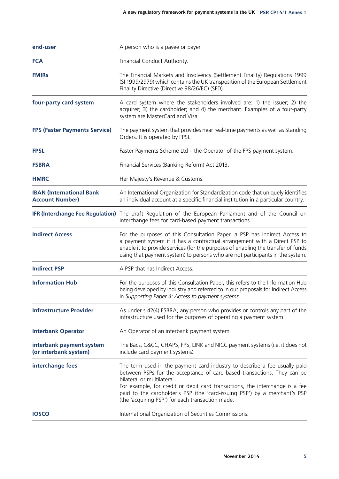| end-user                                                  | A person who is a payee or payer.                                                                                                                                                                                                                                                                                                                                                                   |  |  |  |
|-----------------------------------------------------------|-----------------------------------------------------------------------------------------------------------------------------------------------------------------------------------------------------------------------------------------------------------------------------------------------------------------------------------------------------------------------------------------------------|--|--|--|
| <b>FCA</b>                                                | Financial Conduct Authority.                                                                                                                                                                                                                                                                                                                                                                        |  |  |  |
| <b>FMIRs</b>                                              | The Financial Markets and Insolvency (Settlement Finality) Regulations 1999<br>(SI 1999/2979) which contains the UK transposition of the European Settlement<br>Finality Directive (Directive 98/26/EC) (SFD).                                                                                                                                                                                      |  |  |  |
| four-party card system                                    | A card system where the stakeholders involved are: 1) the issuer; 2) the<br>acquirer; 3) the cardholder; and 4) the merchant. Examples of a four-party<br>system are MasterCard and Visa.                                                                                                                                                                                                           |  |  |  |
| <b>FPS (Faster Payments Service)</b>                      | The payment system that provides near real-time payments as well as Standing<br>Orders. It is operated by FPSL.                                                                                                                                                                                                                                                                                     |  |  |  |
| <b>FPSL</b>                                               | Faster Payments Scheme Ltd - the Operator of the FPS payment system.                                                                                                                                                                                                                                                                                                                                |  |  |  |
| <b>FSBRA</b>                                              | Financial Services (Banking Reform) Act 2013.                                                                                                                                                                                                                                                                                                                                                       |  |  |  |
| <b>HMRC</b>                                               | Her Majesty's Revenue & Customs.                                                                                                                                                                                                                                                                                                                                                                    |  |  |  |
| <b>IBAN (International Bank</b><br><b>Account Number)</b> | An International Organization for Standardization code that uniquely identifies<br>an individual account at a specific financial institution in a particular country.                                                                                                                                                                                                                               |  |  |  |
|                                                           | IFR (Interchange Fee Regulation) The draft Regulation of the European Parliament and of the Council on<br>interchange fees for card-based payment transactions.                                                                                                                                                                                                                                     |  |  |  |
| <b>Indirect Access</b>                                    | For the purposes of this Consultation Paper, a PSP has Indirect Access to<br>a payment system if it has a contractual arrangement with a Direct PSP to<br>enable it to provide services (for the purposes of enabling the transfer of funds<br>using that payment system) to persons who are not participants in the system.                                                                        |  |  |  |
| <b>Indirect PSP</b>                                       | A PSP that has Indirect Access.                                                                                                                                                                                                                                                                                                                                                                     |  |  |  |
| <b>Information Hub</b>                                    | For the purposes of this Consultation Paper, this refers to the Information Hub<br>being developed by industry and referred to in our proposals for Indirect Access<br>in Supporting Paper 4: Access to payment systems.                                                                                                                                                                            |  |  |  |
| <b>Infrastructure Provider</b>                            | As under s.42(4) FSBRA, any person who provides or controls any part of the<br>infrastructure used for the purposes of operating a payment system.                                                                                                                                                                                                                                                  |  |  |  |
| <b>Interbank Operator</b>                                 | An Operator of an interbank payment system.                                                                                                                                                                                                                                                                                                                                                         |  |  |  |
| interbank payment system<br>(or interbank system)         | The Bacs, C&CC, CHAPS, FPS, LINK and NICC payment systems (i.e. it does not<br>include card payment systems).                                                                                                                                                                                                                                                                                       |  |  |  |
| interchange fees                                          | The term used in the payment card industry to describe a fee usually paid<br>between PSPs for the acceptance of card-based transactions. They can be<br>bilateral or multilateral.<br>For example, for credit or debit card transactions, the interchange is a fee<br>paid to the cardholder's PSP (the 'card-issuing PSP') by a merchant's PSP<br>(the 'acquiring PSP') for each transaction made. |  |  |  |
| <b>IOSCO</b>                                              | International Organization of Securities Commissions.                                                                                                                                                                                                                                                                                                                                               |  |  |  |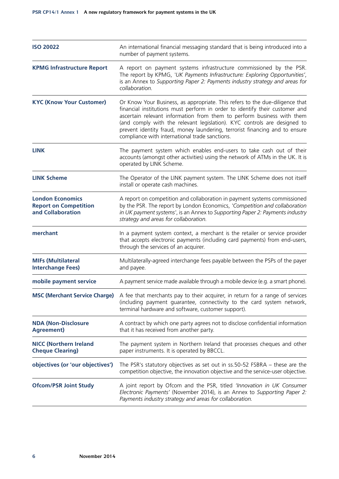| <b>ISO 20022</b>                                                             | An international financial messaging standard that is being introduced into a<br>number of payment systems.                                                                                                                                                                                                                                                                                                                                        |  |  |  |
|------------------------------------------------------------------------------|----------------------------------------------------------------------------------------------------------------------------------------------------------------------------------------------------------------------------------------------------------------------------------------------------------------------------------------------------------------------------------------------------------------------------------------------------|--|--|--|
| <b>KPMG Infrastructure Report</b>                                            | A report on payment systems infrastructure commissioned by the PSR.<br>The report by KPMG, 'UK Payments Infrastructure: Exploring Opportunities',<br>is an Annex to Supporting Paper 2: Payments industry strategy and areas for<br>collaboration.                                                                                                                                                                                                 |  |  |  |
| <b>KYC (Know Your Customer)</b>                                              | Or Know Your Business, as appropriate. This refers to the due-diligence that<br>financial institutions must perform in order to identify their customer and<br>ascertain relevant information from them to perform business with them<br>(and comply with the relevant legislation). KYC controls are designed to<br>prevent identity fraud, money laundering, terrorist financing and to ensure<br>compliance with international trade sanctions. |  |  |  |
| <b>LINK</b>                                                                  | The payment system which enables end-users to take cash out of their<br>accounts (amongst other activities) using the network of ATMs in the UK. It is<br>operated by LINK Scheme.                                                                                                                                                                                                                                                                 |  |  |  |
| <b>LINK Scheme</b>                                                           | The Operator of the LINK payment system. The LINK Scheme does not itself<br>install or operate cash machines.                                                                                                                                                                                                                                                                                                                                      |  |  |  |
| <b>London Economics</b><br><b>Report on Competition</b><br>and Collaboration | A report on competition and collaboration in payment systems commissioned<br>by the PSR. The report by London Economics, 'Competition and collaboration<br>in UK payment systems', is an Annex to Supporting Paper 2: Payments industry<br>strategy and areas for collaboration.                                                                                                                                                                   |  |  |  |
| merchant                                                                     | In a payment system context, a merchant is the retailer or service provider<br>that accepts electronic payments (including card payments) from end-users,<br>through the services of an acquirer.                                                                                                                                                                                                                                                  |  |  |  |
| <b>MIFs (Multilateral</b><br><b>Interchange Fees)</b>                        | Multilaterally-agreed interchange fees payable between the PSPs of the payer<br>and payee.                                                                                                                                                                                                                                                                                                                                                         |  |  |  |
| mobile payment service                                                       | A payment service made available through a mobile device (e.g. a smart phone).                                                                                                                                                                                                                                                                                                                                                                     |  |  |  |
|                                                                              | MSC (Merchant Service Charge) A fee that merchants pay to their acquirer, in return for a range of services<br>(including payment guarantee, connectivity to the card system network,<br>terminal hardware and software, customer support).                                                                                                                                                                                                        |  |  |  |
| <b>NDA (Non-Disclosure</b><br><b>Agreement)</b>                              | A contract by which one party agrees not to disclose confidential information<br>that it has received from another party.                                                                                                                                                                                                                                                                                                                          |  |  |  |
| <b>NICC (Northern Ireland</b><br><b>Cheque Clearing)</b>                     | The payment system in Northern Ireland that processes cheques and other<br>paper instruments. It is operated by BBCCL.                                                                                                                                                                                                                                                                                                                             |  |  |  |
| objectives (or 'our objectives')                                             | The PSR's statutory objectives as set out in $ss.50-52$ FSBRA $-$ these are the<br>competition objective, the innovation objective and the service-user objective.                                                                                                                                                                                                                                                                                 |  |  |  |
| <b>Ofcom/PSR Joint Study</b>                                                 | A joint report by Ofcom and the PSR, titled 'Innovation in UK Consumer<br>Electronic Payments' (November 2014), is an Annex to Supporting Paper 2:<br>Payments industry strategy and areas for collaboration.                                                                                                                                                                                                                                      |  |  |  |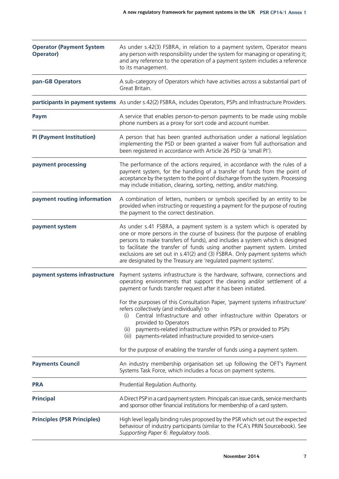| <b>Operator (Payment System</b><br><b>Operator)</b> | As under s.42(3) FSBRA, in relation to a payment system, Operator means<br>any person with responsibility under the system for managing or operating it;<br>and any reference to the operation of a payment system includes a reference<br>to its management.                                                                                                                                                                                                                                                                                                                                                                                                                             |  |
|-----------------------------------------------------|-------------------------------------------------------------------------------------------------------------------------------------------------------------------------------------------------------------------------------------------------------------------------------------------------------------------------------------------------------------------------------------------------------------------------------------------------------------------------------------------------------------------------------------------------------------------------------------------------------------------------------------------------------------------------------------------|--|
| pan-GB Operators                                    | A sub-category of Operators which have activities across a substantial part of<br>Great Britain.                                                                                                                                                                                                                                                                                                                                                                                                                                                                                                                                                                                          |  |
|                                                     | participants in payment systems As under s.42(2) FSBRA, includes Operators, PSPs and Infrastructure Providers.                                                                                                                                                                                                                                                                                                                                                                                                                                                                                                                                                                            |  |
| Paym                                                | A service that enables person-to-person payments to be made using mobile<br>phone numbers as a proxy for sort code and account number.                                                                                                                                                                                                                                                                                                                                                                                                                                                                                                                                                    |  |
| <b>PI (Payment Institution)</b>                     | A person that has been granted authorisation under a national legislation<br>implementing the PSD or been granted a waiver from full authorisation and<br>been registered in accordance with Article 26 PSD (a 'small PI').                                                                                                                                                                                                                                                                                                                                                                                                                                                               |  |
| payment processing                                  | The performance of the actions required, in accordance with the rules of a<br>payment system, for the handling of a transfer of funds from the point of<br>acceptance by the system to the point of discharge from the system. Processing<br>may include initiation, clearing, sorting, netting, and/or matching.                                                                                                                                                                                                                                                                                                                                                                         |  |
| payment routing information                         | A combination of letters, numbers or symbols specified by an entity to be<br>provided when instructing or requesting a payment for the purpose of routing<br>the payment to the correct destination.                                                                                                                                                                                                                                                                                                                                                                                                                                                                                      |  |
| payment system                                      | As under s.41 FSBRA, a payment system is a system which is operated by<br>one or more persons in the course of business (for the purpose of enabling<br>persons to make transfers of funds), and includes a system which is designed<br>to facilitate the transfer of funds using another payment system. Limited<br>exclusions are set out in s.41(2) and (3) FSBRA. Only payment systems which<br>are designated by the Treasury are 'regulated payment systems'.                                                                                                                                                                                                                       |  |
| payment systems infrastructure                      | Payment systems infrastructure is the hardware, software, connections and<br>operating environments that support the clearing and/or settlement of a<br>payment or funds transfer request after it has been initiated.<br>For the purposes of this Consultation Paper, 'payment systems infrastructure'<br>refers collectively (and individually) to<br>Central Infrastructure and other infrastructure within Operators or<br>(i)<br>provided to Operators<br>payments-related infrastructure within PSPs or provided to PSPs<br>(ii)<br>payments-related infrastructure provided to service-users<br>(iii)<br>for the purpose of enabling the transfer of funds using a payment system. |  |
| <b>Payments Council</b>                             | An industry membership organisation set up following the OFT's Payment<br>Systems Task Force, which includes a focus on payment systems.                                                                                                                                                                                                                                                                                                                                                                                                                                                                                                                                                  |  |
| <b>PRA</b>                                          | Prudential Regulation Authority.                                                                                                                                                                                                                                                                                                                                                                                                                                                                                                                                                                                                                                                          |  |
| <b>Principal</b>                                    | A Direct PSP in a card payment system. Principals can issue cards, service merchants<br>and sponsor other financial institutions for membership of a card system.                                                                                                                                                                                                                                                                                                                                                                                                                                                                                                                         |  |
| <b>Principles (PSR Principles)</b>                  | High level legally binding rules proposed by the PSR which set out the expected<br>behaviour of industry participants (similar to the FCA's PRIN Sourcebook). See<br>Supporting Paper 6: Regulatory tools.                                                                                                                                                                                                                                                                                                                                                                                                                                                                                |  |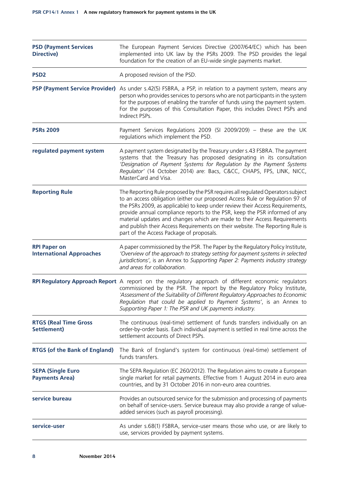| <b>PSD (Payment Services</b><br><b>Directive)</b>      | The European Payment Services Directive (2007/64/EC) which has been<br>implemented into UK law by the PSRs 2009. The PSD provides the legal<br>foundation for the creation of an EU-wide single payments market.                                                                                                                                                                                                                                                                                                                        |  |  |
|--------------------------------------------------------|-----------------------------------------------------------------------------------------------------------------------------------------------------------------------------------------------------------------------------------------------------------------------------------------------------------------------------------------------------------------------------------------------------------------------------------------------------------------------------------------------------------------------------------------|--|--|
| PSD <sub>2</sub>                                       | A proposed revision of the PSD.                                                                                                                                                                                                                                                                                                                                                                                                                                                                                                         |  |  |
| <b>PSP (Payment Service Provider)</b>                  | As under s.42(5) FSBRA, a PSP, in relation to a payment system, means any<br>person who provides services to persons who are not participants in the system<br>for the purposes of enabling the transfer of funds using the payment system.<br>For the purposes of this Consultation Paper, this includes Direct PSPs and<br>Indirect PSPs.                                                                                                                                                                                             |  |  |
| <b>PSRs 2009</b>                                       | Payment Services Regulations 2009 (SI 2009/209) - these are the UK<br>regulations which implement the PSD.                                                                                                                                                                                                                                                                                                                                                                                                                              |  |  |
| regulated payment system                               | A payment system designated by the Treasury under s.43 FSBRA. The payment<br>systems that the Treasury has proposed designating in its consultation<br>'Designation of Payment Systems for Regulation by the Payment Systems<br>Regulator' (14 October 2014) are: Bacs, C&CC, CHAPS, FPS, LINK, NICC,<br>MasterCard and Visa.                                                                                                                                                                                                           |  |  |
| <b>Reporting Rule</b>                                  | The Reporting Rule proposed by the PSR requires all regulated Operators subject<br>to an access obligation (either our proposed Access Rule or Regulation 97 of<br>the PSRs 2009, as applicable) to keep under review their Access Requirements,<br>provide annual compliance reports to the PSR, keep the PSR informed of any<br>material updates and changes which are made to their Access Requirements<br>and publish their Access Requirements on their website. The Reporting Rule is<br>part of the Access Package of proposals. |  |  |
| <b>RPI Paper on</b><br><b>International Approaches</b> | A paper commissioned by the PSR. The Paper by the Regulatory Policy Institute,<br>'Overview of the approach to strategy setting for payment systems in selected<br>jurisdictions', is an Annex to Supporting Paper 2: Payments industry strategy<br>and areas for collaboration.                                                                                                                                                                                                                                                        |  |  |
|                                                        | RPI Regulatory Approach Report A report on the regulatory approach of different economic regulators<br>commissioned by the PSR. The report by the Regulatory Policy Institute,<br>'Assessment of the Suitability of Different Regulatory Approaches to Economic<br>Regulation that could be applied to Payment Systems', is an Annex to<br>Supporting Paper 1: The PSR and UK payments industry.                                                                                                                                        |  |  |
| <b>RTGS (Real Time Gross</b><br>Settlement)            | The continuous (real-time) settlement of funds transfers individually on an<br>order-by-order basis. Each individual payment is settled in real time across the<br>settlement accounts of Direct PSPs.                                                                                                                                                                                                                                                                                                                                  |  |  |
| <b>RTGS (of the Bank of England)</b>                   | The Bank of England's system for continuous (real-time) settlement of<br>funds transfers.                                                                                                                                                                                                                                                                                                                                                                                                                                               |  |  |
| <b>SEPA (Single Euro</b><br><b>Payments Area)</b>      | The SEPA Regulation (EC 260/2012). The Regulation aims to create a European<br>single market for retail payments. Effective from 1 August 2014 in euro area<br>countries, and by 31 October 2016 in non-euro area countries.                                                                                                                                                                                                                                                                                                            |  |  |
| service bureau                                         | Provides an outsourced service for the submission and processing of payments<br>on behalf of service-users. Service bureaux may also provide a range of value-<br>added services (such as payroll processing).                                                                                                                                                                                                                                                                                                                          |  |  |
| service-user                                           | As under s.68(1) FSBRA, service-user means those who use, or are likely to<br>use, services provided by payment systems.                                                                                                                                                                                                                                                                                                                                                                                                                |  |  |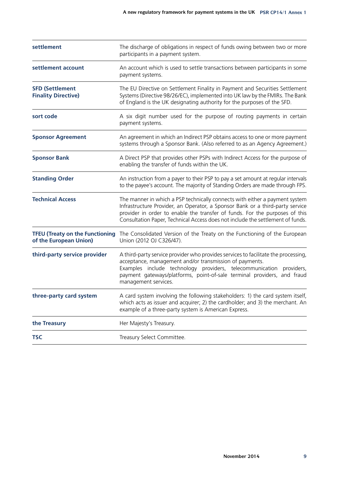| settlement                                                       | The discharge of obligations in respect of funds owing between two or more<br>participants in a payment system.                                                                                                                                                                                                               |  |  |
|------------------------------------------------------------------|-------------------------------------------------------------------------------------------------------------------------------------------------------------------------------------------------------------------------------------------------------------------------------------------------------------------------------|--|--|
| settlement account                                               | An account which is used to settle transactions between participants in some<br>payment systems.                                                                                                                                                                                                                              |  |  |
| <b>SFD (Settlement</b><br><b>Finality Directive)</b>             | The EU Directive on Settlement Finality in Payment and Securities Settlement<br>Systems (Directive 98/26/EC), implemented into UK law by the FMIRs. The Bank<br>of England is the UK designating authority for the purposes of the SFD.                                                                                       |  |  |
| sort code                                                        | A six digit number used for the purpose of routing payments in certain<br>payment systems.                                                                                                                                                                                                                                    |  |  |
| <b>Sponsor Agreement</b>                                         | An agreement in which an Indirect PSP obtains access to one or more payment<br>systems through a Sponsor Bank. (Also referred to as an Agency Agreement.)                                                                                                                                                                     |  |  |
| <b>Sponsor Bank</b>                                              | A Direct PSP that provides other PSPs with Indirect Access for the purpose of<br>enabling the transfer of funds within the UK.                                                                                                                                                                                                |  |  |
| <b>Standing Order</b>                                            | An instruction from a payer to their PSP to pay a set amount at regular intervals<br>to the payee's account. The majority of Standing Orders are made through FPS.                                                                                                                                                            |  |  |
| <b>Technical Access</b>                                          | The manner in which a PSP technically connects with either a payment system<br>Infrastructure Provider, an Operator, a Sponsor Bank or a third-party service<br>provider in order to enable the transfer of funds. For the purposes of this<br>Consultation Paper, Technical Access does not include the settlement of funds. |  |  |
| <b>TFEU (Treaty on the Functioning</b><br>of the European Union) | The Consolidated Version of the Treaty on the Functioning of the European<br>Union (2012 OJ C326/47).                                                                                                                                                                                                                         |  |  |
| third-party service provider                                     | A third-party service provider who provides services to facilitate the processing,<br>acceptance, management and/or transmission of payments.<br>Examples include technology providers, telecommunication providers,<br>payment gateways/platforms, point-of-sale terminal providers, and fraud<br>management services.       |  |  |
| three-party card system                                          | A card system involving the following stakeholders: 1) the card system itself,<br>which acts as issuer and acquirer; 2) the cardholder; and 3) the merchant. An<br>example of a three-party system is American Express.                                                                                                       |  |  |
| the Treasury                                                     | Her Majesty's Treasury.                                                                                                                                                                                                                                                                                                       |  |  |
| <b>TSC</b>                                                       | Treasury Select Committee.                                                                                                                                                                                                                                                                                                    |  |  |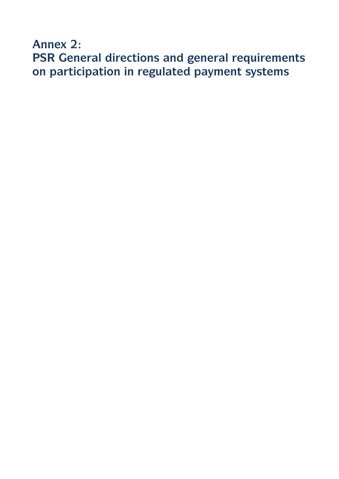**Annex 2: PSR General directions and general requirements on participation in regulated payment systems**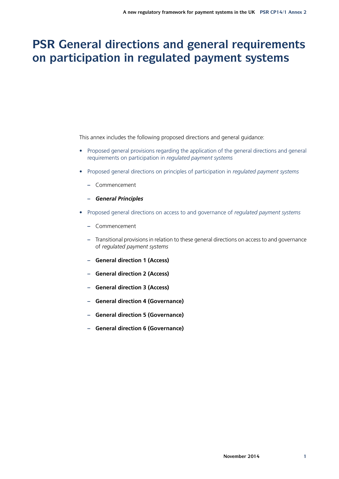# **PSR General directions and general requirements on participation in regulated payment systems**

This annex includes the following proposed directions and general guidance:

- Proposed general provisions regarding the application of the general directions and general requirements on participation in *regulated payment systems*
- Proposed general directions on principles of participation in *regulated payment systems*
	- **–** Commencement
	- **–** *General Principles*
- Proposed general directions on access to and governance of *regulated payment systems*
	- **–** Commencement
	- **–** Transitional provisions in relation to these general directions on access to and governance of *regulated payment systems*
	- **– General direction 1 (Access)**
	- **– General direction 2 (Access)**
	- **– General direction 3 (Access)**
	- **– General direction 4 (Governance)**
	- **– General direction 5 (Governance)**
	- **– General direction 6 (Governance)**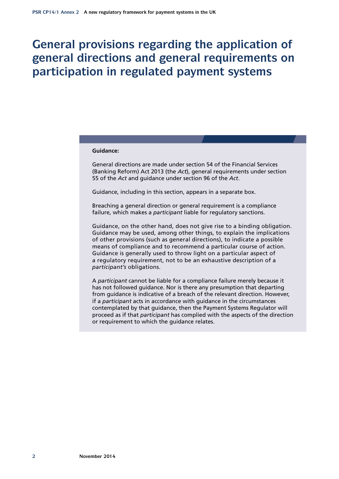# **General provisions regarding the application of general directions and general requirements on participation in regulated payment systems**

#### **Guidance:**

General directions are made under section 54 of the Financial Services (Banking Reform) Act 2013 (the *Act*), general requirements under section 55 of the *Act* and guidance under section 96 of the *Act*.

Guidance, including in this section, appears in a separate box.

Breaching a general direction or general requirement is a compliance failure, which makes a *participant* liable for regulatory sanctions.

Guidance, on the other hand, does not give rise to a binding obligation. Guidance may be used, among other things, to explain the implications of other provisions (such as general directions), to indicate a possible means of compliance and to recommend a particular course of action. Guidance is generally used to throw light on a particular aspect of a regulatory requirement, not to be an exhaustive description of a *participant's* obligations.

A *participant* cannot be liable for a compliance failure merely because it has not followed guidance. Nor is there any presumption that departing from guidance is indicative of a breach of the relevant direction. However, if a *participant* acts in accordance with guidance in the circumstances contemplated by that guidance, then the Payment Systems Regulator will proceed as if that *participant* has complied with the aspects of the direction or requirement to which the guidance relates.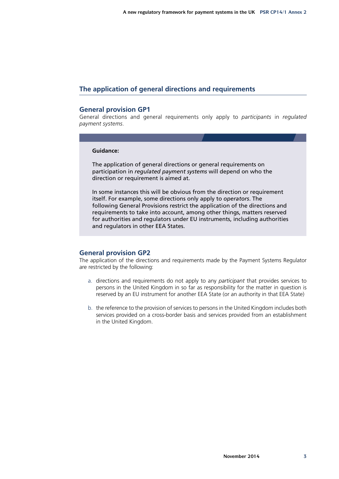## **The application of general directions and requirements**

### **General provision GP1**

General directions and general requirements only apply to *participants* in *regulated payment systems*.

#### **Guidance:**

The application of general directions or general requirements on participation in *regulated payment systems* will depend on who the direction or requirement is aimed at.

In some instances this will be obvious from the direction or requirement itself. For example, some directions only apply to *operators*. The following General Provisions restrict the application of the directions and requirements to take into account, among other things, matters reserved for authorities and regulators under EU instruments, including authorities and regulators in other EEA States.

## **General provision GP2**

The application of the directions and requirements made by the Payment Systems Regulator are restricted by the following:

- a. directions and requirements do not apply to any *participant* that provides services to persons in the United Kingdom in so far as responsibility for the matter in question is reserved by an EU instrument for another EEA State (or an authority in that EEA State)
- b. the reference to the provision of services to persons in the United Kingdom includes both services provided on a cross-border basis and services provided from an establishment in the United Kingdom.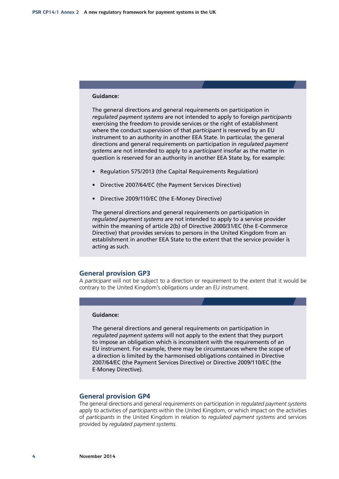### **Guidance:**

The general directions and general requirements on participation in *regulated payment systems* are not intended to apply to foreign *participants* exercising the freedom to provide services or the right of establishment where the conduct supervision of that *participant* is reserved by an EU instrument to an authority in another EEA State. In particular, the general directions and general requirements on participation in *regulated payment systems* are not intended to apply to a *participant* insofar as the matter in question is reserved for an authority in another EEA State by, for example:

- Regulation 575/2013 (the Capital Requirements Regulation)
- Directive 2007/64/EC (the Payment Services Directive)
- Directive 2009/110/EC (the E-Money Directive)

The general directions and general requirements on participation in *regulated payment systems* are not intended to apply to a service provider within the meaning of article 2(b) of Directive 2000/31/EC (the E-Commerce Directive) that provides services to persons in the United Kingdom from an establishment in another EEA State to the extent that the service provider is acting as such.

#### **General provision GP3**

A *participant* will not be subject to a direction or requirement to the extent that it would be contrary to the United Kingdom's obligations under an EU instrument.

#### **Guidance:**

The general directions and general requirements on participation in *regulated payment systems* will not apply to the extent that they purport to impose an obligation which is inconsistent with the requirements of an EU instrument. For example, there may be circumstances where the scope of a direction is limited by the harmonised obligations contained in Directive 2007/64/EC (the Payment Services Directive) or Directive 2009/110/EC (the E-Money Directive).

#### **General provision GP4**

The general directions and general requirements on participation in *regulated payment systems* apply to activities of *participants* within the United Kingdom, or which impact on the activities of *participants* in the United Kingdom in relation to *regulated payment systems* and services provided by *regulated payment systems*.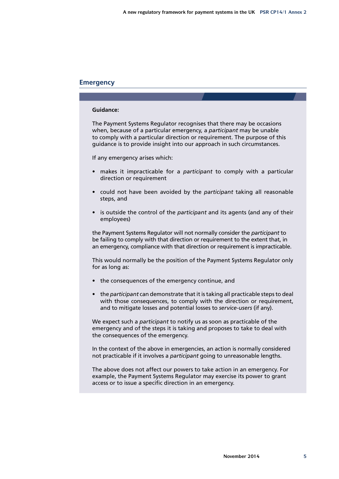### **Emergency**

#### **Guidance:**

The Payment Systems Regulator recognises that there may be occasions when, because of a particular emergency, a *participant* may be unable to comply with a particular direction or requirement. The purpose of this guidance is to provide insight into our approach in such circumstances.

If any emergency arises which:

- makes it impracticable for a *participant* to comply with a particular direction or requirement
- could not have been avoided by the *participant* taking all reasonable steps, and
- is outside the control of the *participant* and its agents (and any of their employees)

the Payment Systems Regulator will not normally consider the *participant* to be failing to comply with that direction or requirement to the extent that, in an emergency, compliance with that direction or requirement is impracticable.

This would normally be the position of the Payment Systems Regulator only for as long as:

- the consequences of the emergency continue, and
- the *participant* can demonstrate that it is taking all practicable steps to deal with those consequences, to comply with the direction or requirement, and to mitigate losses and potential losses to *service‑users* (if any).

We expect such a *participant* to notify us as soon as practicable of the emergency and of the steps it is taking and proposes to take to deal with the consequences of the emergency.

In the context of the above in emergencies, an action is normally considered not practicable if it involves a *participant* going to unreasonable lengths.

The above does not affect our powers to take action in an emergency. For example, the Payment Systems Regulator may exercise its power to grant access or to issue a specific direction in an emergency.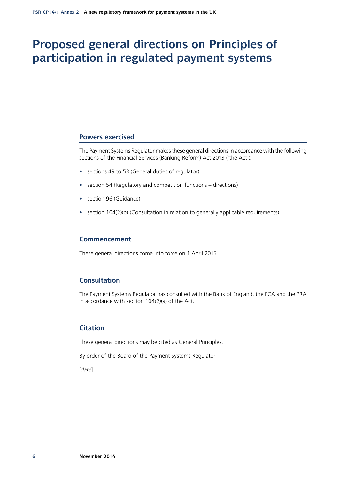# **Proposed general directions on Principles of participation in regulated payment systems**

#### **Powers exercised**

The Payment Systems Regulator makes these general directions in accordance with the following sections of the Financial Services (Banking Reform) Act 2013 ('the Act'):

- sections 49 to 53 (General duties of regulator)
- section 54 (Regulatory and competition functions directions)
- section 96 (Guidance)
- section 104(2)(b) (Consultation in relation to generally applicable requirements)

### **Commencement**

These general directions come into force on 1 April 2015.

### **Consultation**

The Payment Systems Regulator has consulted with the Bank of England, the FCA and the PRA in accordance with section 104(2)(a) of the Act.

## **Citation**

These general directions may be cited as General Principles.

By order of the Board of the Payment Systems Regulator

[*date*]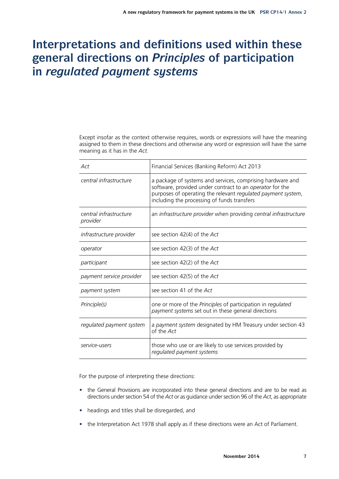# **Interpretations and definitions used within these general directions on** *Principles* **of participation in** *regulated payment systems*

Except insofar as the context otherwise requires, words or expressions will have the meaning assigned to them in these directions and otherwise any word or expression will have the same meaning as it has in the *Act*.

| Act                                | Financial Services (Banking Reform) Act 2013                                                                                                                                                                                          |
|------------------------------------|---------------------------------------------------------------------------------------------------------------------------------------------------------------------------------------------------------------------------------------|
| central infrastructure             | a package of systems and services, comprising hardware and<br>software, provided under contract to an operator for the<br>purposes of operating the relevant regulated payment system,<br>including the processing of funds transfers |
| central infrastructure<br>provider | an infrastructure provider when providing central infrastructure                                                                                                                                                                      |
| infrastructure provider            | see section 42(4) of the Act                                                                                                                                                                                                          |
| operator                           | see section 42(3) of the Act                                                                                                                                                                                                          |
| participant                        | see section 42(2) of the Act                                                                                                                                                                                                          |
| payment service provider           | see section 42(5) of the Act                                                                                                                                                                                                          |
| payment system                     | see section 41 of the Act                                                                                                                                                                                                             |
| Principle(s)                       | one or more of the Principles of participation in regulated<br>payment systems set out in these general directions                                                                                                                    |
| regulated payment system           | a payment system designated by HM Treasury under section 43<br>of the Act                                                                                                                                                             |
| service-users                      | those who use or are likely to use services provided by<br>regulated payment systems                                                                                                                                                  |

For the purpose of interpreting these directions:

- the General Provisions are incorporated into these general directions and are to be read as directions under section 54 of the *Act* or as guidance under section 96 of the *Act*, as appropriate
- headings and titles shall be disregarded, and
- the Interpretation Act 1978 shall apply as if these directions were an Act of Parliament.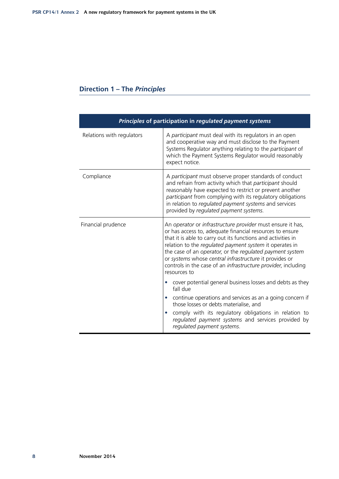| Direction 1 - The Principles |  |  |  |  |  |
|------------------------------|--|--|--|--|--|
|------------------------------|--|--|--|--|--|

| Principles of participation in regulated payment systems |                                                                                                                                                                                                                                                                                                                                                                                                                                                          |  |
|----------------------------------------------------------|----------------------------------------------------------------------------------------------------------------------------------------------------------------------------------------------------------------------------------------------------------------------------------------------------------------------------------------------------------------------------------------------------------------------------------------------------------|--|
| Relations with regulators                                | A participant must deal with its regulators in an open<br>and cooperative way and must disclose to the Payment<br>Systems Regulator anything relating to the participant of<br>which the Payment Systems Regulator would reasonably<br>expect notice.                                                                                                                                                                                                    |  |
| Compliance                                               | A participant must observe proper standards of conduct<br>and refrain from activity which that participant should<br>reasonably have expected to restrict or prevent another<br>participant from complying with its regulatory obligations<br>in relation to regulated payment systems and services<br>provided by regulated payment systems.                                                                                                            |  |
| Financial prudence                                       | An operator or infrastructure provider must ensure it has,<br>or has access to, adequate financial resources to ensure<br>that it is able to carry out its functions and activities in<br>relation to the regulated payment system it operates in<br>the case of an operator, or the regulated payment system<br>or systems whose central infrastructure it provides or<br>controls in the case of an infrastructure provider, including<br>resources to |  |
|                                                          | cover potential general business losses and debts as they<br>fall due                                                                                                                                                                                                                                                                                                                                                                                    |  |
|                                                          | continue operations and services as an a going concern if<br>$\bullet$<br>those losses or debts materialise, and                                                                                                                                                                                                                                                                                                                                         |  |
|                                                          | comply with its regulatory obligations in relation to<br>$\bullet$<br>regulated payment systems and services provided by<br>regulated payment systems.                                                                                                                                                                                                                                                                                                   |  |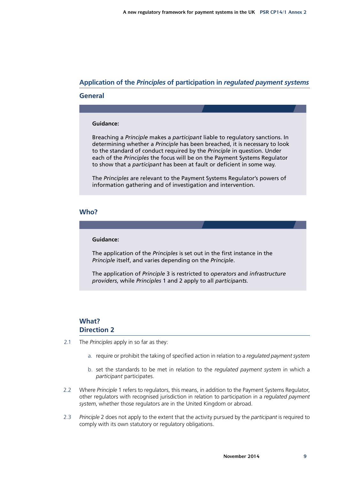## **Application of the** *Principles* **of participation in** *regulated payment systems*

### **General**

#### **Guidance:**

Breaching a *Principle* makes a *participant* liable to regulatory sanctions. In determining whether a *Principle* has been breached, it is necessary to look to the standard of conduct required by the *Principle* in question. Under each of the *Principles* the focus will be on the Payment Systems Regulator to show that a *participant* has been at fault or deficient in some way.

The *Principles* are relevant to the Payment Systems Regulator's powers of information gathering and of investigation and intervention.

### **Who?**

#### **Guidance:**

The application of the *Principles* is set out in the first instance in the *Principle* itself, and varies depending on the *Principle*.

The application of *Principle* 3 is restricted to *operators* and *infrastructure providers*, while *Principles* 1 and 2 apply to all *participants.*

## **What? Direction 2**

- 2.1 The *Principles* apply in so far as they:
	- a. require or prohibit the taking of specified action in relation to a *regulated payment system*
	- b. set the standards to be met in relation to the *regulated payment system* in which a *participant* participates.
- 2.2 Where *Principle* 1 refers to regulators, this means, in addition to the Payment Systems Regulator, other regulators with recognised jurisdiction in relation to participation in a *regulated payment system*, whether those regulators are in the United Kingdom or abroad.
- 2.3 *Principle* 2 does not apply to the extent that the activity pursued by the *participant* is required to comply with its own statutory or regulatory obligations.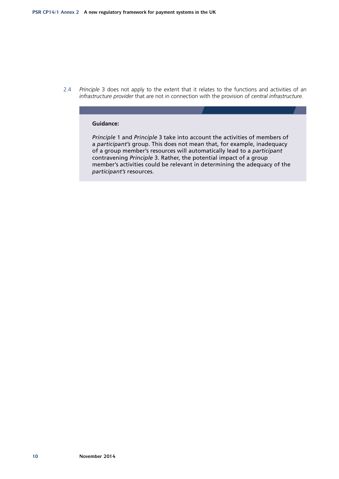2.4 *Principle* 3 does not apply to the extent that it relates to the functions and activities of an *infrastructure provider* that are not in connection with the provision of *central infrastructure*.

#### **Guidance:**

*Principle* 1 and *Principle* 3 take into account the activities of members of a *participant's* group. This does not mean that, for example, inadequacy of a group member's resources will automatically lead to a *participant*  contravening *Principle* 3. Rather, the potential impact of a group member's activities could be relevant in determining the adequacy of the *participant's* resources.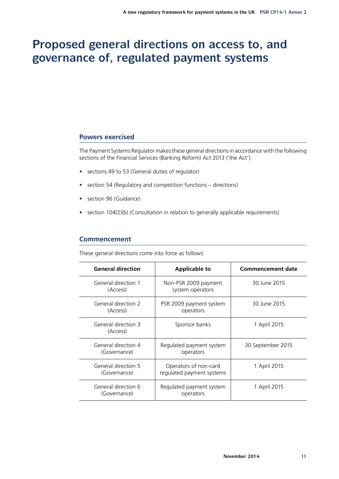# **Proposed general directions on access to, and governance of, regulated payment systems**

### **Powers exercised**

The Payment Systems Regulator makes these general directions in accordance with the following sections of the Financial Services (Banking Reform) Act 2013 ('the Act'):

- sections 49 to 53 (General duties of regulator)
- section 54 (Regulatory and competition functions directions)
- section 96 (Guidance)
- section 104(2)(b) (Consultation in relation to generally applicable requirements)

### **Commencement**

These general directions come into force as follows:

| <b>General direction</b>            | <b>Applicable to</b>                               | <b>Commencement date</b> |
|-------------------------------------|----------------------------------------------------|--------------------------|
| General direction 1<br>(Access)     | Non-PSR 2009 payment<br>system operators           | 30 June 2015             |
| General direction 2<br>(Access)     | PSR 2009 payment system<br>operators               | 30 June 2015             |
| General direction 3<br>(Access)     | Sponsor banks                                      | 1 April 2015             |
| General direction 4<br>(Governance) | Regulated payment system<br>operators              | 30 September 2015        |
| General direction 5<br>(Governance) | Operators of non-card<br>regulated payment systems | 1 April 2015             |
| General direction 6<br>(Governance) | Regulated payment system<br>operators              | 1 April 2015             |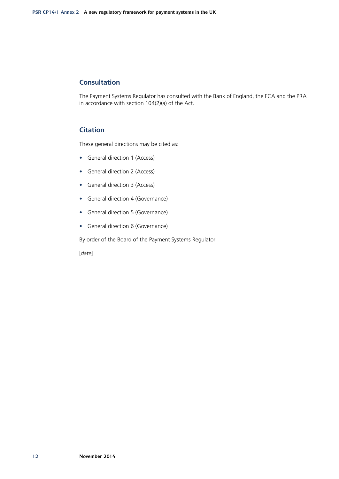## **Consultation**

The Payment Systems Regulator has consulted with the Bank of England, the FCA and the PRA in accordance with section 104(2)(a) of the Act.

## **Citation**

These general directions may be cited as:

- General direction 1 (Access)
- General direction 2 (Access)
- General direction 3 (Access)
- General direction 4 (Governance)
- General direction 5 (Governance)
- General direction 6 (Governance)

By order of the Board of the Payment Systems Regulator

[*date*]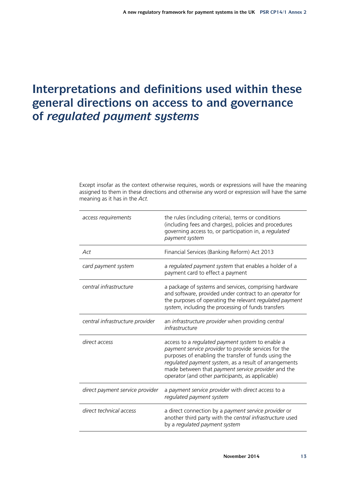# **Interpretations and definitions used within these general directions on access to and governance of** *regulated payment systems*

Except insofar as the context otherwise requires, words or expressions will have the meaning assigned to them in these directions and otherwise any word or expression will have the same meaning as it has in the *Act*.

| access requirements             | the rules (including criteria), terms or conditions<br>(including fees and charges), policies and procedures<br>governing access to, or participation in, a regulated<br>payment system                                                                                                                                             |
|---------------------------------|-------------------------------------------------------------------------------------------------------------------------------------------------------------------------------------------------------------------------------------------------------------------------------------------------------------------------------------|
| Act                             | Financial Services (Banking Reform) Act 2013                                                                                                                                                                                                                                                                                        |
| card payment system             | a regulated payment system that enables a holder of a<br>payment card to effect a payment                                                                                                                                                                                                                                           |
| central infrastructure          | a package of systems and services, comprising hardware<br>and software, provided under contract to an operator for<br>the purposes of operating the relevant regulated payment<br>system, including the processing of funds transfers                                                                                               |
| central infrastructure provider | an infrastructure provider when providing central<br>infrastructure                                                                                                                                                                                                                                                                 |
| direct access                   | access to a regulated payment system to enable a<br>payment service provider to provide services for the<br>purposes of enabling the transfer of funds using the<br>regulated payment system, as a result of arrangements<br>made between that payment service provider and the<br>operator (and other participants, as applicable) |
| direct payment service provider | a payment service provider with direct access to a<br>regulated payment system                                                                                                                                                                                                                                                      |
| direct technical access         | a direct connection by a payment service provider or<br>another third party with the central infrastructure used<br>by a regulated payment system                                                                                                                                                                                   |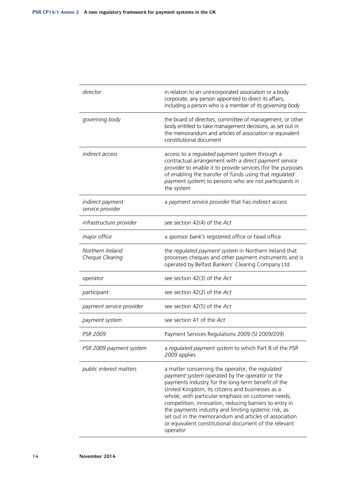| director                             | in relation to an unincorporated association or a body<br>corporate, any person appointed to direct its affairs,<br>including a person who is a member of its governing body                                                                                                                                                                                                                                                                                                                                      |
|--------------------------------------|-------------------------------------------------------------------------------------------------------------------------------------------------------------------------------------------------------------------------------------------------------------------------------------------------------------------------------------------------------------------------------------------------------------------------------------------------------------------------------------------------------------------|
| governing body                       | the board of directors, committee of management, or other<br>body entitled to take management decisions, as set out in<br>the memorandum and articles of association or equivalent<br>constitutional document                                                                                                                                                                                                                                                                                                     |
| indirect access                      | access to a regulated payment system through a<br>contractual arrangement with a direct payment service<br>provider to enable it to provide services (for the purposes<br>of enabling the transfer of funds using that regulated<br>payment system) to persons who are not participants in<br>the system                                                                                                                                                                                                          |
| indirect payment<br>service provider | a payment service provider that has indirect access                                                                                                                                                                                                                                                                                                                                                                                                                                                               |
| infrastructure provider              | see section 42(4) of the Act                                                                                                                                                                                                                                                                                                                                                                                                                                                                                      |
| major office                         | a sponsor bank's registered office or head office                                                                                                                                                                                                                                                                                                                                                                                                                                                                 |
| Northern Ireland<br>Cheque Clearing  | the regulated payment system in Northern Ireland that<br>processes cheques and other payment instruments and is<br>operated by Belfast Bankers' Clearing Company Ltd                                                                                                                                                                                                                                                                                                                                              |
| operator                             | see section 42(3) of the Act                                                                                                                                                                                                                                                                                                                                                                                                                                                                                      |
| participant                          | see section 42(2) of the Act                                                                                                                                                                                                                                                                                                                                                                                                                                                                                      |
| payment service provider             | see section 42(5) of the Act                                                                                                                                                                                                                                                                                                                                                                                                                                                                                      |
| payment system                       | see section 41 of the Act                                                                                                                                                                                                                                                                                                                                                                                                                                                                                         |
| <b>PSR 2009</b>                      | Payment Services Regulations 2009 (SI 2009/209)                                                                                                                                                                                                                                                                                                                                                                                                                                                                   |
| PSR 2009 payment system              | a regulated payment system to which Part 8 of the PSR<br>2009 applies                                                                                                                                                                                                                                                                                                                                                                                                                                             |
| public interest matters              | a matter concerning the operator, the regulated<br>payment system operated by the operator or the<br>payments industry for the long-term benefit of the<br>United Kingdom, its citizens and businesses as a<br>whole, with particular emphasis on customer needs,<br>competition, innovation, reducing barriers to entry in<br>the payments industry and limiting systemic risk, as<br>set out in the memorandum and articles of association<br>or equivalent constitutional document of the relevant<br>operator |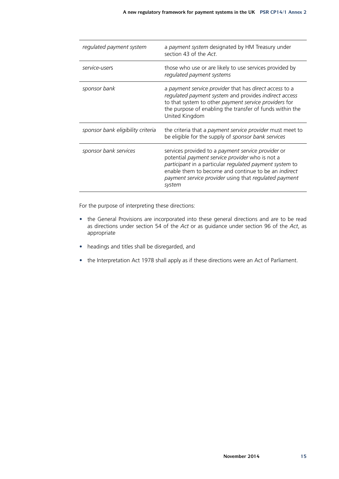| regulated payment system          | a payment system designated by HM Treasury under<br>section 43 of the Act.                                                                                                                                                                                                                         |
|-----------------------------------|----------------------------------------------------------------------------------------------------------------------------------------------------------------------------------------------------------------------------------------------------------------------------------------------------|
| service-users                     | those who use or are likely to use services provided by<br>regulated payment systems                                                                                                                                                                                                               |
| sponsor bank                      | a payment service provider that has direct access to a<br>regulated payment system and provides indirect access<br>to that system to other payment service providers for<br>the purpose of enabling the transfer of funds within the<br>United Kingdom                                             |
| sponsor bank eligibility criteria | the criteria that a payment service provider must meet to<br>be eligible for the supply of sponsor bank services                                                                                                                                                                                   |
| sponsor bank services             | services provided to a payment service provider or<br>potential payment service provider who is not a<br>participant in a particular regulated payment system to<br>enable them to become and continue to be an <i>indirect</i><br>payment service provider using that regulated payment<br>system |

For the purpose of interpreting these directions:

- the General Provisions are incorporated into these general directions and are to be read as directions under section 54 of the *Act* or as guidance under section 96 of the *Act*, as appropriate
- headings and titles shall be disregarded, and
- the Interpretation Act 1978 shall apply as if these directions were an Act of Parliament.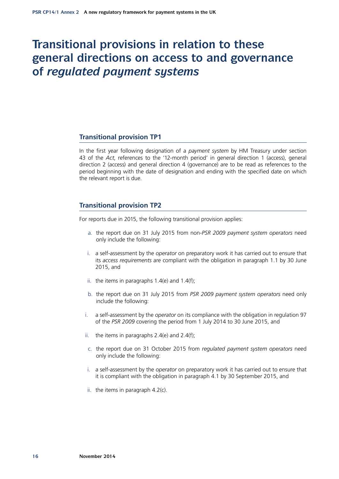## **Transitional provisions in relation to these general directions on access to and governance of** *regulated payment systems*

### **Transitional provision TP1**

In the first year following designation of a *payment system* by HM Treasury under section 43 of the *Act*, references to the '12-month period' in general direction 1 (access), general direction 2 (access) and general direction 4 (governance) are to be read as references to the period beginning with the date of designation and ending with the specified date on which the relevant report is due.

## **Transitional provision TP2**

For reports due in 2015, the following transitional provision applies:

- a. the report due on 31 July 2015 from non-*PSR 2009 payment system operators* need only include the following:
- i. a self-assessment by the *operator* on preparatory work it has carried out to ensure that its *access requirements* are compliant with the obligation in paragraph 1.1 by 30 June 2015, and
- ii. the items in paragraphs  $1.4(e)$  and  $1.4(f)$ ;
- b. the report due on 31 July 2015 from *PSR 2009 payment system operators* need only include the following:
- i. a self-assessment by the *operator* on its compliance with the obligation in regulation 97 of the *PSR 2009* covering the period from 1 July 2014 to 30 June 2015, and
- ii. the items in paragraphs  $2.4(e)$  and  $2.4(f)$ ;
- c. the report due on 31 October 2015 from *regulated payment system operators* need only include the following:
- i. a self-assessment by the *operator* on preparatory work it has carried out to ensure that it is compliant with the obligation in paragraph 4.1 by 30 September 2015, and
- ii. the items in paragraph 4.2(c).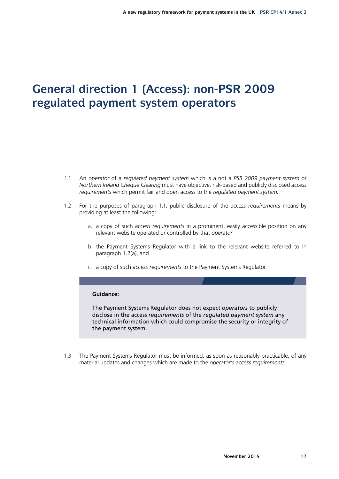# **General direction 1 (Access): non-PSR 2009 regulated payment system operators**

- 1.1 An *operator* of a *regulated payment system* which is a not a *PSR 2009 payment system* or *Northern Ireland Cheque Clearing* must have objective, risk-based and publicly disclosed *access requirements* which permit fair and open access to the *regulated payment system*.
- 1.2 For the purposes of paragraph 1.1, public disclosure of the *access requirements* means by providing at least the following:
	- a. a copy of such *access requirements* in a prominent, easily accessible position on any relevant website operated or controlled by that *operator*
	- b. the Payment Systems Regulator with a link to the relevant website referred to in paragraph 1.2(a), and
	- c. a copy of such *access requirements* to the Payment Systems Regulator.

#### **Guidance:**

The Payment Systems Regulator does not expect *operators* to publicly disclose in the access *requirements* of the *regulated payment system* any technical information which could compromise the security or integrity of the payment system.

1.3 The Payment Systems Regulator must be informed, as soon as reasonably practicable, of any material updates and changes which are made to the *operator's access requirements*.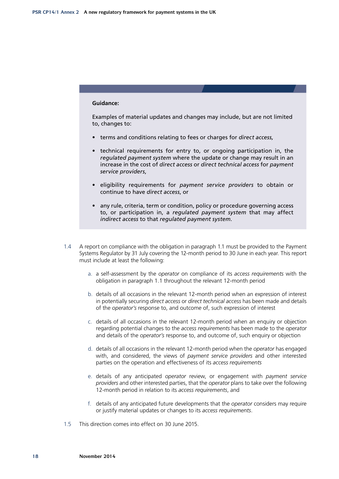#### **Guidance:**

Examples of material updates and changes may include, but are not limited to, changes to:

- terms and conditions relating to fees or charges for *direct access,*
- technical requirements for entry to, or ongoing participation in, the *regulated payment system* where the update or change may result in an increase in the cost of *direct access* or *direct technical access* for *payment service providers*,
- eligibility requirements for *payment service providers* to obtain or continue to have *direct access*, or
- any rule, criteria, term or condition, policy or procedure governing access to, or participation in, a *regulated payment system* that may affect *indirect access* to that *regulated payment system*.
- 1.4 A report on compliance with the obligation in paragraph 1.1 must be provided to the Payment Systems Regulator by 31 July covering the 12-month period to 30 June in each year. This report must include at least the following:
	- a. a self-assessment by the *operator* on compliance of its *access requirements* with the obligation in paragraph 1.1 throughout the relevant 12-month period
	- b. details of all occasions in the relevant 12-month period when an expression of interest in potentially securing *direct access* or *direct technical access* has been made and details of the *operator's* response to, and outcome of, such expression of interest
	- c. details of all occasions in the relevant 12-month period when an enquiry or objection regarding potential changes to the *access requirements* has been made to the *operator* and details of the *operator's* response to, and outcome of, such enquiry or objection
	- d. details of all occasions in the relevant 12-month period when the *operator* has engaged with, and considered, the views of *payment service providers* and other interested parties on the operation and effectiveness of its *access requirements*
	- e. details of any anticipated *operator* review, or engagement with *payment service providers* and other interested parties, that the *operator* plans to take over the following 12-month period in relation to its *access requirements*, and
	- f. details of any anticipated future developments that the *operator* considers may require or justify material updates or changes to its *access requirements*.
- 1.5 This direction comes into effect on 30 June 2015.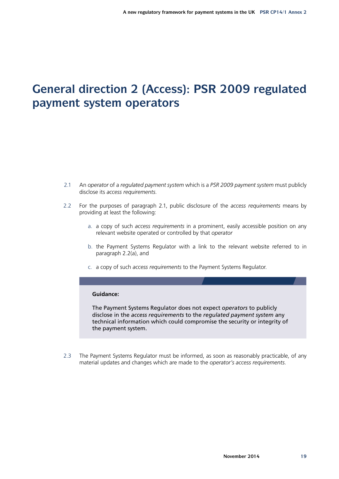# **General direction 2 (Access): PSR 2009 regulated payment system operators**

- 2.1 An *operator* of a *regulated payment system* which is a *PSR 2009 payment system* must publicly disclose its *access requirements*.
- 2.2 For the purposes of paragraph 2.1, public disclosure of the *access requirements* means by providing at least the following:
	- a. a copy of such *access requirements* in a prominent, easily accessible position on any relevant website operated or controlled by that *operator*
	- b. the Payment Systems Regulator with a link to the relevant website referred to in paragraph 2.2(a), and
	- c. a copy of such *access requirements* to the Payment Systems Regulator.

#### **Guidance:**

The Payment Systems Regulator does not expect *operators* to publicly disclose in the *access requirements* to the *regulated payment system* any technical information which could compromise the security or integrity of the payment system.

2.3 The Payment Systems Regulator must be informed, as soon as reasonably practicable, of any material updates and changes which are made to the *operator's access requirements*.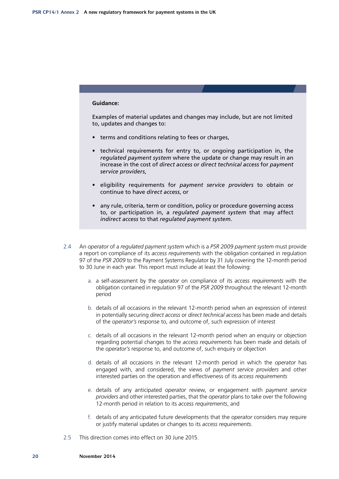#### **Guidance:**

Examples of material updates and changes may include, but are not limited to, updates and changes to:

- terms and conditions relating to fees or charges,
- technical requirements for entry to, or ongoing participation in, the *regulated payment system* where the update or change may result in an increase in the cost of *direct access* or *direct technical access* for *payment service providers*,
- eligibility requirements for *payment service providers* to obtain or continue to have *direct access*, or
- any rule, criteria, term or condition, policy or procedure governing access to, or participation in, a *regulated payment system* that may affect *indirect access* to that *regulated payment system*.
- 2.4 An *operator* of a *regulated payment system* which is a *PSR 2009 payment system* must provide a report on compliance of its *access requirements* with the obligation contained in regulation 97 of the *PSR 2009* to the Payment Systems Regulator by 31 July covering the 12-month period to 30 June in each year. This report must include at least the following:
	- a. a self-assessment by the *operator* on compliance of its *access requirements* with the obligation contained in regulation 97 of the *PSR 2009* throughout the relevant 12-month period
	- b. details of all occasions in the relevant 12-month period when an expression of interest in potentially securing *direct access* or *direct technical access* has been made and details of the *operator's* response to, and outcome of, such expression of interest
	- c. details of all occasions in the relevant 12-month period when an enquiry or objection regarding potential changes to the *access requirements* has been made and details of the *operator's* response to, and outcome of, such enquiry or objection
	- d. details of all occasions in the relevant 12-month period in which the *operator* has engaged with, and considered, the views of *payment service providers* and other interested parties on the operation and effectiveness of its *access requirements*
	- e. details of any anticipated *operator* review, or engagement with *payment service providers* and other interested parties, that the *operator* plans to take over the following 12-month period in relation to its *access requirements*, and
	- f. details of any anticipated future developments that the *operator* considers may require or justify material updates or changes to its *access requirements*.
- 2.5 This direction comes into effect on 30 June 2015.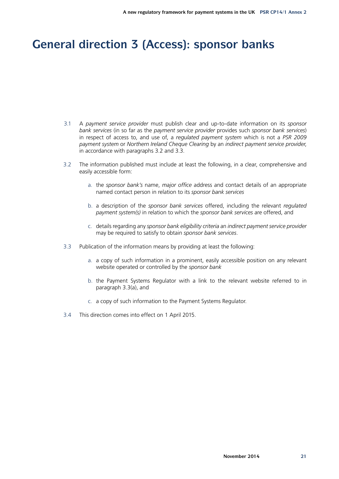# **General direction 3 (Access): sponsor banks**

- 3.1 A *payment service provider* must publish clear and up-to-date information on its *sponsor bank services* (in so far as the *payment service provider* provides such *sponsor bank services*) in respect of access to, and use of, a *regulated payment system* which is not a *PSR 2009 payment system* or *Northern Ireland Cheque Clearing* by an *indirect payment service provider*, in accordance with paragraphs 3.2 and 3.3.
- 3.2 The information published must include at least the following, in a clear, comprehensive and easily accessible form:
	- a. the *sponsor bank's* name, *major office* address and contact details of an appropriate named contact person in relation to its *sponsor bank services*
	- b. a description of the *sponsor bank services* offered, including the relevant *regulated payment system(s)* in relation to which the *sponsor bank services* are offered, and
	- c. details regarding any *sponsor bank eligibility criteria* an *indirect payment service provider*  may be required to satisfy to obtain *sponsor bank services*.
- 3.3 Publication of the information means by providing at least the following:
	- a. a copy of such information in a prominent, easily accessible position on any relevant website operated or controlled by the *sponsor bank*
	- b. the Payment Systems Regulator with a link to the relevant website referred to in paragraph 3.3(a), and
	- c. a copy of such information to the Payment Systems Regulator.
- 3.4 This direction comes into effect on 1 April 2015.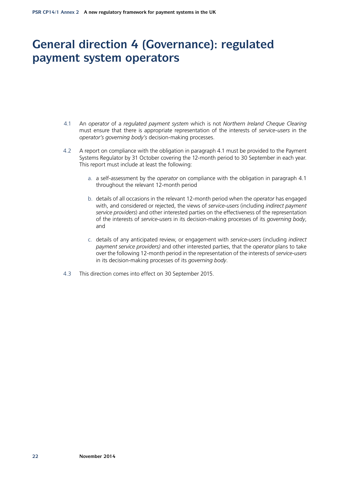# **General direction 4 (Governance): regulated payment system operators**

- 4.1 An *operator* of a *regulated payment system* which is not *Northern Ireland Cheque Clearing* must ensure that there is appropriate representation of the interests of *service‑users* in the *operator's governing body's* decision-making processes.
- 4.2 A report on compliance with the obligation in paragraph 4.1 must be provided to the Payment Systems Regulator by 31 October covering the 12-month period to 30 September in each year. This report must include at least the following:
	- a. a self-assessment by the *operator* on compliance with the obligation in paragraph 4.1 throughout the relevant 12-month period
	- b. details of all occasions in the relevant 12-month period when the *operator* has engaged with, and considered or rejected, the views of *service‑users* (including *indirect payment service providers*) and other interested parties on the effectiveness of the representation of the interests of *service‑users* in its decision-making processes of its *governing body*, and
	- c. details of any anticipated review, or engagement with *service‑users* (including *indirect payment service providers)* and other interested parties, that the *operator* plans to take over the following 12-month period in the representation of the interests of *service‑users* in its decision-making processes of its *governing body*.
- 4.3 This direction comes into effect on 30 September 2015.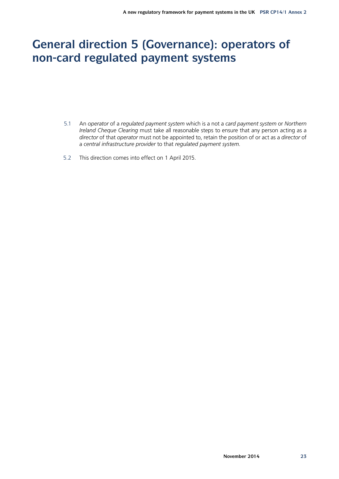# **General direction 5 (Governance): operators of non-card regulated payment systems**

- 5.1 An *operator* of a *regulated payment system* which is a not a *card payment system* or *Northern Ireland Cheque Clearing* must take all reasonable steps to ensure that any person acting as a *director* of that *operator* must not be appointed to, retain the position of or act as a *director* of a *central infrastructure provider* to that *regulated payment system*.
- 5.2 This direction comes into effect on 1 April 2015.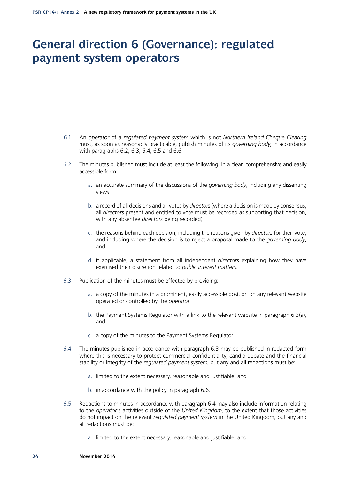## **General direction 6 (Governance): regulated payment system operators**

- 6.1 An *operator* of a *regulated payment system* which is not *Northern Ireland Cheque Clearing* must, as soon as reasonably practicable, publish minutes of its *governing body*, in accordance with paragraphs 6.2, 6.3, 6.4, 6.5 and 6.6.
- 6.2 The minutes published must include at least the following, in a clear, comprehensive and easily accessible form:
	- a. an accurate summary of the discussions of the *governing body*, including any dissenting views
	- b. a record of all decisions and all votes by *directors* (where a decision is made by consensus, all *directors* present and entitled to vote must be recorded as supporting that decision, with any absentee *directors* being recorded)
	- c. the reasons behind each decision, including the reasons given by *directors* for their vote, and including where the decision is to reject a proposal made to the *governing body*, and
	- d. if applicable, a statement from all independent *directors* explaining how they have exercised their discretion related to *public interest matters*.
- 6.3 Publication of the minutes must be effected by providing:
	- a. a copy of the minutes in a prominent, easily accessible position on any relevant website operated or controlled by the *operator*
	- b. the Payment Systems Regulator with a link to the relevant website in paragraph 6.3(a), and
	- c. a copy of the minutes to the Payment Systems Regulator.
- 6.4 The minutes published in accordance with paragraph 6.3 may be published in redacted form where this is necessary to protect commercial confidentiality, candid debate and the financial stability or integrity of the *regulated payment system*, but any and all redactions must be:
	- a. limited to the extent necessary, reasonable and justifiable, and
	- b. in accordance with the policy in paragraph 6.6.
- 6.5 Redactions to minutes in accordance with paragraph 6.4 may also include information relating to the *operator*'s activities outside of the *United Kingdom*, to the extent that those activities do not impact on the relevant *regulated payment system* in the United Kingdom*,* but any and all redactions must be:
	- a. limited to the extent necessary, reasonable and justifiable, and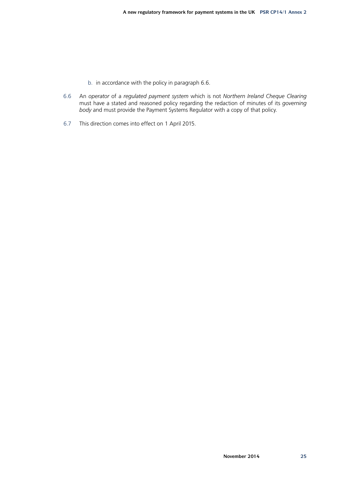- b. in accordance with the policy in paragraph 6.6.
- 6.6 An *operator* of a *regulated payment system* which is not *Northern Ireland Cheque Clearing* must have a stated and reasoned policy regarding the redaction of minutes of its *governing body* and must provide the Payment Systems Regulator with a copy of that policy.
- 6.7 This direction comes into effect on 1 April 2015.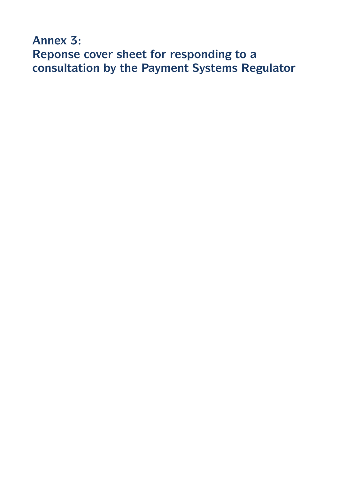**Annex 3: Reponse cover sheet for responding to a consultation by the Payment Systems Regulator**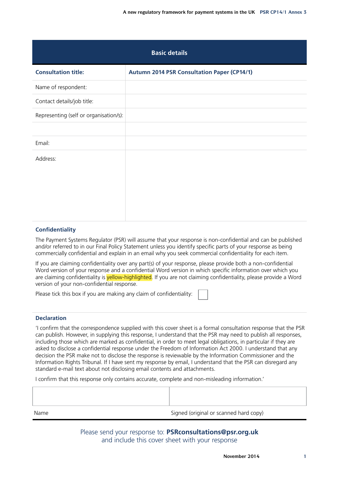| <b>Basic details</b>                   |                                                    |
|----------------------------------------|----------------------------------------------------|
| <b>Consultation title:</b>             | <b>Autumn 2014 PSR Consultation Paper (CP14/1)</b> |
| Name of respondent:                    |                                                    |
| Contact details/job title:             |                                                    |
| Representing (self or organisation/s): |                                                    |
|                                        |                                                    |
| Email:                                 |                                                    |
| Address:                               |                                                    |
|                                        |                                                    |
|                                        |                                                    |
|                                        |                                                    |
|                                        |                                                    |

#### **Confidentiality**

The Payment Systems Regulator (PSR) will assume that your response is non-confidential and can be published and/or referred to in our Final Policy Statement unless you identify specific parts of your response as being commercially confidential and explain in an email why you seek commercial confidentiality for each item.

If you are claiming confidentiality over any part(s) of your response, please provide both a non-confidential Word version of your response and a confidential Word version in which specific information over which you are claiming confidentiality is vellow-highlighted. If you are not claiming confidentiality, please provide a Word version of your non-confidential response.

Please tick this box if you are making any claim of confidentiality:

#### **Declaration**

'I confirm that the correspondence supplied with this cover sheet is a formal consultation response that the PSR can publish. However, in supplying this response, I understand that the PSR may need to publish all responses, including those which are marked as confidential, in order to meet legal obligations, in particular if they are asked to disclose a confidential response under the Freedom of Information Act 2000. I understand that any decision the PSR make not to disclose the response is reviewable by the Information Commissioner and the Information Rights Tribunal. If I have sent my response by email, I understand that the PSR can disregard any standard e-mail text about not disclosing email contents and attachments.

I confirm that this response only contains accurate, complete and non-misleading information.'

Please send your response to: **[PSRconsultations@psr.org.uk](mailto:PSRconsultations%40psr.org.uk?subject=)** and include this cover sheet with your response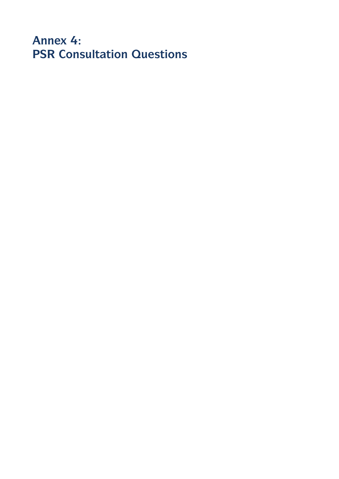**Annex 4: PSR Consultation Questions**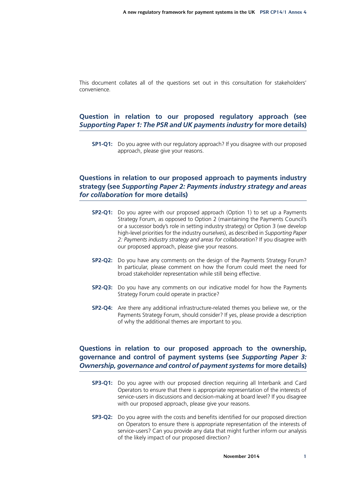This document collates all of the questions set out in this consultation for stakeholders' convenience.

## **Question in relation to our proposed regulatory approach (see**  *Supporting Paper 1: The PSR and UK payments industry* **for more details)**

**SP1-Q1:** Do you agree with our regulatory approach? If you disagree with our proposed approach, please give your reasons.

## **Questions in relation to our proposed approach to payments industry strategy (see** *Supporting Paper 2: Payments industry strategy and areas for collaboration* **for more details)**

- **SP2-Q1:** Do you agree with our proposed approach (Option 1) to set up a Payments Strategy Forum, as opposed to Option 2 (maintaining the Payments Council's or a successor body's role in setting industry strategy) or Option 3 (we develop high-level priorities for the industry ourselves), as described in *Supporting Paper 2: Payments industry strategy and areas for collaboration*? If you disagree with our proposed approach, please give your reasons.
- **SP2-Q2:** Do you have any comments on the design of the Payments Strategy Forum? In particular, please comment on how the Forum could meet the need for broad stakeholder representation while still being effective.
- **SP2-Q3:** Do you have any comments on our indicative model for how the Payments Strategy Forum could operate in practice?
- **SP2-Q4:** Are there any additional infrastructure-related themes you believe we, or the Payments Strategy Forum, should consider? If yes, please provide a description of why the additional themes are important to you.

## **Questions in relation to our proposed approach to the ownership, governance and control of payment systems (see** *Supporting Paper 3: Ownership, governance and control of payment systems* **for more details)**

- **SP3-Q1:** Do you agree with our proposed direction requiring all Interbank and Card Operators to ensure that there is appropriate representation of the interests of service-users in discussions and decision-making at board level? If you disagree with our proposed approach, please give your reasons.
- **SP3-Q2:** Do you agree with the costs and benefits identified for our proposed direction on Operators to ensure there is appropriate representation of the interests of service-users? Can you provide any data that might further inform our analysis of the likely impact of our proposed direction?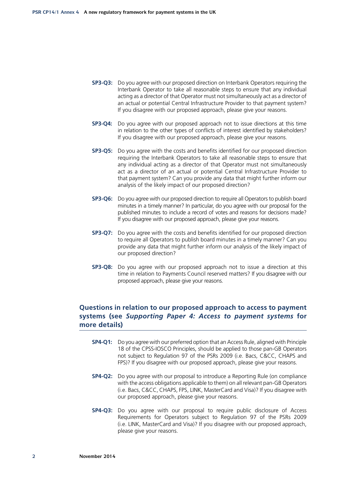- **SP3-Q3:** Do you agree with our proposed direction on Interbank Operators requiring the Interbank Operator to take all reasonable steps to ensure that any individual acting as a director of that Operator must not simultaneously act as a director of an actual or potential Central Infrastructure Provider to that payment system? If you disagree with our proposed approach, please give your reasons.
- **SP3-Q4:** Do you agree with our proposed approach not to issue directions at this time in relation to the other types of conflicts of interest identified by stakeholders? If you disagree with our proposed approach, please give your reasons.
- **SP3-Q5:** Do you agree with the costs and benefits identified for our proposed direction requiring the Interbank Operators to take all reasonable steps to ensure that any individual acting as a director of that Operator must not simultaneously act as a director of an actual or potential Central Infrastructure Provider to that payment system? Can you provide any data that might further inform our analysis of the likely impact of our proposed direction?
- **SP3-Q6:** Do you agree with our proposed direction to require all Operators to publish board minutes in a timely manner? In particular, do you agree with our proposal for the published minutes to include a record of votes and reasons for decisions made? If you disagree with our proposed approach, please give your reasons.
- **SP3-Q7:** Do you agree with the costs and benefits identified for our proposed direction to require all Operators to publish board minutes in a timely manner? Can you provide any data that might further inform our analysis of the likely impact of our proposed direction?
- **SP3-Q8:** Do you agree with our proposed approach not to issue a direction at this time in relation to Payments Council reserved matters? If you disagree with our proposed approach, please give your reasons.

## **Questions in relation to our proposed approach to access to payment systems (see** *Supporting Paper 4: Access to payment systems* **for more details)**

- **SP4-Q1:** Do you agree with our preferred option that an Access Rule, aligned with Principle 18 of the CPSS-IOSCO Principles, should be applied to those pan-GB Operators not subject to Regulation 97 of the PSRs 2009 (i.e. Bacs, C&CC, CHAPS and FPS)? If you disagree with our proposed approach, please give your reasons.
- **SP4-Q2:** Do you agree with our proposal to introduce a Reporting Rule (on compliance with the access obligations applicable to them) on all relevant pan-GB Operators (i.e. Bacs, C&CC, CHAPS, FPS, LINK, MasterCard and Visa)? If you disagree with our proposed approach, please give your reasons.
- **SP4-Q3:** Do you agree with our proposal to require public disclosure of Access Requirements for Operators subject to Regulation 97 of the PSRs 2009 (i.e. LINK, MasterCard and Visa)? If you disagree with our proposed approach, please give your reasons.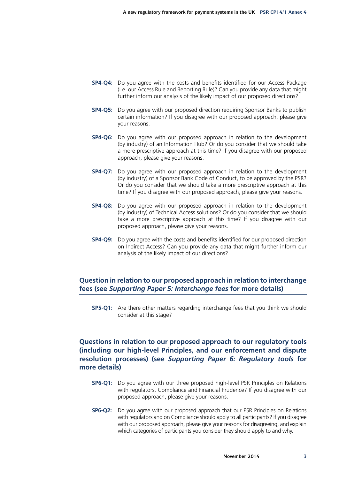- **SP4-Q4:** Do you agree with the costs and benefits identified for our Access Package (i.e. our Access Rule and Reporting Rule)? Can you provide any data that might further inform our analysis of the likely impact of our proposed directions?
- **SP4-Q5:** Do you agree with our proposed direction requiring Sponsor Banks to publish certain information? If you disagree with our proposed approach, please give your reasons.
- **SP4-Q6:** Do you agree with our proposed approach in relation to the development (by industry) of an Information Hub? Or do you consider that we should take a more prescriptive approach at this time? If you disagree with our proposed approach, please give your reasons.
- **SP4-Q7:** Do you agree with our proposed approach in relation to the development (by industry) of a Sponsor Bank Code of Conduct, to be approved by the PSR? Or do you consider that we should take a more prescriptive approach at this time? If you disagree with our proposed approach, please give your reasons.
- **SP4-Q8:** Do you agree with our proposed approach in relation to the development (by industry) of Technical Access solutions? Or do you consider that we should take a more prescriptive approach at this time? If you disagree with our proposed approach, please give your reasons.
- **SP4-Q9:** Do you agree with the costs and benefits identified for our proposed direction on Indirect Access? Can you provide any data that might further inform our analysis of the likely impact of our directions?

## **Question in relation to our proposed approach in relation to interchange fees (see** *Supporting Paper 5: Interchange fees* **for more details)**

**SP5-Q1:** Are there other matters regarding interchange fees that you think we should consider at this stage?

## **Questions in relation to our proposed approach to our regulatory tools (including our high-level Principles, and our enforcement and dispute resolution processes) (see** *Supporting Paper 6: Regulatory tools* **for more details)**

- **SP6-Q1:** Do you agree with our three proposed high-level PSR Principles on Relations with regulators, Compliance and Financial Prudence? If you disagree with our proposed approach, please give your reasons.
- **SP6-Q2:** Do you agree with our proposed approach that our PSR Principles on Relations with regulators and on Compliance should apply to all participants? If you disagree with our proposed approach, please give your reasons for disagreeing, and explain which categories of participants you consider they should apply to and why.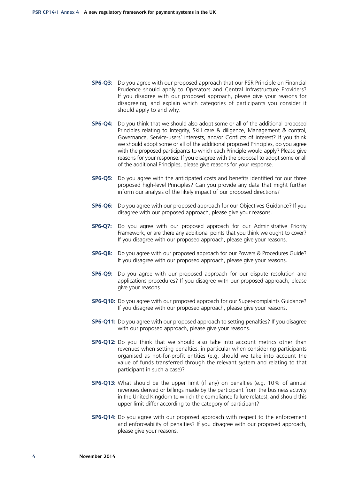- **SP6-Q3:** Do you agree with our proposed approach that our PSR Principle on Financial Prudence should apply to Operators and Central Infrastructure Providers? If you disagree with our proposed approach, please give your reasons for disagreeing, and explain which categories of participants you consider it should apply to and why.
- **SP6-Q4:** Do you think that we should also adopt some or all of the additional proposed Principles relating to Integrity, Skill care & diligence, Management & control, Governance, Service-users' interests, and/or Conflicts of interest? If you think we should adopt some or all of the additional proposed Principles, do you agree with the proposed participants to which each Principle would apply? Please give reasons for your response. If you disagree with the proposal to adopt some or all of the additional Principles, please give reasons for your response.
- **SP6-Q5:** Do you agree with the anticipated costs and benefits identified for our three proposed high-level Principles? Can you provide any data that might further inform our analysis of the likely impact of our proposed directions?
- **SP6-Q6:** Do you agree with our proposed approach for our Objectives Guidance? If you disagree with our proposed approach, please give your reasons.
- **SP6-Q7:** Do you agree with our proposed approach for our Administrative Priority Framework, or are there any additional points that you think we ought to cover? If you disagree with our proposed approach, please give your reasons.
- **SP6-Q8:** Do you agree with our proposed approach for our Powers & Procedures Guide? If you disagree with our proposed approach, please give your reasons.
- **SP6-Q9:** Do you agree with our proposed approach for our dispute resolution and applications procedures? If you disagree with our proposed approach, please give your reasons.
- **SP6-Q10:** Do you agree with our proposed approach for our Super-complaints Guidance? If you disagree with our proposed approach, please give your reasons.
- **SP6-Q11:** Do you agree with our proposed approach to setting penalties? If you disagree with our proposed approach, please give your reasons.
- **SP6-Q12:** Do you think that we should also take into account metrics other than revenues when setting penalties, in particular when considering participants organised as not-for-profit entities (e.g. should we take into account the value of funds transferred through the relevant system and relating to that participant in such a case)?
- **SP6-Q13:** What should be the upper limit (if any) on penalties (e.g. 10% of annual revenues derived or billings made by the participant from the business activity in the United Kingdom to which the compliance failure relates), and should this upper limit differ according to the category of participant?
- **SP6-Q14:** Do you agree with our proposed approach with respect to the enforcement and enforceability of penalties? If you disagree with our proposed approach, please give your reasons.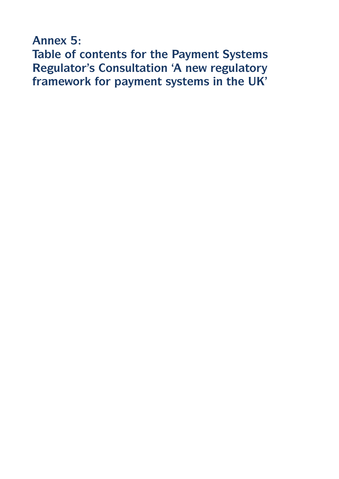**Annex 5: Table of contents for the Payment Systems Regulator's Consultation 'A new regulatory framework for payment systems in the UK'**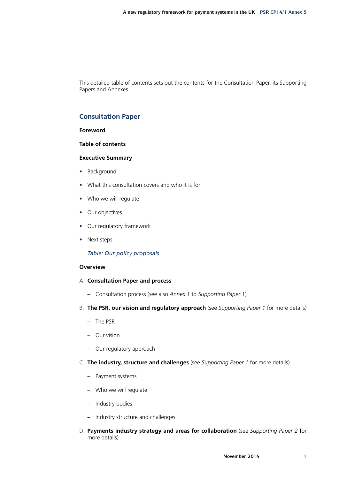This detailed table of contents sets out the contents for the Consultation Paper, its Supporting Papers and Annexes.

## **Consultation Paper**

#### **Foreword**

**Table of contents**

#### **Executive Summary**

- Background
- What this consultation covers and who it is for
- Who we will regulate
- Our objectives
- Our regulatory framework
- Next steps

#### *Table: Our policy proposals*

#### **Overview**

- A. **Consultation Paper and process**
	- **–** Consultation process (see also *Annex 1* to *Supporting Paper 1*)
- B. **The PSR, our vision and regulatory approach** (see *Supporting Paper 1* for more details)
	- **–** The PSR
	- **–** Our vision
	- **–** Our regulatory approach
- C. **The industry, structure and challenges** (see *Supporting Paper 1* for more details)
	- **–** Payment systems
	- **–** Who we will regulate
	- **–** Industry bodies
	- **–** Industry structure and challenges
- D. **Payments industry strategy and areas for collaboration** (see *Supporting Paper 2* for more details)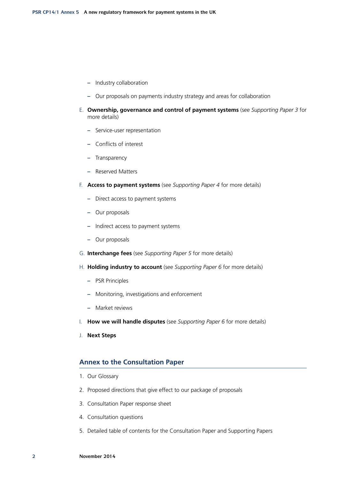- **–** Industry collaboration
- **–** Our proposals on payments industry strategy and areas for collaboration
- E. **Ownership, governance and control of payment systems** (see *Supporting Paper 3* for more details)
	- **–** Service-user representation
	- **–** Conflicts of interest
	- **–** Transparency
	- **–** Reserved Matters
- F. **Access to payment systems** (see *Supporting Paper 4* for more details)
	- **–** Direct access to payment systems
	- **–** Our proposals
	- **–** Indirect access to payment systems
	- **–** Our proposals
- G. **Interchange fees** (see *Supporting Paper 5* for more details)
- H. **Holding industry to account** (see *Supporting Paper 6* for more details)
	- **–** PSR Principles
	- **–** Monitoring, investigations and enforcement
	- **–** Market reviews
- I. **How we will handle disputes** (see *Supporting Paper 6* for more details)
- J. **Next Steps**

### **Annex to the Consultation Paper**

- 1. Our Glossary
- 2. Proposed directions that give effect to our package of proposals
- 3. Consultation Paper response sheet
- 4. Consultation questions
- 5. Detailed table of contents for the Consultation Paper and Supporting Papers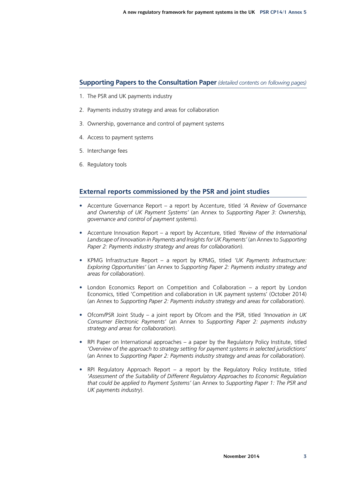## **Supporting Papers to the Consultation Paper** *(detailed contents on following pages)*

- 1. The PSR and UK payments industry
- 2. Payments industry strategy and areas for collaboration
- 3. Ownership, governance and control of payment systems
- 4. Access to payment systems
- 5. Interchange fees
- 6. Regulatory tools

## **External reports commissioned by the PSR and joint studies**

- Accenture Governance Report a report by Accenture, titled *'A Review of Governance and Ownership of UK Payment Systems'* (an Annex to *Supporting Paper 3: Ownership, governance and control of payment systems*).
- Accenture Innovation Report a report by Accenture, titled *'Review of the International Landscape of Innovation in Payments and Insights for UK Payments'* (an Annex to *Supporting Paper 2: Payments industry strategy and areas for collaboration*).
- KPMG Infrastructure Report a report by KPMG, titled *'UK Payments Infrastructure: Exploring Opportunities'* (an Annex to *Supporting Paper 2: Payments industry strategy and areas for collaboration*).
- London Economics Report on Competition and Collaboration a report by London Economics, titled 'Competition and collaboration in UK payment systems' (October 2014) (an Annex to *Supporting Paper 2: Payments industry strategy and areas for collaboration*).
- Ofcom/PSR Joint Study a joint report by Ofcom and the PSR, titled *'Innovation in UK Consumer Electronic Payments'* (an Annex to *Supporting Paper 2: payments industry strategy and areas for collaboration*).
- RPI Paper on International approaches a paper by the Regulatory Policy Institute, titled *'Overview of the approach to strategy setting for payment systems in selected jurisdictions'* (an Annex to *Supporting Paper 2: Payments industry strategy and areas for collaboration*).
- RPI Regulatory Approach Report a report by the Regulatory Policy Institute, titled *'Assessment of the Suitability of Different Regulatory Approaches to Economic Regulation that could be applied to Payment Systems'* (an Annex to *Supporting Paper 1: The PSR and UK payments industry*).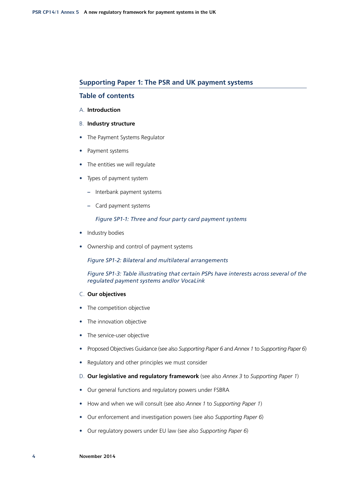### **Supporting Paper 1: The PSR and UK payment systems**

## **Table of contents**

#### A. **Introduction**

- B. **Industry structure**
- The Payment Systems Regulator
- Payment systems
- The entities we will regulate
- Types of payment system
	- **–** Interbank payment systems
	- **–** Card payment systems

*Figure SP1-1: Three and four party card payment systems*

- Industry bodies
- Ownership and control of payment systems

*Figure SP1-2: Bilateral and multilateral arrangements*

*Figure SP1-3: Table illustrating that certain PSPs have interests across several of the regulated payment systems and/or VocaLink*

- C. **Our objectives**
- The competition objective
- The innovation objective
- The service-user objective
- Proposed Objectives Guidance (see also *Supporting Paper 6* and *Annex 1* to *Supporting Paper 6*)
- Regulatory and other principles we must consider
- D. **Our legislative and regulatory framework** (see also *Annex 3* to *Supporting Paper 1*)
- Our general functions and regulatory powers under FSBRA
- How and when we will consult (see also *Annex 1* to *Supporting Paper 1*)
- Our enforcement and investigation powers (see also *Supporting Paper 6*)
- Our regulatory powers under EU law (see also *Supporting Paper 6*)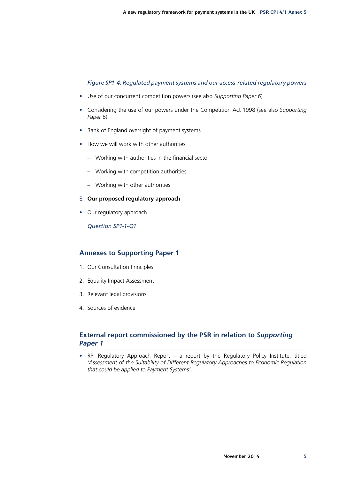#### *Figure SP1-4: Regulated payment systems and our access-related regulatory powers*

- Use of our concurrent competition powers (see also *Supporting Paper 6*)
- Considering the use of our powers under the Competition Act 1998 (see also *Supporting Paper 6*)
- Bank of England oversight of payment systems
- How we will work with other authorities
	- **–** Working with authorities in the financial sector
	- **–** Working with competition authorities
	- **–** Working with other authorities
- E. **Our proposed regulatory approach**
- Our regulatory approach

*Question SP1-1-Q1*

## **Annexes to Supporting Paper 1**

- 1. Our Consultation Principles
- 2. Equality Impact Assessment
- 3. Relevant legal provisions
- 4. Sources of evidence

## **External report commissioned by the PSR in relation to** *Supporting Paper 1*

• RPI Regulatory Approach Report – a report by the Regulatory Policy Institute, titled *'Assessment of the Suitability of Different Regulatory Approaches to Economic Regulation that could be applied to Payment Systems'*.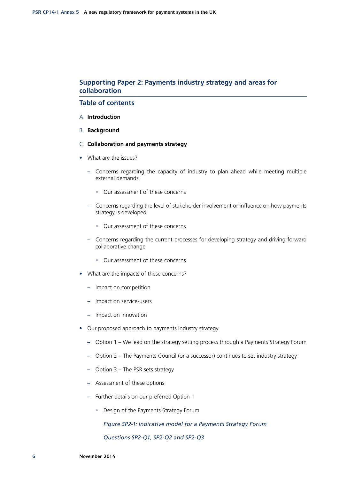## **Supporting Paper 2: Payments industry strategy and areas for collaboration**

## **Table of contents**

- A. **Introduction**
- B. **Background**
- C. **Collaboration and payments strategy**
- What are the issues?
	- **–** Concerns regarding the capacity of industry to plan ahead while meeting multiple external demands
		- Our assessment of these concerns
	- **–** Concerns regarding the level of stakeholder involvement or influence on how payments strategy is developed
		- Our assessment of these concerns
	- **–** Concerns regarding the current processes for developing strategy and driving forward collaborative change
		- Our assessment of these concerns
- What are the impacts of these concerns?
	- **–** Impact on competition
	- **–** Impact on service-users
	- **–** Impact on innovation
- Our proposed approach to payments industry strategy
	- **–** Option 1 We lead on the strategy setting process through a Payments Strategy Forum
	- **–** Option 2 The Payments Council (or a successor) continues to set industry strategy
	- **–** Option 3 The PSR sets strategy
	- **–** Assessment of these options
	- **–** Further details on our preferred Option 1
		- Design of the Payments Strategy Forum

*Figure SP2-1: Indicative model for a Payments Strategy Forum*

*Questions SP2-Q1, SP2-Q2 and SP2-Q3*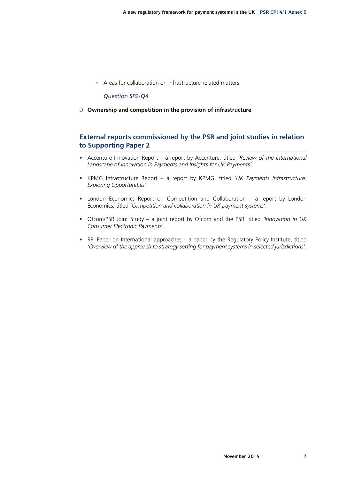• Areas for collaboration on infrastructure-related matters

#### *Question SP2-Q4*

D. **Ownership and competition in the provision of infrastructure**

## **External reports commissioned by the PSR and joint studies in relation to Supporting Paper 2**

- Accenture Innovation Report a report by Accenture, titled *'Review of the International Landscape of Innovation in Payments and Insights for UK Payments'*.
- KPMG Infrastructure Report a report by KPMG, titled *'UK Payments Infrastructure: Exploring Opportunities'*.
- London Economics Report on Competition and Collaboration a report by London Economics, titled *'Competition and collaboration in UK payment systems'*.
- Ofcom/PSR Joint Study a joint report by Ofcom and the PSR, titled *'Innovation in UK Consumer Electronic Payments'*.
- RPI Paper on International approaches a paper by the Regulatory Policy Institute, titled *'Overview of the approach to strategy setting for payment systems in selected jurisdictions'*.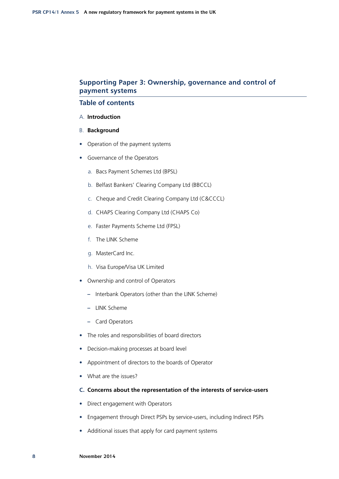## **Supporting Paper 3: Ownership, governance and control of payment systems**

## **Table of contents**

- A. **Introduction**
- B. **Background**
- Operation of the payment systems
- Governance of the Operators
	- a. Bacs Payment Schemes Ltd (BPSL)
	- b. Belfast Bankers' Clearing Company Ltd (BBCCL)
	- c. Cheque and Credit Clearing Company Ltd (C&CCCL)
	- d. CHAPS Clearing Company Ltd (CHAPS Co)
	- e. Faster Payments Scheme Ltd (FPSL)
	- f. The LINK Scheme
	- g. MasterCard Inc.
	- h. Visa Europe/Visa UK Limited
- Ownership and control of Operators
	- **–** Interbank Operators (other than the LINK Scheme)
	- **–** LINK Scheme
	- **–** Card Operators
- The roles and responsibilities of board directors
- Decision-making processes at board level
- Appointment of directors to the boards of Operator
- What are the issues?
- **C. Concerns about the representation of the interests of service‑users**
- Direct engagement with Operators
- Engagement through Direct PSPs by service-users, including Indirect PSPs
- Additional issues that apply for card payment systems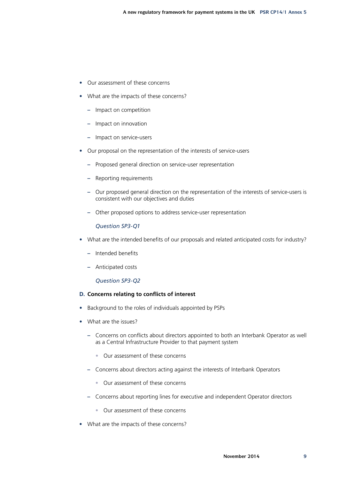- Our assessment of these concerns
- What are the impacts of these concerns?
	- **–** Impact on competition
	- **–** Impact on innovation
	- **–** Impact on service-users
- Our proposal on the representation of the interests of service-users
	- **–** Proposed general direction on service-user representation
	- **–** Reporting requirements
	- **–** Our proposed general direction on the representation of the interests of service-users is consistent with our objectives and duties
	- **–** Other proposed options to address service-user representation

### *Question SP3-Q1*

- What are the intended benefits of our proposals and related anticipated costs for industry?
	- **–** Intended benefits
	- **–** Anticipated costs

#### *Question SP3-Q2*

#### **D. Concerns relating to conflicts of interest**

- Background to the roles of individuals appointed by PSPs
- What are the issues?
	- **–** Concerns on conflicts about directors appointed to both an Interbank Operator as well as a Central Infrastructure Provider to that payment system
		- Our assessment of these concerns
	- **–** Concerns about directors acting against the interests of Interbank Operators
		- Our assessment of these concerns
	- **–** Concerns about reporting lines for executive and independent Operator directors
		- Our assessment of these concerns
- What are the impacts of these concerns?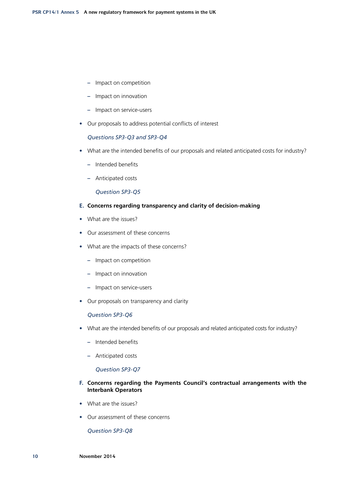- **–** Impact on competition
- **–** Impact on innovation
- **–** Impact on service-users
- Our proposals to address potential conflicts of interest

*Questions SP3-Q3 and SP3-Q4*

- What are the intended benefits of our proposals and related anticipated costs for industry?
	- **–** Intended benefits
	- **–** Anticipated costs

#### *Question SP3-Q5*

#### **E. Concerns regarding transparency and clarity of decision-making**

- What are the issues?
- Our assessment of these concerns
- What are the impacts of these concerns?
	- **–** Impact on competition
	- **–** Impact on innovation
	- **–** Impact on service-users
- Our proposals on transparency and clarity

#### *Question SP3-Q6*

- What are the intended benefits of our proposals and related anticipated costs for industry?
	- **–** Intended benefits
	- **–** Anticipated costs

#### *Question SP3-Q7*

#### **F. Concerns regarding the Payments Council's contractual arrangements with the Interbank Operators**

- What are the issues?
- Our assessment of these concerns

*Question SP3-Q8*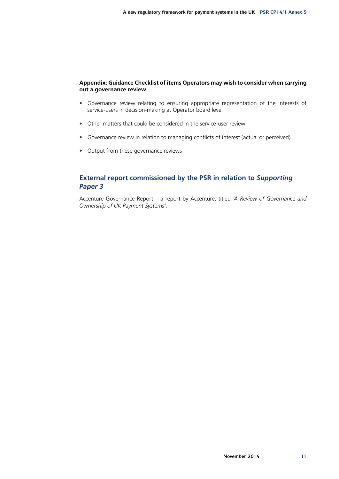#### **Appendix: Guidance Checklist of items Operators may wish to consider when carrying out a governance review**

- Governance review relating to ensuring appropriate representation of the interests of service-users in decision-making at Operator board level
- Other matters that could be considered in the service-user review
- Governance review in relation to managing conflicts of interest (actual or perceived)
- Output from these governance reviews

## **External report commissioned by the PSR in relation to** *Supporting Paper 3*

Accenture Governance Report – a report by Accenture, titled *'A Review of Governance and Ownership of UK Payment Systems'*.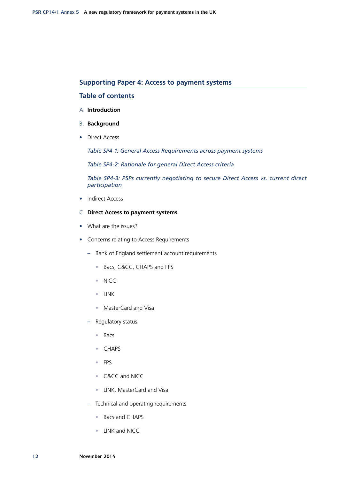#### **Supporting Paper 4: Access to payment systems**

### **Table of contents**

#### A. **Introduction**

- B. **Background**
- Direct Access

*Table SP4-1: General Access Requirements across payment systems*

*Table SP4-2: Rationale for general Direct Access criteria*

*Table SP4-3: PSPs currently negotiating to secure Direct Access vs. current direct participation*

- Indirect Access
- C. **Direct Access to payment systems**
- What are the issues?
- Concerns relating to Access Requirements
	- **–** Bank of England settlement account requirements
		- Bacs, C&CC, CHAPS and FPS
		- NICC
		- LINK
		- MasterCard and Visa
	- **–** Regulatory status
		- Bacs
		- CHAPS
		- FPS
		- C&CC and NICC
		- LINK, MasterCard and Visa
	- **–** Technical and operating requirements
		- Bacs and CHAPS
		- LINK and NICC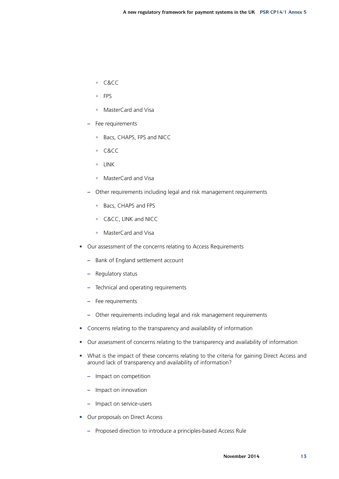- C&CC
- FPS
- MasterCard and Visa
- **–** Fee requirements
	- Bacs, CHAPS, FPS and NICC
	- C&CC
	- LINK
	- MasterCard and Visa
- **–** Other requirements including legal and risk management requirements
	- Bacs, CHAPS and FPS
	- C&CC, LINK and NICC
	- MasterCard and Visa
- Our assessment of the concerns relating to Access Requirements
	- **–** Bank of England settlement account
	- **–** Regulatory status
	- **–** Technical and operating requirements
	- **–** Fee requirements
	- **–** Other requirements including legal and risk management requirements
- Concerns relating to the transparency and availability of information
- Our assessment of concerns relating to the transparency and availability of information
- What is the impact of these concerns relating to the criteria for gaining Direct Access and around lack of transparency and availability of information?
	- **–** Impact on competition
	- **–** Impact on innovation
	- **–** Impact on service-users
- Our proposals on Direct Access
	- **–** Proposed direction to introduce a principles-based Access Rule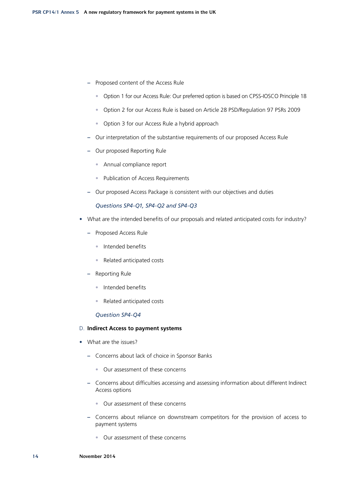- **–** Proposed content of the Access Rule
	- Option 1 for our Access Rule: Our preferred option is based on CPSS-IOSCO Principle 18
	- Option 2 for our Access Rule is based on Article 28 PSD/Regulation 97 PSRs 2009
	- Option 3 for our Access Rule a hybrid approach
- **–** Our interpretation of the substantive requirements of our proposed Access Rule
- **–** Our proposed Reporting Rule
	- Annual compliance report
	- Publication of Access Requirements
- **–** Our proposed Access Package is consistent with our objectives and duties

#### *Questions SP4-Q1, SP4-Q2 and SP4-Q3*

- What are the intended benefits of our proposals and related anticipated costs for industry?
	- **–** Proposed Access Rule
		- Intended benefits
		- Related anticipated costs
	- **–** Reporting Rule
		- Intended benefits
		- Related anticipated costs

#### *Question SP4-Q4*

#### D. **Indirect Access to payment systems**

- What are the issues?
	- **–** Concerns about lack of choice in Sponsor Banks
		- Our assessment of these concerns
	- **–** Concerns about difficulties accessing and assessing information about different Indirect Access options
		- Our assessment of these concerns
	- **–** Concerns about reliance on downstream competitors for the provision of access to payment systems
		- Our assessment of these concerns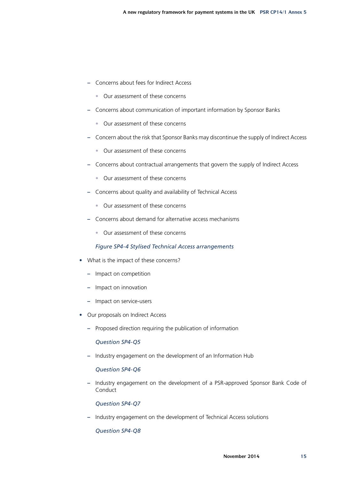- **–** Concerns about fees for Indirect Access
	- Our assessment of these concerns
- **–** Concerns about communication of important information by Sponsor Banks
	- Our assessment of these concerns
- **–** Concern about the risk that Sponsor Banks may discontinue the supply of Indirect Access
	- Our assessment of these concerns
- **–** Concerns about contractual arrangements that govern the supply of Indirect Access
	- Our assessment of these concerns
- **–** Concerns about quality and availability of Technical Access
	- Our assessment of these concerns
- **–** Concerns about demand for alternative access mechanisms
	- Our assessment of these concerns

#### *Figure SP4-4 Stylised Technical Access arrangements*

- What is the impact of these concerns?
	- **–** Impact on competition
	- **–** Impact on innovation
	- **–** Impact on service-users
- Our proposals on Indirect Access
	- **–** Proposed direction requiring the publication of information

*Question SP4-Q5*

**–** Industry engagement on the development of an Information Hub

#### *Question SP4-Q6*

**–** Industry engagement on the development of a PSR-approved Sponsor Bank Code of Conduct

*Question SP4-Q7*

**–** Industry engagement on the development of Technical Access solutions

*Question SP4-Q8*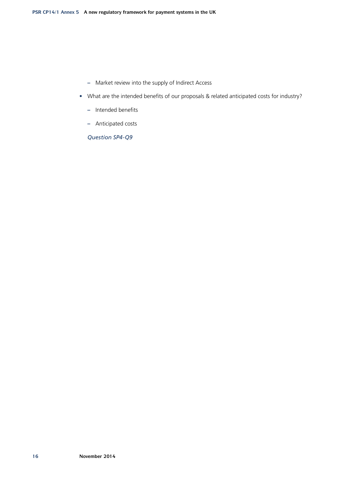- **–** Market review into the supply of Indirect Access
- What are the intended benefits of our proposals & related anticipated costs for industry?
	- **–** Intended benefits
	- **–** Anticipated costs

*Question SP4-Q9*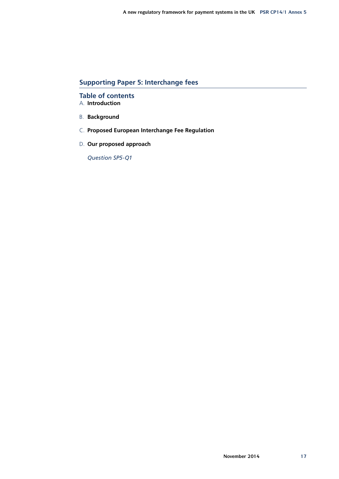## **Supporting Paper 5: Interchange fees**

**Table of contents** A. **Introduction**

- B. **Background**
- C. **Proposed European Interchange Fee Regulation**
- D. **Our proposed approach**

*Question SP5-Q1*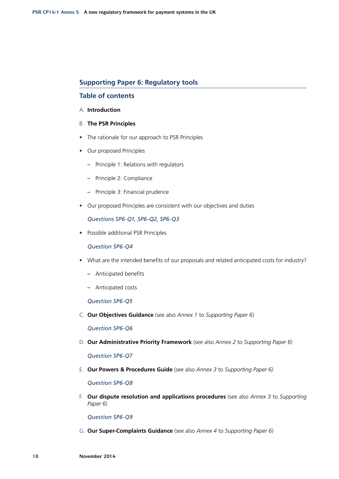## **Supporting Paper 6: Regulatory tools**

## **Table of contents**

## A. **Introduction**

- B. **The PSR Principles**
- The rationale for our approach to PSR Principles
- Our proposed Principles
	- **–** Principle 1: Relations with regulators
	- **–** Principle 2: Compliance
	- **–** Principle 3: Financial prudence
- Our proposed Principles are consistent with our objectives and duties

*Questions SP6-Q1, SP6-Q2, SP6-Q3*

• Possible additional PSR Principles

*Question SP6-Q4*

- What are the intended benefits of our proposals and related anticipated costs for industry?
	- **–** Anticipated benefits
	- **–** Anticipated costs

*Question SP6-Q5*

C. **Our Objectives Guidance** (see also *Annex 1* to *Supporting Paper 6*)

*Question SP6-Q6*

D. **Our Administrative Priority Framework** (see also *Annex 2* to *Supporting Paper 6*)

*Question SP6-Q7*

E. **Our Powers & Procedures Guide** (see also *Annex 3* to *Supporting Paper 6)*

*Question SP6-Q8*

F. **Our dispute resolution and applications procedures** (see also *Annex 3* to *Supporting Paper 6*)

*Question SP6-Q9*

G. **Our Super-Complaints Guidance** (see also *Annex 4* to *Supporting Paper 6*)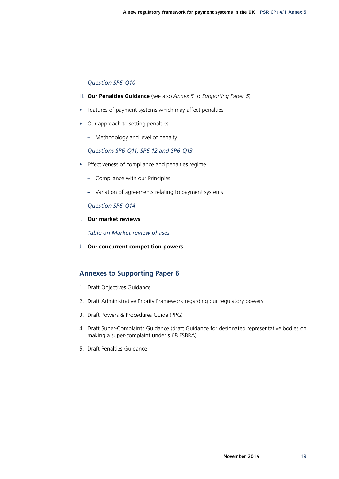## *Question SP6-Q10*

- H. **Our Penalties Guidance** (see also *Annex 5* to *Supporting Paper 6*)
- Features of payment systems which may affect penalties
- Our approach to setting penalties
	- **–** Methodology and level of penalty

## *Questions SP6-Q11, SP6-12 and SP6-Q13*

- Effectiveness of compliance and penalties regime
	- **–** Compliance with our Principles
	- **–** Variation of agreements relating to payment systems

## *Question SP6-Q14*

I. **Our market reviews**

*Table on Market review phases*

J. **Our concurrent competition powers**

# **Annexes to Supporting Paper 6**

- 1. Draft Objectives Guidance
- 2. Draft Administrative Priority Framework regarding our regulatory powers
- 3. Draft Powers & Procedures Guide (PPG)
- 4. Draft Super-Complaints Guidance (draft Guidance for designated representative bodies on making a super-complaint under s.68 FSBRA)
- 5. Draft Penalties Guidance